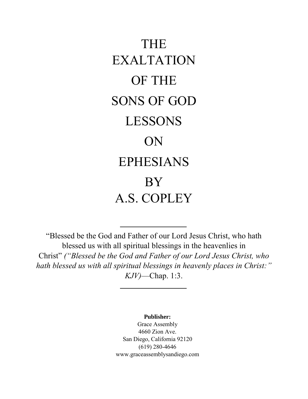# THE EXALTATION OF THE SONS OF GOD LESSONS ON EPHESIANS BY A.S. COPLEY

"Blessed be the God and Father of our Lord Jesus Christ, who hath blessed us with all spiritual blessings in the heavenlies in Christ" *("Blessed be the God and Father of our Lord Jesus Christ, who hath blessed us with all spiritual blessings in heavenly places in Christ:" KJV)*—Chap. 1:3.

**Publisher:**

Grace Assembly 4660 Zion Ave. San Diego, California 92120 (619) 280-4646 www.graceassemblysandiego.com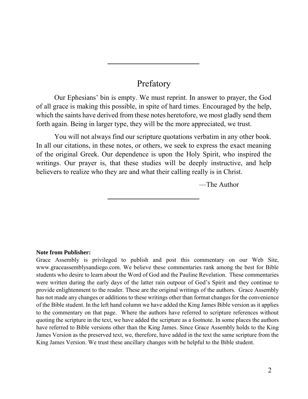# Prefatory

Our Ephesians' bin is empty. We must reprint. In answer to prayer, the God of all grace is making this possible, in spite of hard times. Encouraged by the help, which the saints have derived from these notes heretofore, we most gladly send them forth again. Being in larger type, they will be the more appreciated, we trust.

You will not always find our scripture quotations verbatim in any other book. In all our citations, in these notes, or others, we seek to express the exact meaning of the original Greek. Our dependence is upon the Holy Spirit, who inspired the writings. Our prayer is, that these studies will be deeply instructive, and help believers to realize who they are and what their calling really is in Christ.

—The Author

#### **Note from Publisher:**

Grace Assembly is privileged to publish and post this commentary on our Web Site, www.graceassemblysandiego.com. We believe these commentaries rank among the best for Bible students who desire to learn about the Word of God and the Pauline Revelation. These commentaries were written during the early days of the latter rain outpour of God's Spirit and they continue to provide enlightenment to the reader. These are the original writings of the authors. Grace Assembly has not made any changes or additions to these writings other than format changes for the convenience of the Bible student. In the left hand column we have added the King James Bible version as it applies to the commentary on that page. Where the authors have referred to scripture references without quoting the scripture in the text, we have added the scripture as a footnote. In some places the authors have referred to Bible versions other than the King James. Since Grace Assembly holds to the King James Version as the preserved text, we, therefore, have added in the text the same scripture from the King James Version. We trust these ancillary changes with be helpful to the Bible student.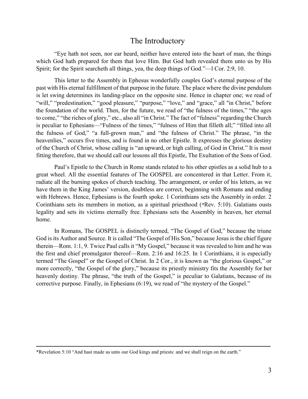# The Introductory

"Eye hath not seen, nor ear heard, neither have entered into the heart of man, the things which God hath prepared for them that love Him. But God hath revealed them unto us by His Spirit; for the Spirit searcheth all things, yea, the deep things of God."—l Cor. 2:9, 10.

This letter to the Assembly in Ephesus wonderfully couples God's eternal purpose of the past with His eternal fulfillment of that purpose in the future. The place where the divine pendulum is let swing determines its landing-place on the opposite sine. Hence in chapter one; we read of "will," "predestination," "good pleasure," "purpose," "love," and "grace," all "in Christ," before the foundation of the world. Then, for the future, we read of "the fulness of the times," "the ages to come," "the riches of glory," etc., also all "in Christ." The fact of "fulness" regarding the Church is peculiar to Ephesians—"Fulness of the times," "fulness of Him that filleth all;" "filled into all the fulness of God," "a full-grown man," and "the fulness of Christ." The phrase, "in the heavenlies," occurs five times, and is found in no other Epistle. It expresses the glorious destiny of the Church of Christ, whose calling is "an upward, or high calling, of God in Christ." It is most fitting therefore, that we should call our lessons all this Epistle, The Exultation of the Sons of God.

Paul's Epistle to the Church in Rome stands related to his other epistles as a solid hub to a great wheel. All the essential features of The GOSPEL are concentered in that Letter. From it, radiate all the burning spokes of church teaching. The arrangement, or order of his letters, as we have them in the King James' version, doubtless are correct, beginning with Romans and ending with Hebrews. Hence, Ephesians is the fourth spoke. 1 Corinthians sets the Assembly in order. 2 Corinthians sets its members in motion, as a spiritual priesthood (\*Rev. 5:10). Galatians ousts legality and sets its victims eternally free. Ephesians sets the Assembly in heaven, her eternal home.

In Romans, The GOSPEL is distinctly termed, "The Gospel of God," because the triune God is its Author and Source. It is called "The Gospel of His Son," because Jesus is the chief figure therein—Rom. 1:1, 9. Twice Paul calls it "My Gospel," because it was revealed to him and he was the first and chief promulgator thereof—Rom. 2:16 and 16:25. In 1 Corinthians, it is especially termed "The Gospel" or the Gospel of Christ. In 2 Cor., it is known as "the glorious Gospel," or more correctly, "the Gospel of the glory," because its priestly ministry fits the Assembly for her heavenly destiny. The phrase, "the truth of the Gospel," is peculiar to Galatians, because of its corrective purpose. Finally, in Ephesians (6:19), we read of "the mystery of the Gospel."

<sup>\*</sup>Revelation 5:10 "And hast made us unto our God kings and priests: and we shall reign on the earth."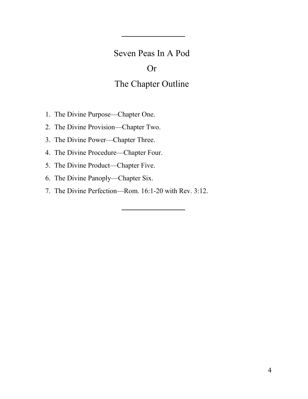# Seven Peas In A Pod

# Or

# The Chapter Outline

- 1. The Divine Purpose—Chapter One.
- 2. The Divine Provision—Chapter Two.
- 3. The Divine Power—Chapter Three.
- 4. The Divine Procedure—Chapter Four.
- 5. The Divine Product—Chapter Five.
- 6. The Divine Panoply—Chapter Six.
- 7. The Divine Perfection—Rom. 16:1-20 with Rev. 3:12.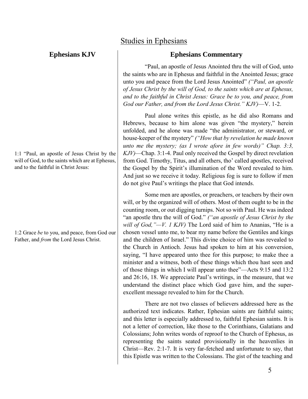# **Ephesians KJV**

1:1 "Paul, an apostle of Jesus Christ by the will of God, to the saints which are at Ephesus, and to the faithful in Christ Jesus:

1:2 Grace *be* to you, and peace, from God our Father, and *from* the Lord Jesus Christ.

# Studies in Ephesians

# **Ephesians Commentary**

"Paul, an apostle of Jesus Anointed thru the will of God, unto the saints who are in Ephesus and faithful in the Anointed Jesus; grace unto you and peace from the Lord Jesus Anointed" *("Paul, an apostle of Jesus Christ by the will of God, to the saints which are at Ephesus, and to the faithful in Christ Jesus: Grace be to you, and peace, from God our Father, and from the Lord Jesus Christ." KJV)*—V. 1-2.

Paul alone writes this epistle, as he did also Romans and Hebrews, because to him alone was given "the mystery," herein unfolded, and he alone was made "the administrator, or steward, or house-keeper of the mystery" *("How that by revelation he made known unto me the mystery; (as I wrote afore in few words)" Chap. 3:3, KJV)*—Chap. 3:1-4. Paul only received the Gospel by direct revelation from God. Timothy, Titus, and all others, tho' called apostles, received the Gospel by the Spirit's illumination of the Word revealed to him. And just so we receive it today. Religious fog is sure to follow if men do not give Paul's writings the place that God intends.

Some men are apostles, or preachers, or teachers by their own will, or by the organized will of others. Most of them ought to be in the counting room, or out digging turnips. Not so with Paul. He was indeed "an apostle thru the will of God." *("an apostle of Jesus Christ by the will of God,"—V. 1 KJV)* The Lord said of him to Ananias, "He is a chosen vessel unto me, to bear my name before the Gentiles and kings and the children of Israel." This divine choice of him was revealed to the Church in Antioch. Jesus had spoken to him at his conversion, saying, "I have appeared unto thee for this purpose; to make thee a minister and a witness, both of these things which thou hast seen and of those things in which I will appear unto thee"—Acts 9:15 and 13:2 and 26:16, 18. We appreciate Paul's writings, in the measure, that we understand the distinct place which God gave him, and the superexcellent message revealed to him for the Church.

There are not two classes of believers addressed here as the authorized text indicates. Rather, Ephesian saints are faithful saints; and this letter is especially addressed to, faithful Ephesian saints. It is not a letter of correction, like those to the Corinthians, Galatians and Colossians; John writes words of reproof to the Church of Ephesus, as representing the saints seated provisionally in the heavenlies in Christ—Rev. 2:1-7. It is very far-fetched and unfortunate to say, that this Epistle was written to the Colossians. The gist of the teaching and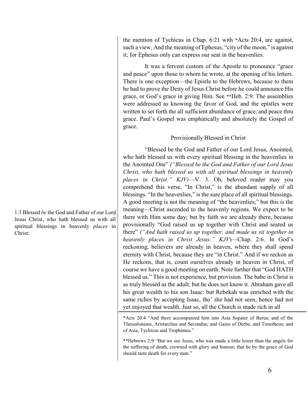1:3 Blessed *be* the God and Father of our Lord Jesus Christ, who hath blessed us with all spiritual blessings in heavenly *places* in Christ:

the mention of Tychicus in Chap. 6:21 with \*Acts 20:4, are against, such a view. And the meaning of Ephesus, "city of the moon," is against it; for Ephesus only can express our seat in the heavenlies.

It was a fervent custom of the Apostle to pronounce "grace and peace" upon those to whom he wrote, at the opening of his letters. There is one exception—the Epistle to the Hebrews, because to them he had to prove the Deity of Jesus Christ before he could announce His grace, or God's grace in giving Him. See \*\*Heb. 2:9. The assemblies were addressed as knowing the favor of God, and the epistles were written to set forth the all sufficient abundance of grace, and peace thru grace. Paul's Gospel was emphatically and absolutely the Gospel of grace.

# Provisionally Blessed in Christ

"Blessed be the God and Father of our Lord Jesus, Anointed, who hath blessed us with every spiritual blessing in the heavenlies in the Anointed One" *("Blessed be the God and Father of our Lord Jesus Christ, who hath blessed us with all spiritual blessings in heavenly places in Christ:" KJV)*—V. 3. Oh, beloved reader may you comprehend this verse, "In Christ," is the abundant supply of all blessings. "In the heavenlies," is the sure place of all spiritual blessings. A good meeting is not the meaning of "the heavenlies;" but this is the meaning—Christ ascended to the heavenly regions. We expect to be there with Him some day; but by faith we are already there, because provisionally "God raised us up together with Christ and seated us there" *("And hath raised us up together, and made us sit together in heavenly places in Christ Jesus:" KJV*)—Chap. 2:6. In God's reckoning, believers are already in heaven, where they shall spend eternity with Christ, because they are "in Christ." And if we reckon as He reckons, that is, count ourselves already in heaven in Christ, of course we have a good meeting on earth. Note further that "God HATH blessed us." This is not experience, but provision. The babe in Christ is as truly blessed as the adult; but he does not know it. Abraham gave all his great wealth to his son Isaac: but Rebekah was enriched with the same riches by accepting Isaac, tho' she had not seen, hence had not yet enjoyed that wealth. Just so, all the Church is made rich in all

\*Acts 20:4 "And there accompanied him into Asia Sopater of Berea; and of the Thessalonians, Aristarchus and Secundus; and Gaius of Derbe, and Timotheus; and of Asia, Tychicus and Trophimus."

\*\*Hebrews 2:9 "But we see Jesus, who was made a little lower than the angels for the suffering of death, crowned with glory and honour; that he by the grace of God should taste death for every man."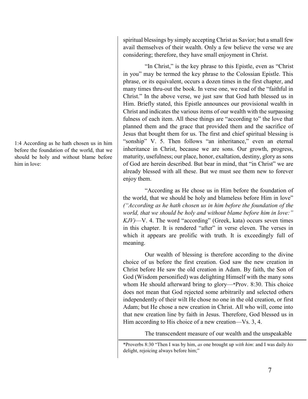1:4 According as he hath chosen us in him before the foundation of the world, that we should be holy and without blame before him in love:

spiritual blessings by simply accepting Christ as Savior; but a small few avail themselves of their wealth. Only a few believe the verse we are considering; therefore, they have small enjoyment in Christ.

"In Christ," is the key phrase to this Epistle, even as "Christ in you" may be termed the key phrase to the Colossian Epistle. This phrase, or its equivalent, occurs a dozen times in the first chapter, and many times thru-out the book. In verse one, we read of the "faithful in Christ." In the above verse, we just saw that God hath blessed us in Him. Briefly stated, this Epistle announces our provisional wealth in Christ and indicates the various items of our wealth with the surpassing fulness of each item. All these things are "according to" the love that planned them and the grace that provided them and the sacrifice of Jesus that bought them for us. The first and chief spiritual blessing is "sonship" V. 5. Then follows "an inheritance," even an eternal inheritance in Christ, because we are sons. Our growth, progress, maturity, usefulness; our place, honor, exaltation, destiny, glory as sons of God are herein described. But bear in mind, that "in Christ" we are already blessed with all these. But we must see them new to forever enjoy them.

"According as He chose us in Him before the foundation of the world, that we should be holy and blameless before Him in love" *("According as he hath chosen us in him before the foundation of the world, that we should be holy and without blame before him in love:" KJV)*—V. 4. The word "according" (Greek, kata) occurs seven times in this chapter. It is rendered "after" in verse eleven. The verses in which it appears are prolific with truth. It is exceedingly full of meaning.

Our wealth of blessing is therefore according to the divine choice of us before the first creation. God saw the new creation in Christ before He saw the old creation in Adam. By faith, the Son of God (Wisdom personified) was delighting Himself with the many sons whom He should afterward bring to glory—\*Prov. 8:30. This choice does not mean that God rejected some arbitrarily and selected others independently of their wilt He chose no one in the old creation, or first Adam; but He chose a new creation in Christ. All who will, come into that new creation line by faith in Jesus. Therefore, God blessed us in Him according to His choice of a new creation—Vs. 3, 4.

The transcendent measure of our wealth and the unspeakable

\*Proverbs 8:30 "Then I was by him, *as* one brought up *with him*: and I was daily *his* delight, rejoicing always before him;"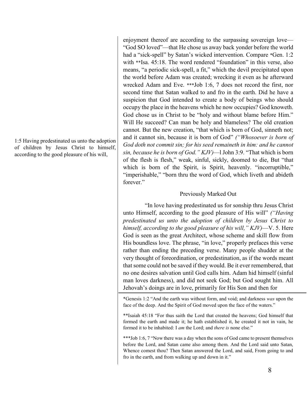1:5 Having predestinated us unto the adoption of children by Jesus Christ to himself, according to the good pleasure of his will,

enjoyment thereof are according to the surpassing sovereign love— "God SO loved"—that He chose us away back yonder before the world had a "sick-spell" by Satan's wicked intervention. Compare \*Gen. 1:2 with \*\*Isa. 45:18. The word rendered "foundation" in this verse, also means, "a periodic sick-spell, a fit," which the devil precipitated upon the world before Adam was created; wrecking it even as he afterward wrecked Adam and Eve. \*\*\*Job 1:6, 7 does not record the first, nor second time that Satan walked to and fro in the earth. Did he have a suspicion that God intended to create a body of beings who should occupy the place in the heavens which he now occupies? God knoweth. God chose us in Christ to be "holy and without blame before Him." Will He succeed? Can man be holy and blameless? The old creation cannot. But the new creation, "that which is born of God, sinneth not; and it cannot sin, because it is born of God" *("Whosoever is born of God doth not commit sin; for his seed remaineth in him: and he cannot sin, because he is born of God." KJV)*—l John 3:9. "That which is born of the flesh is flesh," weak, sinful, sickly, doomed to die, But "that which is born of the Spirit, is Spirit, heavenly. "incorruptible," "imperishable," "born thru the word of God, which liveth and abideth forever."

#### Previously Marked Out

"In love having predestinated us for sonship thru Jesus Christ unto Himself, according to the good pleasure of His will" *("Having predestinated us unto the adoption of children by Jesus Christ to himself, according to the good pleasure of his will," KJV)*—V. 5. Here God is seen as the great Architect, whose scheme and skill flow from His boundless love. The phrase, "in love," properly prefaces this verse rather than ending the preceding verse. Many people shudder at the very thought of foreordination, or predestination, as if the words meant that some could not be saved if they would. Be it ever remembered, that no one desires salvation until God calls him. Adam hid himself (sinful man loves darkness), and did not seek God; but God sought him. All Jehovah's doings are in love, primarily for His Son and then for

\*Genesis 1:2 "And the earth was without form, and void; and darkness *was* upon the face of the deep. And the Spirit of God moved upon the face of the waters."

\*\*Isaiah 45:18 "For thus saith the Lord that created the heavens; God himself that formed the earth and made it; he hath established it, he created it not in vain, he formed it to be inhabited: I *am* the Lord; and *there is* none else."

\*\*\*Job 1:6, 7 "Now there was a day when the sons of God came to present themselves before the Lord, and Satan came also among them. And the Lord said unto Satan, Whence comest thou? Then Satan answered the Lord, and said, From going to and fro in the earth, and from walking up and down in it."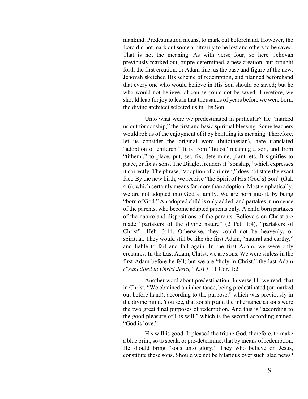mankind. Predestination means, to mark out beforehand. However, the Lord did not mark out some arbitrarily to be lost and others to be saved. That is not the meaning. As with verse four, so here. Jehovah previously marked out, or pre-determined, a new creation, but brought forth the first creation, or Adam line, as the base and figure of the new. Jehovah sketched His scheme of redemption, and planned beforehand that every one who would believe in His Son should be saved; but he who would not believe, of course could not be saved. Therefore, we should leap for joy to learn that thousands of years before we were born, the divine architect selected us in His Son.

Unto what were we predestinated in particular? He "marked us out for sonship," the first and basic spiritual blessing. Some teachers would rob us of the enjoyment of it by belittling its meaning. Therefore, let us consider the original word (huiothesian), here translated "adoption of children." It is from "huios" meaning a son, and from "tithemi," to place, put, set, fix, determine, plant, etc. It signifies to place, or fix as sons. The Diaglott renders it "sonship," which expresses it correctly. The phrase, "adoption of children," does not state the exact fact. By the new birth, we receive "the Spirit of His (God's) Son" (Gal. 4:6), which certainly means far more than adoption. Most emphatically, we are not adopted into God's family. We are born into it, by being "born of God." An adopted child is only added, and partakes in no sense of the parents, who become adapted parents only. A child born partakes of the nature and dispositions of the parents. Believers on Christ are made "partakers of the divine nature" (2 Pet. 1:4), "partakers of Christ"—Heb. 3:14. Otherwise, they could not be heavenly, or spiritual. They would still be like the first Adam, "natural and earthy," and liable to fail and fall again. In the first Adam, we were only creatures. In the Last Adam, Christ, we are sons. We were sinless in the first Adam before he fell; but we are "holy in Christ," the last Adam *("sanctified in Christ Jesus," KJV)*—1 Cor. 1:2.

Another word about predestination. In verse 11, we read, that in Christ, "We obtained an inheritance, being predestinated (or marked out before hand), according to the purpose," which was previously in the divine mind. You see, that sonship and the inheritance as sons were the two great final purposes of redemption. And this is "according to the good pleasure of His will," which is the second according named. "God is love."

His will is good. It pleased the triune God, therefore, to make a blue print, so to speak, or pre-determine, that by means of redemption, He should bring "sons unto glory." They who believe on Jesus, constitute these sons. Should we not be hilarious over such glad news?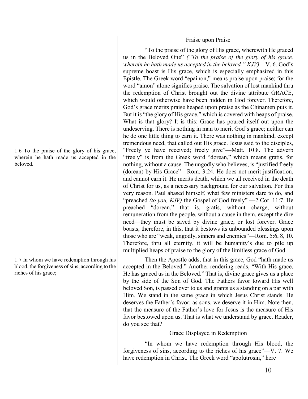#### Fraise upon Praise

"To the praise of the glory of His grace, wherewith He graced us in the Beloved One" *("To the praise of the glory of his grace, wherein he hath made us accepted in the beloved." KJV)*—V. 6. God's supreme boast is His grace, which is especially emphasized in this Epistle. The Greek word "epainon," means praise upon praise; for the word "ainon" alone signifies praise. The salvation of lost mankind thru the redemption of Christ brought out the divine attribute GRACE, which would otherwise have been hidden in God forever. Therefore, God's grace merits praise heaped upon praise as the Chinamen puts it. But it is "the glory of His grace," which is covered with heaps of praise. What is that glory? It is this: Grace has poured itself out upon the undeserving. There is nothing in man to merit God's grace; neither can he do one little thing to earn it. There was nothing in mankind, except tremendous need, that called out His grace. Jesus said to the disciples, "Freely ye have received; freely give"—Matt. 10:8. The adverb "freely" is from the Greek word "dorean," which means gratis, for nothing, without a cause. The ungodly who believes, is "justified freely (dorean) by His Grace"—Rom. 3:24. He does not merit justification, and cannot earn it. He merits death, which we all received in the death of Christ for us, as a necessary background for our salvation. For this very reason. Paul abased himself, what few ministers dare to do, and "preached *(to you, KJV)* the Gospel of God freely" —2 Cor. 11:7. He preached "dorean," that is, gratis, without charge, without remuneration from the people, without a cause in them, except the dire need—they must be saved by divine grace, or lost forever. Grace boasts, therefore, in this, that it bestows its unbounded blessings upon those who are "weak, ungodly, sinners and enemies"—Rom. 5:6, 8, 10. Therefore, thru all eternity, it will be humanity's due to pile up multiplied heaps of praise to the glory of the limitless grace of God.

Then the Apostle adds, that in this grace, God "hath made us accepted in the Beloved." Another rendering reads, "With His grace, He has graced us in the Beloved." That is, divine grace gives us a place by the side of the Son of God. The Fathers favor toward His well beloved Son, is passed over to us and grants us a standing on a par with Him. We stand in the same grace in which Jesus Christ stands. He deserves the Father's favor; as sons, we deserve it in Him. Note then, that the measure of the Father's love for Jesus is the measure of His favor bestowed upon us. That is what we understand by grace. Reader, do you see that?

#### Grace Displayed in Redemption

"In whom we have redemption through His blood, the forgiveness of sins, according to the riches of his grace"—V. 7. We have redemption in Christ. The Greek word "apolutrosin," here

1:6 To the praise of the glory of his grace, wherein he hath made us accepted in the beloved.

1:7 In whom we have redemption through his blood, the forgiveness of sins, according to the riches of his grace;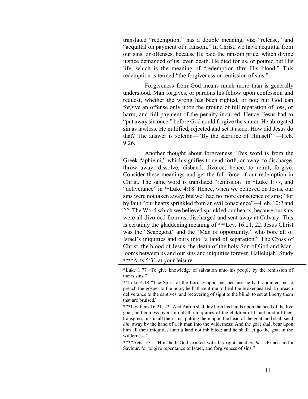translated "redemption," has a double meaning, viz; "release," and "acquittal on payment of a ransom." In Christ, we have acquittal from our sins, or offenses, because He paid the ransom price; which divine justice demanded of us, even death. He died for us, or poured out His life, which is the meaning of "redemption thru His blood." This redemption is termed "the forgiveness or remission of sins."

Forgiveness from God means much more than is generally understood. Man forgives, or pardons his fellow upon confession and request, whether the wrong has been righted, or not; but God can forgive an offense only upon the ground of full reparation of loss, or harm, and full payment of the penalty incurred. Hence, Jesus had to "put away sin once," before God could forgive the sinner. He abrogated sin as lawless. He nullified, rejected and set it aside. How did Jesus do that? The answer is solemn—"By the sacrifice of Himself" —Heb. 9:26.

Another thought about forgiveness. This word is from the Greek "aphiemi," which signifies to send forth, or away, to discharge, throw away, dissolve, disband, divorce; hence, to remit, forgive. Consider these meanings and get the full force of our redemption in Christ. The same word is translated "remission" in \*Luke 1:77, and "deliverance" in \*\*Luke 4:18. Hence, when we believed on Jesus, our sins were not taken away; but we "had no more conscience of sins;" for by faith "our hearts sprinkled from an evil conscience"—Heb. 10:2 and 22. The Word which we believed sprinkled our hearts, because our sins were all divorced from us, discharged and sent away at Calvary. This is certainly the gladdening meaning of \*\*\*Lev. 16:21, 22. Jesus Christ was the "Scapegoat" and the "Man of opportunity," who bore all of Israel's iniquities and ours into "a land of separation." The Cross of Christ, the blood of Jesus, the death of the holy Son of God and Man, looms between us and our sins and iniquities forever. Hallelujah! Study \*\*\*\*Acts 5:31 at your leisure.

\*Luke 1:77 "To give knowledge of salvation unto his people by the remission of theirs sins,"

\*\*Luke 4:18 "The Spirit of the Lord *is* upon me, because he hath anointed me to preach the gospel to the poor; he hath sent me to heal the brokenhearted, to preach deliverance to the captives, and recovering of sight to the blind, to set at liberty them that are bruised,"

\*\*\*Leviticus 16:21, 22 "And Aaron shall lay both his hands upon the head of the live goat, and confess over him all the iniquities of the children of Israel, and all their transgressions in all their sins, putting them upon the head of the goat, and shall send *him* away by the hand of a fit man into the wilderness: And the goat shall bear upon him all their iniquities unto a land not inhibited: and he shall let go the goat in the wilderness."

\*\*\*\*Acts 5:31 "Him hath God exalted with his right hand *to be* a Prince and a Saviour, for to give repentance to Israel, and forgiveness of sins."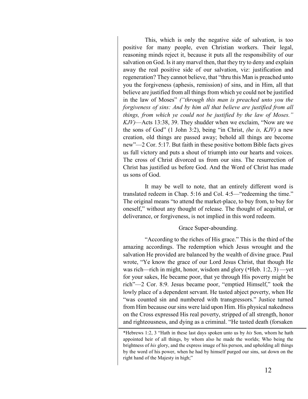This, which is only the negative side of salvation, is too positive for many people, even Christian workers. Their legal, reasoning minds reject it, because it puts all the responsibility of our salvation on God. Is it any marvel then, that they try to deny and explain away the real positive side of our salvation, viz: justification and regeneration? They cannot believe, that "thru this Man is preached unto you the forgiveness (aphesis, remission) of sins, and in Him, all that believe are justified from all things from which ye could not be justified in the law of Moses" *("through this man is preached unto you the forgiveness of sins: And by him all that believe are justified from all things, from which ye could not be justified by the law of Moses." KJV)*—Acts 13:38, 39. They shudder when we exclaim, "Now are we the sons of God" (1 John 3:2), being "in Christ, *(he is, KJV)* a new creation, old things are passed away; behold all things are become new"—2 Cor. 5:17. But faith in these positive bottom Bible facts gives us full victory and puts a shout of triumph into our hearts and voices. The cross of Christ divorced us from our sins. The resurrection of Christ has justified us before God. And the Word of Christ has made us sons of God.

It may be well to note, that an entirely different word is translated redeem in Chap. 5:16 and Col. 4:5—"redeeming the time." The original means "to attend the market-place, to buy from, to buy for oneself," without any thought of release. The thought of acquittal, or deliverance, or forgiveness, is not implied in this word redeem.

#### Grace Super-abounding.

"According to the riches of His grace." This is the third of the amazing accordings. The redemption which Jesus wrought and the salvation He provided are balanced by the wealth of divine grace. Paul wrote, "Ye know the grace of our Lord Jesus Christ, that though He was rich—rich in might, honor, wisdom and glory (\*Heb. 1:2, 3) —yet for your sakes, He became poor, that ye through His poverty might be rich"—2 Cor. 8:9. Jesus became poor, "emptied Himself," took the lowly place of a dependent servant. He tasted abject poverty, when He "was counted sin and numbered with transgressors." Justice turned from Him because our sins were laid upon Him. His physical nakedness on the Cross expressed His real poverty, stripped of all strength, honor and righteousness, and dying as a criminal. "He tasted death (forsaken

<sup>\*</sup>Hebrews 1:2, 3 "Hath in these last days spoken unto us by *his* Son, whom he hath appointed heir of all things, by whom also he made the worlds; Who being the brightness of *his* glory, and the express image of his person, and upholding all things by the word of his power, when he had by himself purged our sins, sat down on the right hand of the Majesty in high;"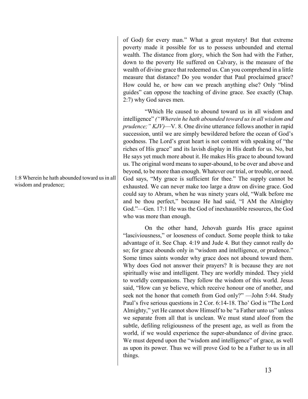of God) for every man." What a great mystery! But that extreme poverty made it possible for us to possess unbounded and eternal wealth. The distance from glory, which the Son had with the Father, down to the poverty He suffered on Calvary, is the measure of the wealth of divine grace that redeemed us. Can you comprehend in a little measure that distance? Do you wonder that Paul proclaimed grace? How could he, or how can we preach anything else? Only "blind guides" can oppose the teaching of divine grace. See exactly (Chap. 2:7) why God saves men.

"Which He caused to abound toward us in all wisdom and intelligence" *("Wherein he hath abounded toward us in all wisdom and prudence;" KJV)*—V. 8. One divine utterance follows another in rapid succession, until we are simply bewildered before the ocean of God's goodness. The Lord's great heart is not content with speaking of "the riches of His grace" and its lavish display in His death for us. No, but He says yet much more about it. He makes His grace to abound toward us. The original word means to super-abound, to be over and above and beyond, to be more than enough. Whatever our trial, or trouble, or need. God says, "My grace is sufficient for thee." The supply cannot be exhausted. We can never make too large a draw on divine grace. God could say to Abram, when he was ninety years old, "Walk before me and be thou perfect," because He had said, "I AM the Almighty God."—Gen. 17:1 He was the God of inexhaustible resources, the God who was more than enough.

On the other hand, Jehovah guards His grace against "lasciviousness," or looseness of conduct. Some people think to take advantage of it. See Chap. 4:19 and Jude 4. But they cannot really do so; for grace abounds only in "wisdom and intelligence, or prudence." Some times saints wonder why grace does not abound toward them. Why does God not answer their prayers? It is because they are not spiritually wise and intelligent. They are worldly minded. They yield to worldly companions. They follow the wisdom of this world. Jesus said, "How can ye believe, which receive honour one of another, and seek not the honor that cometh from God only?" —John 5:44. Study Paul's five serious questions in 2 Cor. 6:14-18. Tho' God is "The Lord Almighty," yet He cannot show Himself to be "a Father unto us" unless we separate from all that is unclean. We must stand aloof from the subtle, defiling religiousness of the present age, as well as from the world, if we would experience the super-abundance of divine grace. We must depend upon the "wisdom and intelligence" of grace, as well as upon its power. Thus we will prove God to be a Father to us in all things.

1:8 Wherein he hath abounded toward us in all wisdom and prudence;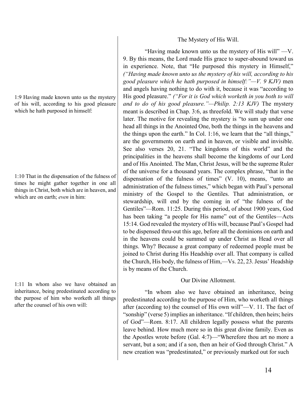1:9 Having made known unto us the mystery of his will, according to his good pleasure which he hath purposed in himself:

1:10 That in the dispensation of the fulness of times he might gather together in one all things in Christ, both which are in heaven, and which are on earth; *even* in him:

1:11 In whom also we have obtained an inheritance, being predestinated according to the purpose of him who worketh all things after the counsel of his own will:

# The Mystery of His Will.

"Having made known unto us the mystery of His will" —V. 9. By this means, the Lord made His grace to super-abound toward us in experience. Note, that "He purposed this mystery in Himself," *("Having made known unto us the mystery of his will, according to his good pleasure which he hath purposed in himself:"—V. 9 KJV)* men and angels having nothing to do with it, because it was "according to His good pleasure." *("For it is God which worketh in you both to will and to do of his good pleasure."—Philip. 2:13 KJV)* The mystery meant is described in Chap. 3:6, as threefold. We will study that verse later. The motive for revealing the mystery is "to sum up under one head all things in the Anointed One, both the things in the heavens and the things upon the earth." In Col. 1:16, we learn that the "all things," are the governments on earth and in heaven, or visible and invisible. See also verses 20, 21. "The kingdoms of this world" and the principalities in the heavens shall become the kingdoms of our Lord and of His Anointed. The Man, Christ Jesus, will be the supreme Ruler of the universe for a thousand years. The complex phrase, "that in the dispensation of the fulness of times" (V. 10), means, "unto an administration of the fulness times," which began with Paul's personal ministry of the Gospel to the Gentiles. That administration, or stewardship, will end by the coming in of "the fulness of the Gentiles"—Rom. 11:25. During this period, of about 1900 years, God has been taking "a people for His name" out of the Gentiles—Acts 15:14. God revealed the mystery of His will, because Paul's Gospel had to be dispensed thru-out this age, before all the dominions on earth and in the heavens could be summed up under Christ as Head over all things. Why? Because a great company of redeemed people must be joined to Christ during His Headship over all. That company is called the Church, His body, the fulness of Him,—Vs. 22, 23. Jesus' Headship is by means of the Church.

# Our Divine Allotment.

"In whom also we have obtained an inheritance, being predestinated according to the purpose of Him, who worketh all things after (according to) the counsel of His own will"—V. 11. The fact of "sonship" (verse 5) implies an inheritance. "If children, then heirs; heirs of God"—Rom. 8:17. All children legally possess what the parents leave behind. How much more so in this great divine family. Even as the Apostles wrote before (Gal. 4:7)—"Wherefore thou art no more a servant, but a son; and if a son, then an heir of God through Christ." A new creation was "predestinated," or previously marked out for such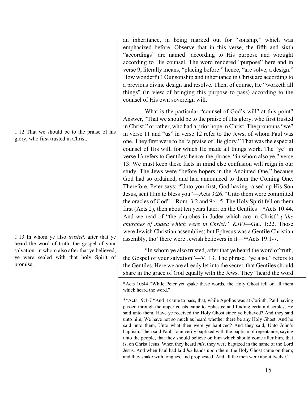1:12 That we should be to the praise of his glory, who first trusted in Christ.

1:13 In whom ye also *trusted,* after that ye heard the word of truth, the gospel of your salvation: in whom also after that ye believed, ye were sealed with that holy Spirit of promise,

an inheritance, in being marked out for "sonship," which was emphasized before. Observe that in this verse, the fifth and sixth "accordings" are named—according to His purpose and wrought according to His counsel. The word rendered "purpose" here and in verse 9, literally means, "placing before:" hence, "are solve, a design." How wonderful! Our sonship and inheritance in Christ are according to a previous divine design and resolve. Then, of course, He "worketh all things" (in view of bringing this purpose to pass) according to the counsel of His own sovereign will.

What is the particular "counsel of God's will" at this point? Answer, "That we should be to the praise of His glory, who first trusted in Christ," or rather, who had a prior hope in Christ. The pronouns "we" in verse 11 and "us" in verse 12 refer to the Jews, of whom Paul was one. They first were to be "a praise of His glory." That was the especial counsel of His will, for which He made all things work. The "ye" in verse 13 refers to Gentiles; hence, the phrase, "in whom also ye," verse 13. We must keep these facts in mind else confusion will reign in our study. The Jews were "before hopers in the Anointed One," because God had so ordained, and had announced to them the Coming One. Therefore, Peter says: "Unto you first, God having raised up His Son Jesus, sent Him to bless you"—Acts 3:26. "Unto them were committed the oracles of God"—Rom. 3:2 and 9:4, 5. The Holy Spirit fell on them first (Acts 2), then about ten years later, on the Gentiles—\*Acts 10:44. And we read of "the churches in Judea which are in Christ" *("the churches of Judea which were in Christ:" KJV)*—Gal. 1:22. Those were Jewish Christian assemblies; but Ephesus was a Gentile Christian assembly, tho' there were Jewish believers in it—\*\*Acts 19:1-7.

"In whom ye also trusted, after that ye heard the word of truth, the Gospel of your salvation"—V. 13. The phrase, "ye also," refers to the Gentiles. Here we are already let into the secret, that Gentiles should share in the grace of God equally with the Jews. They "heard the word

\*Acts 10:44 "While Peter yet spake these words, the Holy Ghost fell on all them which heard the word."

\*\*Acts 19:1-7 "And it came to pass, that, while Apollos was at Corinth, Paul having passed through the upper coasts came to Ephesus: and finding certain disciples, He said unto them, Have ye received the Holy Ghost since ye believed? And they said unto him, We have not so much as heard whether there be any Holy Ghost. And he said unto them, Unto what then were ye baptized? And they said, Unto John's baptism. Then said Paul, John verily baptized with the baptism of repentance, saying unto the people, that they should believe on him which should come after him, that is, on Christ Jesus. When they heard *this*, they were baptized in the name of the Lord Jesus. And when Paul had laid *his* hands upon them, the Holy Ghost came on them; and they spake with tongues, and prophesied. And all the men were about twelve."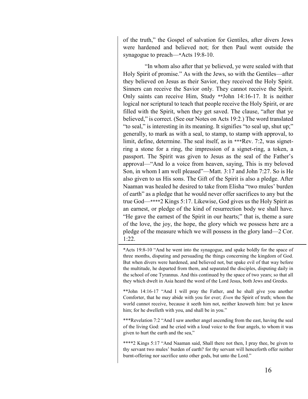of the truth," the Gospel of salvation for Gentiles, after divers Jews were hardened and believed not; for then Paul went outside the synagogue to preach—\*Acts 19:8-10.

"In whom also after that ye believed, ye were sealed with that Holy Spirit of promise." As with the Jews, so with the Gentiles—after they believed on Jesus as their Savior, they received the Holy Spirit. Sinners can receive the Savior only. They cannot receive the Spirit. Only saints can receive Him, Study \*\*John 14:16-17. It is neither logical nor scriptural to teach that people receive the Holy Spirit, or are filled with the Spirit, when they get saved. The clause, "after that ye believed," is correct. (See our Notes on Acts 19:2.) The word translated "to seal," is interesting in its meaning. It signifies "to seal up, shut up;" generally, to mark as with a seal, to stamp, to stamp with approval, to limit, define, determine. The seal itself, as in \*\*\*Rev. 7:2, was signetring a stone for a ring, the impression of a signet-ring, a token, a passport. The Spirit was given to Jesus as the seal of the Father's approval—"And lo a voice from heaven, saying, This is my beloved Son, in whom I am well pleased"—Matt. 3:17 and John 7:27. So is He also given to us His sons. The Gift of the Spirit is also a pledge. After Naaman was healed he desired to take from Elisha "two mules' burden of earth" as a pledge that he would never offer sacrifices to any but the true God—\*\*\*\*2 Kings 5:17. Likewise, God gives us the Holy Spirit as an earnest, or pledge of the kind of resurrection body we shall have. "He gave the earnest of the Spirit in our hearts;" that is, theme a sure of the love, the joy, the hope, the glory which we possess here are a pledge of the measure which we will possess in the glory land—2 Cor. 1:22.

\*Acts 19:8-10 "And he went into the synagogue, and spake boldly for the space of three months, disputing and persuading the things concerning the kingdom of God. But when divers were hardened, and believed not, but spake evil of that way before the multitude, he departed from them, and separated the disciples, disputing daily in the school of one Tyrannus. And this continued by the space of two years; so that all they which dwelt in Asia heard the word of the Lord Jesus, both Jews and Greeks.

\*\*John 14:16-17 "And I will pray the Father, and he shall give you another Comforter, that he may abide with you for ever; *Even* the Spirit of truth; whom the world cannot receive, because it seeth him not, neither knoweth him: but ye know him; for he dwelleth with you, and shall be in you."

\*\*\*Revelation 7:2 "And I saw another angel ascending from the east, having the seal of the living God: and he cried with a loud voice to the four angels, to whom it was given to hurt the earth and the sea,"

\*\*\*\*2 Kings 5:17 "And Naaman said, Shall there not then, I pray thee, be given to thy servant two mules' burden of earth? for thy servant will henceforth offer neither burnt-offering nor sacrifice unto other gods, but unto the Lord."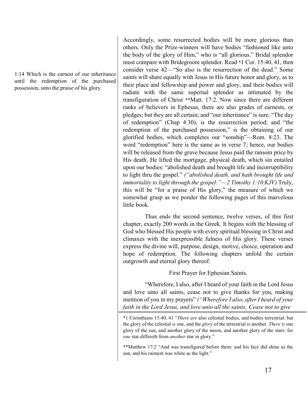1:14 Which is the earnest of our inheritance until the redemption of the purchased possession, unto the praise of his glory.

Accordingly, some resurrected bodies will be more glorious than others. Only the Prize-winners will have bodies "fashioned like unto the body of the glory of Him," who is "all glorious." Bridal splendor must compare with Bridegroom splendor. Read \*1 Cor. 15:40, 41, then consider verse 42—"So also is the resurrection of the dead." Some saints will share equally with Jesus in His future honor and glory, as to their place and fellowship and power and glory, and their bodies will radiate with the same supernal splendor as intimated by the transfiguration of Christ \*\*Matt. 17:2. Now since there are different ranks of believers in Ephesus, there are also grades of earnests, or pledges; but they are all certain; and "our inheritance" is sure. "The day of redemption" (Chap 4:30), is the resurrection period; and "the redemption of the purchased possession," is the obtaining of our glorified bodies, which completes our "sonship"—Rom. 8:23. The word "redemption" here is the same as in verse 7; hence, our bodies will be released from the grave because Jesus paid the ransom price by His death. He lifted the mortgage, physical death, which sin entailed upon our bodies: "abolished death and brought life and incorruptibility to light thru the gospel." *("abolished death, and hath brought life and immortality to light through the gospel:"—2 Timothy 1:10 KJV)* Truly, this will be "for a praise of His glory," the measure of which we somewhat grasp as we ponder the following pages of this marvelous little book.

Thus ends the second sentence, twelve verses, of this first chapter, exactly 200 words in the Greek. It begins with the blessing of God who blessed His people with every spiritual blessing in Christ and climaxes with the inexpressible fulness of His glory. These verses express the divine will, purpose, design, motive, choice, operation and hope of redemption. The following chapters unfold the certain outgrowth and eternal glory thereof.

First Prayer for Ephesian Saints.

"Wherefore, I also, after I heard of your faith in the Lord Jesus and love unto all saints, cease not to give thanks for you, making mention of you in my prayers" *("Wherefore I also, after I heard of your faith in the Lord Jesus, and love unto all the saints, Cease not to give* 

\*\*Matthew 17:2 "And was transfigured before them: and his face did shine as the sun, and his raiment was white as the light."

<sup>\*1</sup> Corinthians 15:40, 41 "*There are* also celestial bodies, and bodies terrestrial: but the glory of the celestial *is* one, and the *glory* of the terrestrial *is* another. *There is* one glory of the sun, and another glory of the moon, and another glory of the stars: for *one* star differeth from *another* star in glory."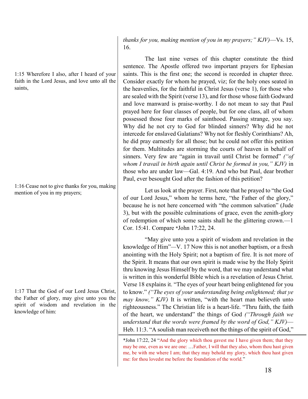1:15 Wherefore I also, after I heard of your faith in the Lord Jesus, and love unto all the saints,

1:16 Cease not to give thanks for you, making mention of you in my prayers;

1:17 That the God of our Lord Jesus Christ, the Father of glory, may give unto you the spirit of wisdom and revelation in the knowledge of him:

*thanks for you, making mention of you in my prayers;" KJV)*—Vs. 15, 16.

The last nine verses of this chapter constitute the third sentence. The Apostle offered two important prayers for Ephesian saints. This is the first one; the second is recorded in chapter three. Consider exactly for whom he prayed, viz; for the holy ones seated in the heavenlies, for the faithful in Christ Jesus (verse 1), for those who are sealed with the Spirit (verse 13), and for those whose faith Godward and love manward is praise-worthy. I do not mean to say that Paul prayed here for four classes of people, but for one class, all of whom possessed those four marks of sainthood. Passing strange, you say. Why did he not cry to God for blinded sinners? Why did he not intercede for enslaved Galatians? Why not for fleshly Corinthians? Ah, he did pray earnestly for all those; but he could not offer this petition for them. Multitudes are storming the courts of heaven in behalf of sinners. Very few are "again in travail until Christ be formed" *("of whom I travail in birth again until Christ be formed in you," KJV)* in those who are under law—Gal. 4:19. And who but Paul, dear brother Paul, ever besought God after the fashion of this petition?

Let us look at the prayer. First, note that he prayed to "the God of our Lord Jesus," whom he terms here, "the Father of the glory," because he is not here concerned with "the common salvation" (Jude 3), but with the possible culminations of grace, even the zenith-glory of redemption of which some saints shall he the glittering crown.—1 Cor. 15:41. Compare \*John 17:22, 24.

"May give unto you a spirit of wisdom and revelation in the knowledge of Him"*—*V. 17 Now this is not another baptism, or a fresh anointing with the Holy Spirit; not a baptism of fire. It is not more of the Spirit. It means that our own spirit is made wise by the Holy Spirit thru knowing Jesus Himself by the word, that we may understand what is written in this wonderful Bible which is a revelation of Jesus Christ. Verse 18 explains it. "The eyes of your heart being enlightened for you to know." *("The eyes of your understanding being enlightened; that ye may know," KJV)* It is written, "with the heart man believeth unto righteousness." The Christian life is a heart-life. "Thru faith, the faith of the heart, we understand" the things of God *("Through faith we understand that the words were framed by the word of God," KJV)*— Heb. 11:3. "A soulish man receiveth not the things of the spirit of God,"

<sup>\*</sup>John 17:22, 24 "And the glory which thou gavest me I have given them; that they may be one, even as we are one: …Father, I will that they also, whom thou hast given me, be with me where I am; that they may behold my glory, which thou hast given me: for thou lovedst me before the foundation of the world."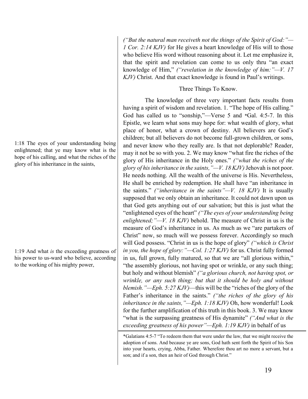1:18 The eyes of your understanding being enlightened; that ye may know what is the hope of his calling, and what the riches of the glory of his inheritance in the saints,

1:19 And what *is* the exceeding greatness of his power to us-ward who believe, according to the working of his mighty power,

*("But the natural man receiveth not the things of the Spirit of God:"— 1 Cor. 2:14 KJV)* for He gives a heart knowledge of His will to those who believe His word without reasoning about it. Let me emphasize it, that the spirit and revelation can come to us only thru "an exact knowledge of Him," *("revelation in the knowledge of him:"—V. 17 KJV)* Christ. And that exact knowledge is found in Paul's writings.

#### Three Things To Know.

The knowledge of three very important facts results from having a spirit of wisdom and revelation. 1. "The hope of His calling." God has called us to "sonship,"—Verse 5 and \*Gal. 4:5-7. In this Epistle, we learn what sons may hope for: what wealth of glory, what place of honor, what a crown of destiny. All believers are God's children; but all believers do not become full-grown children, or sons, and never know who they really are. Is that not deplorable? Reader, may it not be so with you. 2. We may know "what fire the riches of the glory of His inheritance in the Holy ones." *("what the riches of the glory of his inheritance in the saints,"—V. 18 KJV)*Jehovah is not poor. He needs nothing. All the wealth of the universe is His. Nevertheless, He shall be enriched by redemption. He shall have "an inheritance in the saints." *("inheritance in the saints"—V. 18 KJV)* It is usually supposed that we only obtain an inheritance. It could not dawn upon us that God gets anything out of our salvation; but this is just what the "enlightened eyes of the heart" *("The eyes of your understanding being enlightened;"—V. 18 KJV)* behold. The measure of Christ in us is the measure of God's inheritance in us. As much as we "are partakers of Christ" now, so much will we possess forever. Accordingly so much will God possess. "Christ in us is the hope of glory" *("which is Christ in you, the hope of glory:"—Col. 1:27 KJV)* for us. Christ fully formed in us, full grown, fully matured, so that we are "all glorious within," "the assembly glorious, not having spot or wrinkle, or any such thing; but holy and without blemish" *("a glorious church, not having spot, or wrinkle, or any such thing; but that it should be holy and without blemish."—Eph. 5:27 KJV)*—this will be the "riches of the glory of the Father's inheritance in the saints." *("the riches of the glory of his inheritance in the saints,"—Eph. 1:18 KJV)* Oh, how wonderful! Look for the further amplification of this truth in this book. 3. We may know "what is the surpassing greatness of His dynamite" *("And what is the exceeding greatness of his power"—Eph. 1:19 KJV)* in behalf of us

\*Galatians 4:5-7 "To redeem them that were under the law, that we might receive the adoption of sons. And because ye are sons, God hath sent forth the Spirit of his Son into your hearts, crying, Abba, Father. Wherefore thou art no more a servant, but a son; and if a son, then an heir of God through Christ."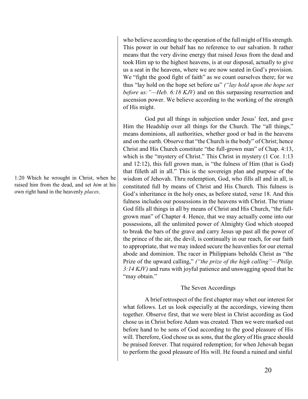1:20 Which he wrought in Christ, when he raised him from the dead, and set *him* at his own right hand in the heavenly *places,*

who believe according to the operation of the full might of His strength. This power in our behalf has no reference to our salvation. It rather means that the very divine energy that raised Jesus from the dead and took Him up to the highest heavens, is at our disposal, actually to give us a seat in the heavens, where we are now seated in God's provision. We "fight the good fight of faith" as we count ourselves there; for we thus "lay hold on the hope set before us" *("lay hold upon the hope set before us:"—Heb. 6:18 KJV)* and on this surpassing resurrection and ascension power. We believe according to the working of the strength of His might.

God put all things in subjection under Jesus' feet, and gave Him the Headship over all things for the Church. The "all things," means dominions, all authorities, whether good or bad in the heavens and on the earth. Observe that "the Church is the body" of Christ; hence Christ and His Church constitute "the full-grown man" of Chap. 4:13, which is the "mystery of Christ." This Christ in mystery (1 Cor. 1:13 and 12:12), this full grown man, is "the fulness of Him (that is God) that filleth all in all." This is the sovereign plan and purpose of the wisdom of Jehovah. Thru redemption, God, who fills all and in all, is constituted full by means of Christ and His Church. This fulness is God's inheritance in the holy ones, as before stated, verse 18. And this fulness includes our possessions in the heavens with Christ. The triune God fills all things in all by means of Christ and His Church, "the fullgrown man" of Chapter 4. Hence, that we may actually come into our possessions, all the unlimited power of Almighty God which stooped to break the bars of the grave and carry Jesus up past all the power of the prince of the air, the devil, is continually in our reach, for our faith to appropriate, that we may indeed secure the heavenlies for our eternal abode and dominion. The racer in Philippians beholds Christ as "the Prize of the upward calling," *("the prize of the high calling"—Philip. 3:14 KJV)* and runs with joyful patience and unswagging speed that he "may obtain."

## The Seven Accordings

A brief retrospect of the first chapter may whet our interest for what follows. Let us look especially at the accordings, viewing them together. Observe first, that we were blest in Christ according as God chose us in Christ before Adam was created. Then we were marked out before hand to be sons of God according to the good pleasure of His will. Therefore, God chose us as sons, that the glory of His grace should be praised forever. That required redemption; for when Jehovah began to perform the good pleasure of His will. He found a ruined and sinful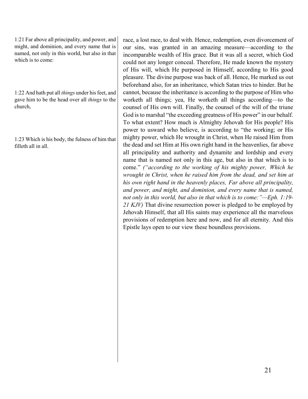1:21 Far above all principality, and power, and might, and dominion, and every name that is named, not only in this world, but also in that which is to come:

1:22 And hath put all *things* under his feet, and gave him to be the head over all *things* to the church,

1:23 Which is his body, the fulness of him that filleth all in all.

race, a lost race, to deal with. Hence, redemption, even divorcement of our sins, was granted in an amazing measure—according to the incomparable wealth of His grace. But it was all a secret, which God could not any longer conceal. Therefore, He made known the mystery of His will, which He purposed in Himself, according to His good pleasure. The divine purpose was back of all. Hence, He marked us out beforehand also, for an inheritance, which Satan tries to hinder. But he cannot, because the inheritance is according to the purpose of Him who worketh all things; yea, He worketh all things according—to the counsel of His own will. Finally, the counsel of the will of the triune God is to marshal "the exceeding greatness of His power" in our behalf. To what extent? How much is Almighty Jehovah for His people? His power to usward who believe, is according to "the working; or His mighty power, which He wrought in Christ, when He raised Him from the dead and set Him at His own right hand in the heavenlies, far above all principality and authority and dynamite and lordship and every name that is named not only in this age, but also in that which is to come." *("according to the working of his mighty power, Which he wrought in Christ, when he raised him from the dead, and set him at his own right hand in the heavenly places, Far above all principality, and power, and might, and dominion, and every name that is named, not only in this world, but also in that which is to come:"—Eph. 1:19- 21 KJV)* That divine resurrection power is pledged to be employed by Jehovah Himself, that all His saints may experience all the marvelous provisions of redemption here and now, and for all eternity. And this Epistle lays open to our view these boundless provisions.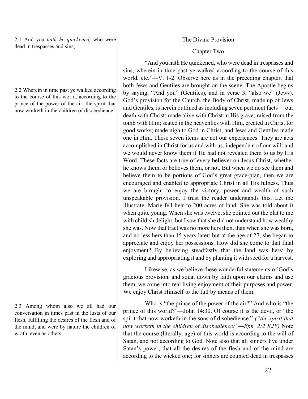2:1 And you *hath he quickened,* who were dead in trespasses and sins;

2:2 Wherein in time past ye walked according to the course of this world, according to the prince of the power of the air, the spirit that now worketh in the children of disobedience:

2:3 Among whom also we all had our conversation in times past in the lusts of our flesh, fulfilling the desires of the flesh and of the mind; and were by nature the children of wrath, even as others.

The Divine Provision

#### Chapter Two

"And you hath He quickened, who were dead in trespasses and sins, wherein in time past ye walked according to the course of this world, etc."—V. 1-2. Observe here as in the preceding chapter, that both Jews and Gentiles are brought on the scene. The Apostle begins by saying, "And you" (Gentiles), and in verse 3, "also we" (Jews). God's provision for the Church, the Body of Christ, made up of Jews and Gentiles, is herein outlined as including seven pertinent facts —our death with Christ; made alive with Christ in His grave; raised from the tomb with Him; seated in the heavenlies with Him, created in Christ for good works; made nigh to God in Christ; and Jews and Gentiles made one in Him. These seven items are not our experiences. They are acts accomplished in Christ for us and with us, independent of our will: and we would never know them if He had not revealed them to us by His Word. These facts are true of every believer on Jesus Christ, whether he knows them, or believes them, or not. But when we do see them and believe them to be portions of God's great grace-plan, then we are encouraged and enabled to appropriate Christ in all His fulness. Thus we are brought to enjoy the victory, power and wealth of such unspeakable provision. I trust the reader understands this. Let me illustrate. Marie fell heir to 200 acres of land. She was told about it when quite young. When she was twelve, she pointed out the plat to me with childish delight; but I saw that she did not understand how wealthy she was. Now that tract was no more hers then, than when she was born, and no less hers than 15 years later; but at the age of 27, she began to appreciate and enjoy her possessions. How did she come to that final enjoyment? By believing steadfastly that the land was hers; by exploring and appropriating it and by planting it with seed for a harvest.

Likewise, as we believe these wonderful statements of God's gracious provision, and squat down by faith upon our claims and use them, we come into real living enjoyment of their purposes and power. We enjoy Christ Himself to the full by means of them.

Who is "the prince of the power of the air?" And who is "the prince of this world?"—John 14:30. Of course it is the devil, or "the spirit that now worketh in the sons of disobedience." *("the spirit that now worketh in the children of disobedience:"—Eph. 2:2 KJV)* Note that the course (literally, age) of this world is according to the will of Satan, and not according to God. Note also that all sinners live under Satan's power; that all the desires of the flesh and of the mind are according to the wicked one; for sinners are counted dead in trespasses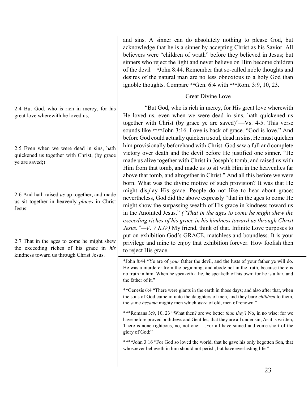2:4 But God, who is rich in mercy, for his great love wherewith he loved us,

2:5 Even when we were dead in sins, hath quickened us together with Christ, (by grace ye are saved;)

2:6 And hath raised *us* up together, and made us sit together in heavenly *places* in Christ Jesus:

2:7 That in the ages to come he might shew the exceeding riches of his grace in *his* kindness toward us through Christ Jesus.

and sins. A sinner can do absolutely nothing to please God, but acknowledge that he is a sinner by accepting Christ as his Savior. All believers were "children of wrath" before they believed in Jesus; but sinners who reject the light and never believe on Him become children of the devil—\*John 8:44. Remember that so-called noble thoughts and desires of the natural man are no less obnoxious to a holy God than ignoble thoughts. Compare \*\*Gen. 6:4 with \*\*\*Rom. 3:9, 10, 23.

#### Great Divine Love

"But God, who is rich in mercy, for His great love wherewith He loved us, even when we were dead in sins, hath quickened us together with Christ (by grace ye are saved)"—Vs. 4-5. This verse sounds like \*\*\*\*John 3:16. Love is back of grace. "God is love." And before God could actually quicken a soul, dead in sins, He must quicken him provisionally beforehand with Christ. God saw a full and complete victory over death and the devil before He justified one sinner. "He made us alive together with Christ in Joseph's tomb, and raised us with Him from that tomb, and made us to sit with Him in the heavenlies far above that tomb, and altogether in Christ." And all this before we were born. What was the divine motive of such provision? It was that He might display His grace. People do not like to hear about grace; nevertheless, God did the above expressly "that in the ages to come He might show the surpassing wealth of His grace in kindness toward us in the Anointed Jesus." *("That in the ages to come he might shew the exceeding riches of his grace in his kindness toward us through Christ Jesus."—V. 7 KJV)* My friend, think of that. Infinite Love purposes to put on exhibition God's GRACE, matchless and boundless. It is your privilege and mine to enjoy that exhibition forever. How foolish then to reject His grace.

\*John 8:44 "Ye are of *your* father the devil, and the lusts of your father ye will do. He was a murderer from the beginning, and abode not in the truth, because there is no truth in him. When he speaketh a lie, he speaketh of his own: for he is a liar, and the father of it."

\*\*Genesis 6:4 "There were giants in the earth in those days; and also after that, when the sons of God came in unto the daughters of men, and they bare *children* to them, the same *became* mighty men which *were* of old, men of renown."

\*\*\*Romans 3:9, 10, 23 "What then? are we better *than they*? No, in no wise: for we have before proved both Jews and Gentiles, that they are all under sin; As it is written, There is none righteous, no, not one: …For all have sinned and come short of the glory of God;"

\*\*\*\*John 3:16 "For God so loved the world, that he gave his only begotten Son, that whosoever believeth in him should not perish, but have everlasting life."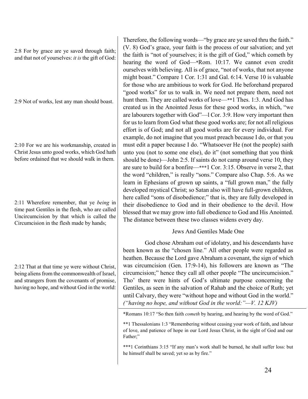2:8 For by grace are ye saved through faith; and that not of yourselves: *it is* the gift of God:

2:9 Not of works, lest any man should boast.

2:10 For we are his workmanship, created in Christ Jesus unto good works, which God hath before ordained that we should walk in them.

2:11 Wherefore remember, that ye *being* in time past Gentiles in the flesh, who are called Uncircumcision by that which is called the Circumcision in the flesh made by hands;

2:12 That at that time ye were without Christ, being aliens from the commonwealth of Israel, and strangers from the covenants of promise, having no hope, and without God in the world:

Therefore, the following words—"by grace are ye saved thru the faith." (V. 8) God's grace, your faith is the process of our salvation; and yet the faith is "not of yourselves; it is the gift of God," which cometh by hearing the word of God—\*Rom. 10:17. We cannot even credit ourselves with believing. All is of grace, "not of works, that not anyone might boast." Compare 1 Cor. 1:31 and Gal. 6:14. Verse 10 is valuable for those who are ambitious to work for God. He beforehand prepared "good works" for us to walk in. We need not prepare them, need not hunt them. They are called works of love—\*\*1 Thes. 1:3. And God has created us in the Anointed Jesus for these good works, in which, "we are labourers together with God"—l Cor. 3:9. How very important then for us to learn from God what these good works are; for not all religious effort is of God; and not all good works are for every individual. For example, do not imagine that you must preach because I do, or that you must edit a paper because I do. "Whatsoever He (not the people) saith unto you (not to some one else), do it" (not something that you think should be done)—John 2:5. If saints do not camp around verse 10, they are sure to build for a bonfire—\*\*\*1 Cor. 3:15. Observe in verse 2, that the word "children," is really "sons." Compare also Chap. 5:6. As we learn in Ephesians of grown up saints, a "full grown man," the fully developed mystical Christ; so Satan also will have full-grown children, here called "sons of disobedience;" that is, they are fully developed in their disobedience to God and in their obedience to the devil. How blessed that we may grow into full obedience to God and His Anointed. The distance between these two classes widens every day.

# Jews And Gentiles Made One

God chose Abraham out of idolatry, and his descendants have been known as the "chosen line." All other people were regarded as heathen. Because the Lord gave Abraham a covenant, the sign of which was circumcision (Gen. 17:9-14), his followers are known as "The circumcision;" hence they call all other people "The uncircumcision." Tho' there were hints of God's ultimate purpose concerning the Gentiles, as seen in the salvation of Rahab and the choice of Ruth; yet until Calvary, they were "without hope and without God in the world." *("having no hope, and without God in the world:"—V. 12 KJV)*

\*Romans 10:17 "So then faith *cometh* by hearing, and hearing by the word of God."

\*\*\*1 Corinthians 3:15 "If any man's work shall be burned, he shall suffer loss: but he himself shall be saved; yet so as by fire."

<sup>\*\*1</sup> Thessalonians 1:3 "Remembering without ceasing your work of faith, and labour of love, and patience of hope in our Lord Jesus Christ, in the sight of God and our Father:"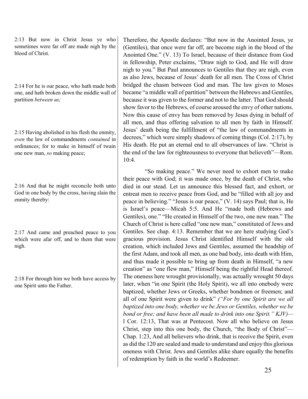2:13 But now in Christ Jesus ye who sometimes were far off are made nigh by the blood of Christ.

2:14 For he is our peace, who hath made both one, and hath broken down the middle wall of partition *between us;*

2:15 Having abolished in his flesh the enmity, *even* the law of commandments *contained* in ordinances; for to make in himself of twain one new man, *so* making peace;

2:16 And that he might reconcile both unto God in one body by the cross, having slain the enmity thereby:

2:17 And came and preached peace to you which were afar off, and to them that were nigh.

2:18 For through him we both have access by one Spirit unto the Father.

Therefore, the Apostle declares: "But now in the Anointed Jesus, ye (Gentiles), that once were far off, are become nigh in the blood of the Anointed One." (V. 13) To Israel, because of their distance from God in fellowship, Peter exclaims, "Draw nigh to God, and He will draw nigh to you." But Paul announces to Gentiles that they are nigh, even as also Jews, because of Jesus' death for all men. The Cross of Christ bridged the chasm between God and man. The law given to Moses became "a middle wall of partition" between the Hebrews and Gentiles, because it was given to the former and not to the latter. That God should show favor to the Hebrews, of course aroused the envy of other nations. Now this cause of envy has been removed by Jesus dying in behalf of all men, and thus offering salvation to all men by faith in Himself. Jesus' death being the fulfillment of "the law of commandments in decrees," which were simply shadows of coming things (Col. 2:17), by His death. He put an eternal end to all observances of law. "Christ is the end of the law for righteousness to everyone that believeth"—Rom. 10:4.

"So making peace." We never need to exhort men to make their peace with God; it was made once, by the death of Christ, who died in our stead. Let us announce this blessed fact, and exhort, or entreat men to receive peace from God, and be "filled with all joy and peace in believing." "Jesus is our peace," (V. 14) says Paul; that is, He is Israel's peace—Micah 5:5. And He "made both (Hebrews and Gentiles), one." "He created in Himself of the two, one new man." The Church of Christ is here called "one new man," constituted of Jews and Gentiles. See chap. 4:13. Remember that we are here studying God's gracious provision. Jesus Christ identified Himself with the old creation, which included Jews and Gentiles, assumed the headship of the first Adam, and took all men, as one bad body, into death with Him, and thus made it possible to bring up from death in Himself, "a new creation" as "one flew man," Himself being the rightful Head thereof. The oneness here wrought provisionally, was actually wrought 50 days later, when "in one Spirit (the Holy Spirit), we all into onebody were baptized, whether Jews or Greeks, whether bondmen or freemen; and all of one Spirit were given to drink" *("For by one Spirit are we all baptized into one body, whether we be Jews or Gentiles, whether we be bond or free; and have been all made to drink into one Spirit." KJV)* l Cor. 12:13, That was at Pentecost. Now all who believe on Jesus Christ, step into this one body, the Church, "the Body of Christ"— Chap. 1:23, And all believers who drink, that is receive the Spirit, even as did the 120 are sealed and made to understand and enjoy this glorious oneness with Christ. Jews and Gentiles alike share equally the benefits of redemption by faith in the world's Redeemer.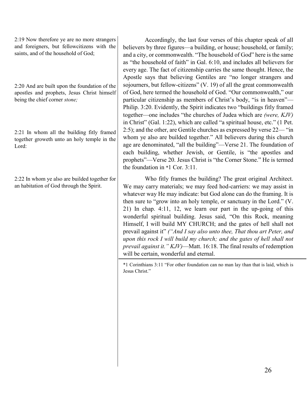2:19 Now therefore ye are no more strangers and foreigners, but fellowcitizens with the saints, and of the household of God;

2:20 And are built upon the foundation of the apostles and prophets, Jesus Christ himself being the chief corner *stone;*

2:21 In whom all the building fitly framed together groweth unto an holy temple in the Lord:

2:22 In whom ye also are builded together for an habitation of God through the Spirit.

Accordingly, the last four verses of this chapter speak of all believers by three figures—a building, or house; household, or family; and a city, or commonwealth. "The household of God" here is the same as "the household of faith" in Gal. 6:10, and includes all believers for every age. The fact of citizenship carries the same thought. Hence, the Apostle says that believing Gentiles are "no longer strangers and sojourners, but fellow-citizens" (V. 19) of all the great commonwealth of God, here termed the household of God. "Our commonwealth," our particular citizenship as members of Christ's body, "is in heaven"— Philip. 3:20. Evidently, the Spirit indicates two "buildings fitly framed together—one includes "the churches of Judea which are *(were, KJV)* in Christ" (Gal. 1:22), which are called "a spiritual house, etc." (1 Pet. 2:5); and the other, are Gentile churches as expressed by verse 22— "in whom ye also are builded together." All believers during this church age are denominated, "all the building"—Verse 21. The foundation of each building, whether Jewish, or Gentile, is "the apostles and prophets"—Verse 20. Jesus Christ is "the Corner Stone." He is termed the foundation in \*1 Cor. 3:11.

Who fitly frames the building? The great original Architect. We may carry materials; we may feed hod-carriers: we may assist in whatever way He may indicate: but God alone can do the framing. It is then sure to "grow into an holy temple, or sanctuary in the Lord." (V. 21) In chap. 4:11, 12, we learn our part in the up-going of this wonderful spiritual building. Jesus said, "On this Rock, meaning Himself, I will build MY CHURCH; and the gates of hell shall not prevail against it" *("And I say also unto thee, That thou art Peter, and upon this rock I will build my church; and the gates of hell shall not prevail against it." KJV)*—Matt. 16:18. The final results of redemption will be certain, wonderful and eternal.

\*1 Corinthians 3:11 "For other foundation can no man lay than that is laid, which is Jesus Christ."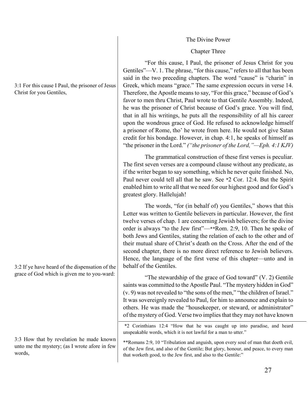#### The Divine Power

#### Chapter Three

"For this cause, I Paul, the prisoner of Jesus Christ for you Gentiles"—V. 1. The phrase, "for this cause," refers to all that has been said in the two preceding chapters. The word "cause" is "charin" in Greek, which means "grace." The same expression occurs in verse 14. Therefore, the Apostle means to say, "For this grace," because of God's favor to men thru Christ, Paul wrote to that Gentile Assembly. Indeed, he was the prisoner of Christ because of God's grace. You will find, that in all his writings, he puts all the responsibility of all his career upon the wondrous grace of God. He refused to acknowledge himself a prisoner of Rome, tho' he wrote from here. He would not give Satan credit for his bondage. However, in chap. 4:1, he speaks of himself as "the prisoner in the Lord." *("the prisoner of the Lord,"—Eph. 4:1 KJV)*

The grammatical construction of these first verses is peculiar. The first seven verses are a compound clause without any predicate, as if the writer began to say something, which he never quite finished. No, Paul never could tell all that he saw. See \*2 Cor. 12:4. But the Spirit enabled him to write all that we need for our highest good and for God's greatest glory. Hallelujah!

The words, "for (in behalf of) you Gentiles," shows that this Letter was written to Gentile believers in particular. However, the first twelve verses of chap. 1 are concerning Jewish believers; for the divine order is always "to the Jew first"—\*\*Rom. 2:9, 10. Then he spoke of both Jews and Gentiles, stating the relation of each to the other and of their mutual share of Christ's death on the Cross. After the end of the second chapter, there is no more direct reference to Jewish believers. Hence, the language of the first verse of this chapter—unto and in behalf of the Gentiles.

"The stewardship of the grace of God toward" (V. 2) Gentile saints was committed to the Apostle Paul. "The mystery hidden in God" (v. 9) was not revealed to "the sons of the men," "the children of Israel." It was sovereignly revealed to Paul, for him to announce and explain to others. He was made the "housekeeper, or steward, or administrator" of the mystery of God. Verse two implies that they may not have known

\*2 Corinthians 12:4 "How that he was caught up into paradise, and heard unspeakable words, which it is not lawful for a man to utter."

\*\*Romans 2:9, 10 "Tribulation and anguish, upon every soul of man that doeth evil, of the Jew first, and also of the Gentile; But glory, honour, and peace, to every man that worketh good, to the Jew first, and also to the Gentile:"

3:1 For this cause I Paul, the prisoner of Jesus Christ for you Gentiles,

3:2 If ye have heard of the dispensation of the grace of God which is given me to you-ward:

3:3 How that by revelation he made known unto me the mystery; (as I wrote afore in few words,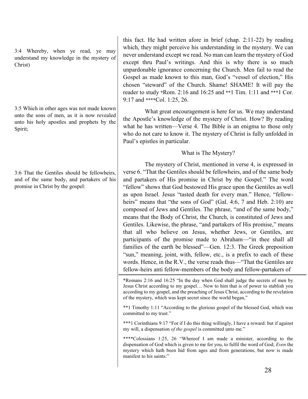3:4 Whereby, when ye read, ye may understand my knowledge in the mystery of Christ)

3:5 Which in other ages was not made known unto the sons of men, as it is now revealed unto his holy apostles and prophets by the Spirit;

3:6 That the Gentiles should be fellowheirs, and of the same body, and partakers of his promise in Christ by the gospel:

this fact. He had written afore in brief (chap. 2:11-22) by reading which, they might perceive his understanding in the mystery. We can never understand except we read. No man can learn the mystery of God except thru Paul's writings. And this is why there is so much unpardonable ignorance concerning the Church. Men fail to read the Gospel as made known to this man, God's "vessel of election," His chosen "steward" of the Church. Shame! SHAME! It will pay the reader to study \*Rom. 2:16 and 16:25 and \*\*1 Tim. 1:11 and \*\*\*1 Cor. 9:17 and \*\*\*\*Col. 1:25, 26.

What great encouragement is here for us. We may understand the Apostle's knowledge of the mystery of Christ. How? By reading what he has written—Verse 4. The Bible is an enigma to those only who do not care to know it. The mystery of Christ is fully unfolded in Paul's epistles in particular.

# What is The Mystery?

The mystery of Christ, mentioned in verse 4, is expressed in verse 6. "That the Gentiles should be fellowheirs, and of the same body and partakers of His promise in Christ by the Gospel." The word "fellow" shows that God bestowed His grace upon the Gentiles as well as upon Israel. Jesus "tasted death for every man." Hence, "fellowheirs" means that "the sons of God" (Gal. 4:6, 7 and Heb. 2:10) are composed of Jews and Gentiles. The phrase, "and of the same body," means that the Body of Christ, the Church, is constituted of Jews and Gentiles. Likewise, the phrase, "and partakers of His promise," means that all who believe on Jesus, whether Jews, or Gentiles, are participants of the promise made to Abraham—"in thee shall all families of the earth be blessed"—Gen. 12:3. The Greek preposition "sun," meaning, joint, with, fellow, etc., is a prefix to each of these words. Hence, in the R.V., the verse reads thus—"That the Gentiles are fellow-heirs anti fellow-members of the body and fellow-partakers of

\*Romans 2:16 and 16:25 "In the day when God shall judge the secrets of men by Jesus Christ according to my gospel… Now to him that is of power to stablish you according to my gospel, and the preaching of Jesus Christ, according to the revelation of the mystery, which was kept secret since the world began,"

\*\*1 Timothy 1:11 "According to the glorious gospel of the blessed God, which was committed to my trust."

\*\*\*1 Corinthians 9:17 "For if I do this thing willingly, I have a reward: but if against my will, a dispensation *of the gospel* is committed unto me."

\*\*\*\*Colossians 1:25, 26 "Whereof I am made a minister, according to the dispensation of God which is given to me for you, to fulfil the word of God; *Even* the mystery which hath been hid from ages and from generations, but now is made manifest to his saints:"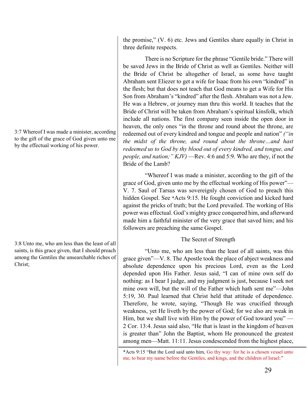3:7 Whereof I was made a minister, according to the gift of the grace of God given unto me by the effectual working of his power.

3:8 Unto me, who am less than the least of all saints, is this grace given, that I should preach among the Gentiles the unsearchable riches of Christ;

the promise," (V. 6) etc. Jews and Gentiles share equally in Christ in three definite respects.

There is no Scripture for the phrase "Gentile bride." There will be saved Jews in the Bride of Christ as well as Gentiles. Neither will the Bride of Christ be altogether of Israel, as some have taught Abraham sent Eliezer to get a wife for Isaac from his own "kindred" in the flesh; but that does not teach that God means to get a Wife for His Son from Abraham's "kindred" after the flesh. Abraham was not a Jew. He was a Hebrew, or journey man thru this world. It teaches that the Bride of Christ will be taken from Abraham's spiritual kinsfolk, which include all nations. The first company seen inside the open door in heaven, the only ones "in the throne and round about the throne, are redeemed out of every kindred and tongue and people and nation" *("in the midst of the throne, and round about the throne…and hast redeemed us to God by thy blood out of every kindred, and tongue, and people, and nation;" KJV)* —Rev. 4:6 and 5:9. Who are they, if not the Bride of the Lamb?

"Whereof I was made a minister, according to the gift of the grace of God, given unto me by the effectual working of His power"— V. 7. Saul of Tarsus was sovereignly chosen of God to preach this hidden Gospel. See \*Acts 9:15. He fought conviction and kicked hard against the pricks of truth; but the Lord prevailed. The working of His power was effectual. God's mighty grace conquered him, and afterward made him a faithful minister of the very grace that saved him; and his followers are preaching the same Gospel.

## The Secret of Strength

"Unto me, who am less than the least of all saints, was this grace given"—V. 8. The Apostle took the place of abject weakness and absolute dependence upon his precious Lord, even as the Lord depended upon His Father. Jesus said, "I can of mine own self do nothing: as I hear I judge, and my judgment is just, because I seek not mine own will, but the will of the Father which hath sent me"—John 5:19, 30. Paul learned that Christ held that attitude of dependence. Therefore, he wrote, saying, "Though He was crucified through weakness, yet He liveth by the power of God; for we also are weak in Him, but we shall live with Him by the power of God toward you" — 2 Cor. 13:4. Jesus said also, "He that is least in the kingdom of heaven is greater than" John the Baptist, whom He pronounced the greatest among men—Matt. 11:11. Jesus condescended from the highest place,

<sup>\*</sup>Acts 9:15 "But the Lord said unto him, Go thy way: for he is a chosen vessel unto me, to bear my name before the Gentiles, and kings, and the children of Israel:"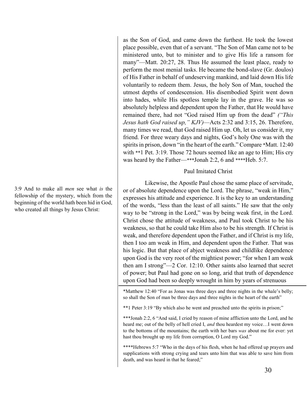3:9 And to make all *men* see what *is* the fellowship of the mystery, which from the beginning of the world hath been hid in God, who created all things by Jesus Christ:

as the Son of God, and came down the furthest. He took the lowest place possible, even that of a servant. "The Son of Man came not to be ministered unto, but to minister and to give His life a ransom for many"—Matt. 20:27, 28. Thus He assumed the least place, ready to perform the most menial tasks. He became the bond-slave (Gr. doulos) of His Father in behalf of undeserving mankind, and laid down His life voluntarily to redeem them. Jesus, the holy Son of Man, touched the utmost depths of condescension. His disembodied Spirit went down into hades, while His spotless temple lay in the grave. He was so absolutely helpless and dependent upon the Father, that He would have remained there, had not "God raised Him up from the dead" *("This Jesus hath God raised up," KJV)*—Acts 2:32 and 3:15, 26. Therefore, many times we read, that God raised Him up. Oh, let us consider it, my friend. For three weary days and nights, God's holy One was with the spirits in prison, down "in the heart of the earth." Compare \*Matt. 12:40 with \*\*1 Pet. 3:19. Those 72 hours seemed like an age to Him; His cry was heard by the Father—\*\*\*Jonah 2:2, 6 and \*\*\*\*Heb. 5:7.

#### Paul Imitated Christ

Likewise, the Apostle Paul chose the same place of servitude, or of absolute dependence upon the Lord. The phrase, "weak in Him," expresses his attitude and experience. It is the key to an understanding of the words, "less than the least of all saints." He saw that the only way to be "strong in the Lord," was by being weak first, in the Lord. Christ chose the attitude of weakness, and Paul took Christ to be his weakness, so that he could take Him also to be his strength. If Christ is weak, and therefore dependent upon the Father, and if Christ is my life, then I too am weak in Him, and dependent upon the Father. That was his logic. But that place of abject weakness and childlike dependence upon God is the very root of the mightiest power; "for when I am weak then am I strong"—2 Cor. 12:10. Other saints also learned that secret of power; but Paul had gone on so long, arid that truth of dependence upon God had been so deeply wrought in him by years of strenuous

\*Matthew 12:40 "For as Jonas was three days and three nights in the whale's belly; so shall the Son of man be three days and three nights in the heart of the earth"

\*\*1 Peter 3:19 "By which also he went and preached unto the spirits in prison;"

\*\*\*Jonah 2:2, 6 "And said, I cried by reason of mine affliction unto the Lord, and he heard me; out of the belly of hell cried I, *and* thou heardest my voice…I went down to the bottoms of the mountains; the earth with her bars *was* about me for ever: yet hast thou brought up my life from corruption, O Lord my God."

\*\*\*\*Hebrews 5:7 "Who in the days of his flesh, when he had offered up prayers and supplications with strong crying and tears unto him that was able to save him from death, and was heard in that he feared;"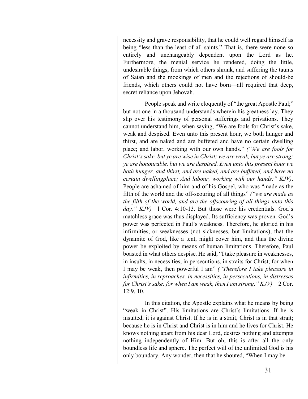necessity and grave responsibility, that he could well regard himself as being "less than the least of all saints." That is, there were none so entirely and unchangeably dependent upon the Lord as he. Furthermore, the menial service he rendered, doing the little, undesirable things, from which others shrank, and suffering the taunts of Satan and the mockings of men and the rejections of should-be friends, which others could not have born—all required that deep, secret reliance upon Jehovah.

People speak and write eloquently of "the great Apostle Paul;" but not one in a thousand understands wherein his greatness lay. They slip over his testimony of personal sufferings and privations. They cannot understand him, when saying, "We are fools for Christ's sake, weak and despised. Even unto this present hour, we both hunger and thirst, and are naked and are buffeted and have no certain dwelling place; and labor, working with our own hands." *("We are fools for Christ's sake, but ye are wise in Christ; we are weak, but ye are strong; ye are honourable, but we are despised. Even unto this present hour we both hunger, and thirst, and are naked, and are buffeted, and have no certain dwellingplace; And labour, working with our hands:" KJV)*. People are ashamed of him and of his Gospel, who was "made as the filth of the world and the off-scouring of all things" *("we are made as the filth of the world, and are the offscouring of all things unto this day." KJV)*—l Cor. 4:10-13. But those were his credentials. God's matchless grace was thus displayed. Its sufficiency was proven. God's power was perfected in Paul's weakness. Therefore, he gloried in his infirmities, or weaknesses (not sicknesses, but limitations), that the dynamite of God, like a tent, might cover him, and thus the divine power be exploited by means of human limitations. Therefore, Paul boasted in what others despise. He said, "I take pleasure in weaknesses, in insults, in necessities, in persecutions, in straits for Christ; for when I may be weak, then powerful I am" *("Therefore I take pleasure in infirmities, in reproaches, in necessities, in persecutions, in distresses for Christ's sake: for when I am weak, then I am strong." KJV)*—2 Cor. 12:9, 10.

In this citation, the Apostle explains what he means by being "weak in Christ". His limitations are Christ's limitations. If he is insulted, it is against Christ. If he is in a strait, Christ is in that strait; because he is in Christ and Christ is in him and he lives for Christ. He knows nothing apart from his dear Lord, desires nothing and attempts nothing independently of Him. But oh, this is after all the only boundless life and sphere. The perfect will of the unlimited God is his only boundary. Any wonder, then that he shouted, "When I may be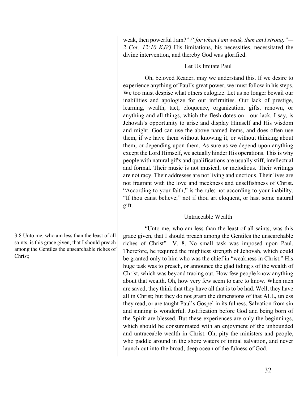weak, then powerful I am?" *("for when I am weak, then am I strong."— 2 Cor. 12:10 KJV)* His limitations, his necessities, necessitated the divine intervention, and thereby God was glorified.

## Let Us Imitate Paul

Oh, beloved Reader, may we understand this. If we desire to experience anything of Paul's great power, we must follow in his steps. We too must despise what others eulogize. Let us no longer bewail our inabilities and apologize for our infirmities. Our lack of prestige, learning, wealth, tact, eloquence, organization, gifts, renown, or anything and all things, which the flesh dotes on—our lack, I say, is Jehovah's opportunity to arise and display Himself and His wisdom and might. God can use the above named items, and does often use them, if we have them without knowing it, or without thinking about them, or depending upon them. As sure as we depend upon anything except the Lord Himself, we actually hinder His operations. This is why people with natural gifts and qualifications are usually stiff, intellectual and formal. Their music is not musical, or melodious. Their writings are not racy. Their addresses are not living and unctious. Their lives are not fragrant with the love and meekness and unselfishness of Christ. "According to your faith," is the rule; not according to your inability. "If thou canst believe;" not if thou art eloquent, or hast some natural gift.

## Untraceable Wealth

"Unto me, who am less than the least of all saints, was this grace given, that I should preach among the Gentiles the unsearchable riches of Christ"—V. 8. No small task was imposed upon Paul. Therefore, he required the mightiest strength of Jehovah, which could be granted only to him who was the chief in "weakness in Christ." His huge task was to preach, or announce the glad tiding s of the wealth of Christ, which was beyond tracing out. How few people know anything about that wealth. Oh, how very few seem to care to know. When men are saved, they think that they have all that is to be had. Well, they have all in Christ; but they do not grasp the dimensions of that ALL, unless they read, or are taught Paul's Gospel in its fulness. Salvation from sin and sinning is wonderful. Justification before God and being born of the Spirit are blessed. But these experiences are only the beginnings, which should be consummated with an enjoyment of the unbounded and untraceable wealth in Christ. Oh, pity the ministers and people, who paddle around in the shore waters of initial salvation, and never launch out into the broad, deep ocean of the fulness of God.

3:8 Unto me, who am less than the least of all saints, is this grace given, that I should preach among the Gentiles the unsearchable riches of Christ;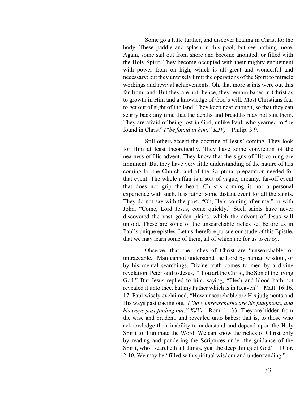Some go a little further, and discover healing in Christ for the body. These paddle and splash in this pool, but see nothing more. Again, some sail out from shore and become anointed, or filled with the Holy Spirit. They become occupied with their mighty enduement with power from on high, which is all great and wonderful and necessary: but they unwisely limit the operations of the Spirit to miracle workings and revival achievements. Oh, that more saints were out this far from land. But they are not; hence, they remain babes in Christ as to growth in Him and a knowledge of God's will. Most Christians fear to get out of sight of the land. They keep near enough, so that they can scurry back any time that the depths and breadths may not suit them. They are afraid of being lost in God, unlike Paul, who yearned to "be found in Christ" *("be found in him," KJV)*—Philip. 3:9.

Still others accept the doctrine of Jesus' coming. They look for Him at least theoretically. They have some conviction of the nearness of His advent. They know that the signs of His coming are imminent. But they have very little understanding of the nature of His coming for the Church, and of the Scriptural preparation needed for that event. The whole affair is a sort of vague, dreamy, far-off event that does not grip the heart. Christ's coming is not a personal experience with such. It is rather some distant event for all the saints. They do not say with the poet, "Oh, He's coming after me;" or with John. "Come, Lord Jesus, come quickly." Such saints have never discovered the vast golden plains, which the advent of Jesus will unfold. These are some of the unsearchable riches set before us in Paul's unique epistles. Let us therefore pursue our study of this Epistle, that we may learn some of them, all of which are for us to enjoy.

Observe, that the riches of Christ are "unsearchable, or untraceable." Man cannot understand the Lord by human wisdom, or by his mental searchings. Divine truth comes to men by a divine revelation. Peter said to Jesus, "Thou art the Christ, the Son of the living God." But Jesus replied to him, saying, "Flesh and blood hath not revealed it unto thee, but my Father which is in Heaven"—Matt. 16:16, 17. Paul wisely exclaimed, "How unsearchable are His judgments and His ways past tracing out" *("how unsearchable are his judgments, and his ways past finding out," KJV)*—Rom. 11:33. They are hidden from the wise and prudent, and revealed unto babes: that is, to those who acknowledge their inability to understand and depend upon the Holy Spirit to illuminate the Word. We can know the riches of Christ only by reading and pondering the Scriptures under the guidance of the Spirit, who "searcheth all things, yea, the deep things of God"—l Cor. 2:10. We may be "filled with spiritual wisdom and understanding."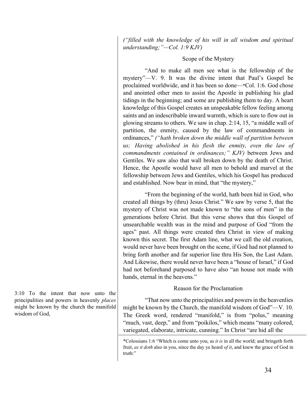*("filled with the knowledge of his will in all wisdom and spiritual understanding;"—Col. 1:9 KJV)*

# Scope of the Mystery

"And to make all men see what is the fellowship of the mystery"—V. 9. It was the divine intent that Paul's Gospel be proclaimed worldwide, and it has been so done—\*Col. 1:6. God chose and anointed other men to assist the Apostle in publishing his glad tidings in the beginning; and some are publishing them to day. A heart knowledge of this Gospel creates an unspeakable fellow feeling among saints and an indescribable inward warmth, which is sure to flow out in glowing streams to others. We saw in chap. 2:14, 15, "a middle wall of partition, the enmity, caused by the law of commandments in ordinances," *("hath broken down the middle wall of partition between us; Having abolished in his flesh the enmity, even the law of commandments contained in ordinances;" KJV)* between Jews and Gentiles. We saw also that wall broken down by the death of Christ. Hence, the Apostle would have all men to behold and marvel at the fellowship between Jews and Gentiles, which his Gospel has produced and established. Now bear in mind, that "the mystery,"

"From the beginning of the world, hath been hid in God, who created all things by (thru) Jesus Christ." We saw by verse 5, that the mystery of Christ was not made known to "the sons of men" in the generations before Christ. But this verse shows that this Gospel of unsearchable wealth was in the mind and purpose of God "from the ages" past. All things were created thru Christ in view of making known this secret. The first Adam line, what we call the old creation, would never have been brought on the scene, if God had not planned to bring forth another and far superior line thru His Son, the Last Adam. And Likewise, there would never have been a "house of Israel," if God had not beforehand purposed to have also "an house not made with hands, eternal in the heavens."

## Reason for the Proclamation

"That now unto the principalities and powers in the heavenlies might be known by the Church, the manifold wisdom of God"—V. 10. The Greek word, rendered "manifold," is from "polus," meaning "much, vast, deep," and from "poikilos," which means "many colored, variegated, elaborate, intricate, cunning." In Christ "are hid all the

3:10 To the intent that now unto the principalities and powers in heavenly *places*  might be known by the church the manifold wisdom of God,

<sup>\*</sup>Colossians 1:6 "Which is come unto you, as *it is* in all the world; and bringeth forth fruit, *as it doth* also in you, since the day ye heard *of it*, and knew the grace of God in truth:"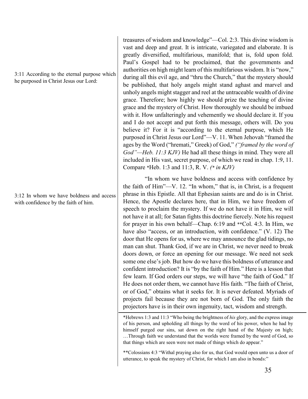#### 3:11 According to the eternal purpose which he purposed in Christ Jesus our Lord:

3:12 In whom we have boldness and access with confidence by the faith of him.

treasures of wisdom and knowledge"—Col. 2:3. This divine wisdom is vast and deep and great. It is intricate, variegated and elaborate. It is greatly diversified, multifarious, manifold; that is, fold upon fold. Paul's Gospel had to be proclaimed, that the governments and authorities on high might learn of this multifarious wisdom. It is "now," during all this evil age, and "thru the Church," that the mystery should be published, that holy angels might stand aghast and marvel and unholy angels might stagger and reel at the untraceable wealth of divine grace. Therefore; how highly we should prize the teaching of divine grace and the mystery of Christ. How thoroughly we should be imbued with it. How unfalteringly and vehemently we should declare it. If you and I do not accept and put forth this message, others will. Do you believe it? For it is "according to the eternal purpose, which He purposed in Christ Jesus our Lord"—V. 11. When Jehovah "framed the ages by the Word ("hremati," Greek) of God," *("framed by the word of God"—Heb. 11:3 KJV)* He had all these things in mind. They were all included in His vast, secret purpose, of which we read in chap. 1:9, 11. Compare \*Heb. 1:3 and 11:3, R. V. *(\* in KJV)*

"In whom we have boldness and access with confidence by the faith of Him"—V. 12. "In whom," that is, in Christ, is a frequent phrase in this Epistle. All that Ephesian saints are and do is in Christ. Hence, the Apostle declares here, that in Him, we have freedom of speech to proclaim the mystery. If we do not have it in Him, we will not have it at all; for Satan fights this doctrine fiercely. Note his request for prayer in his own behalf—Chap. 6:19 and \*\*Col. 4:3. In Him, we have also "access, or an introduction, with confidence." (V. 12) The door that He opens for us, where we may announce the glad tidings, no man can shut. Thank God, if we are in Christ, we never need to break doors down, or force an opening for our message. We need not seek some one else's job. But how do we have this boldness of utterance and confident introduction? It is "by the faith of Him." Here is a lesson that few learn. If God orders our steps, we will have "the faith of God." If He does not order them, we cannot have His faith. "The faith of Christ, or of God," obtains what it seeks for. It is never defeated. Myriads of projects fail because they are not born of God. The only faith the projectors have is in their own ingenuity, tact, wisdom and strength.

\*Hebrews 1:3 and 11:3 "Who being the brightness of *his* glory, and the express image of his person, and upholding all things by the word of his power, when he had by himself purged our sins, sat down on the right hand of the Majesty on high; …Through faith we understand that the worlds were framed by the word of God, so that things which are seen were not made of things which do appear."

\*\*Colossians 4:3 "Withal praying also for us, that God would open unto us a door of utterance, to speak the mystery of Christ, for which I am also in bonds:"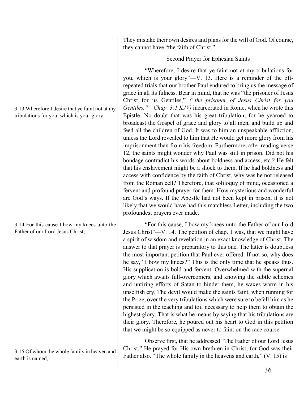3:13 Wherefore I desire that ye faint not at my tribulations for you, which is your glory.

3:14 For this cause I bow my knees unto the Father of our Lord Jesus Christ,

3:15 Of whom the whole family in heaven and earth is named,

They mistake their own desires and plans for the will of God. Of course, they cannot have "the faith of Christ."

Second Prayer for Ephesian Saints

"Wherefore, I desire that ye faint not at my tribulations for you, which is your glory"—V. 13. Here is a reminder of the oftrepeated trials that our brother Paul endured to bring us the message of grace in all its fulness. Bear in mind, that he was "the prisoner of Jesus Christ for us Gentiles," *("the prisoner of Jesus Christ for you Gentiles, "—Chap. 3:1 KJV)* incarcerated in Rome, when he wrote this Epistle. No doubt that was his great tribulation; for he yearned to broadcast the Gospel of grace and glory to all men, and build up and feed all the children of God. It was to him an unspeakable affliction, unless the Lord revealed to him that He would get more glory from his imprisonment than from his freedom. Furthermore, after reading verse 12, the saints might wonder why Paul was still in prison. Did not his bondage contradict his words about boldness and access, etc.? He felt that his enslavement might be a shock to them. If he had boldness and access with confidence by the faith of Christ, why was he not released from the Roman cell? Therefore, that soliloquy of mind, occasioned a fervent and profound prayer for them. How mysterious and wonderful are God's ways. If the Apostle had not been kept in prison, it is not likely that we would have had this matchless Letter, including the two profoundest prayers ever made.

"For this cause, I bow my knees unto the Father of our Lord Jesus Christ"—V. 14. The petition of chap. 1 was, that we might have a spirit of wisdom and revelation in an exact knowledge of Christ. The answer to that prayer is preparatory to this one. The latter is doubtless the most important petition that Paul ever offered. If not so, why does he say, "I bow my knees?" This is the only time that he speaks thus. His supplication is bold and fervent. Overwhelmed with the supernal glory which awaits full-overcomers, and knowing the subtle schemes and untiring efforts of Satan to hinder them, he waxes warm in his unselfish cry. The devil would make the saints faint, when running for the Prize, over the very tribulations which were sure to befall him as he persisted in the teaching and toil necessary to help them to obtain the highest glory. That is what he means by saying that his tribulations are their glory. Therefore, he poured out his heart to God in this petition that we might be so equipped as never to faint on the race course.

Observe first, that he addressed "The Father of our Lord Jesus Christ." He prayed for His own brethren in Christ; for God was their Father also. "The whole family in the heavens and earth," (V. 15) is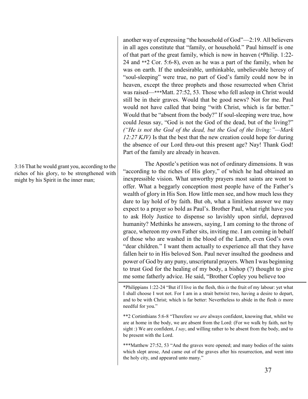another way of expressing "the household of God"—2:19. All believers in all ages constitute that "family, or household." Paul himself is one of that part of the great family, which is now in heaven (\*Philip. 1:22- 24 and \*\*2 Cor. 5:6-8), even as he was a part of the family, when he was on earth. If the undesirable, unthinkable, unbelievable heresy of "soul-sleeping" were true, no part of God's family could now be in heaven, except the three prophets and those resurrected when Christ was raised—\*\*\*Matt. 27:52, 53. Those who fell asleep in Christ would still be in their graves. Would that be good news? Not for me. Paul would not have called that being "with Christ, which is far better." Would that be "absent from the body?" If soul-sleeping were true, how could Jesus say, "God is not the God of the dead, but of the living?" *("He is not the God of the dead, but the God of the living:"—Mark 12:27 KJV)* Is that the best that the new creation could hope for during the absence of our Lord thru-out this present age? Nay! Thank God! Part of the family are already in heaven.

The Apostle's petition was not of ordinary dimensions. It was "according to the riches of His glory," of which he had obtained an inexpressible vision. What unworthy prayers most saints are wont to offer. What a beggarly conception most people have of the Father's wealth of glory in His Son. How little men see, and how much less they dare to lay hold of by faith. But oh, what a limitless answer we may expect to a prayer so bold as Paul's. Brother Paul, what right have you to ask Holy Justice to dispense so lavishly upon sinful, depraved humanity? Methinks he answers, saying, I am coming to the throne of grace, whereon my own Father sits, inviting me. I am coming in behalf of those who are washed in the blood of the Lamb, even God's own "dear children." I want them actually to experience all that they have fallen heir to in His beloved Son. Paul never insulted the goodness and power of God by any puny, unscriptural prayers. When I was beginning to trust God for the healing of my body, a bishop (?) thought to give me some fatherly advice. He said, "Brother Copley you believe too

\*Philippians 1:22-24 "But if I live in the flesh, this *is* the fruit of my labour: yet what I shall choose I wot not. For I am in a strait betwixt two, having a desire to depart, and to be with Christ; which is far better: Nevertheless to abide in the flesh *is* more needful for you."

\*\*2 Cortinthians 5:6-8 "Therefore *we are* always confident, knowing that, whilst we are at home in the body, we are absent from the Lord: (For we walk by faith, not by sight :) We are confident, *I say*, and willing rather to be absent from the body, and to be present with the Lord.

\*\*\*Matthew 27:52, 53 "And the graves were opened; and many bodies of the saints which slept arose, And came out of the graves after his resurrection, and went into the holy city, and appeared unto many."

3:16 That he would grant you, according to the riches of his glory, to be strengthened with might by his Spirit in the inner man;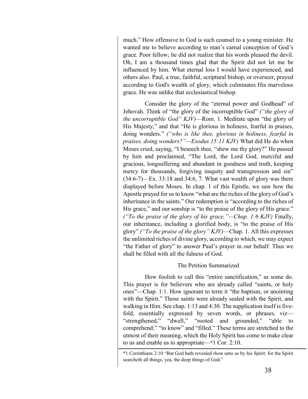much." How offensive to God is such counsel to a young minister. He wanted me to believe according to man's carnal conception of God's grace. Poor fellow; he did not realize that his words pleased the devil. Oh, I am a thousand times glad that the Spirit did not let me be influenced by him. What eternal loss I would have experienced, and others also. Paul, a true, faithful, scriptural bishop, or overseer, prayed according to God's wealth of glory, which culminates His marvelous grace. He was unlike that ecclesiastical bishop.

Consider the glory of the "eternal power and Godhead" of Jehovah. Think of "the glory of the incorruptible God" *("the glory of the uncorruptible God" KJV)*—Rom. 1. Meditate upon "the glory of His Majesty," and that "He is glorious in holiness, fearful in praises, doing wonders." *("who is like thee, glorious in holiness, fearful in praises, doing wonders?"—Exodus 15:11 KJV)* What did He do when Moses cried, saying, "I beseech thee, "shew me thy glory?" He passed by him and proclaimed, "The Lord, the Lord God, merciful and gracious, longsuffering and abundant in goodness and truth, keeping mercy for thousands, forgiving iniquity and transgression and sin"  $(34:6-7)$ —Ex. 33:18 and 34:6, 7. What vast wealth of glory was there displayed before Moses. In chap. 1 of this Epistle, we saw how the Apostle prayed for us to know "what are the riches of the glory of God's inheritance in the saints." Our redemption is "according to the riches of His grace," and our sonship is "to the praise of the glory of His grace." *("To the praise of the glory of his grace,"—Chap. 1:6 KJV)* Finally, our inheritance, including a glorified body, is "to the praise of His glory" *("To the praise of the glory" KJV)*—Chap. 1. All this expresses the unlimited riches of divine glory, according to which, we may expect "the Father of glory" to answer Paul's prayer in our behalf. Thus we shall be filled with all the fulness of God.

# The Petition Summarized

How foolish to call this "entire sanctification," as some do. This prayer is for believers who are already called "saints, or holy ones"—Chap. 1:1. How ignorant to term it "the baptism, or anointing with the Spirit." Those saints were already sealed with the Spirit, and walking in Him. See chap. 1:13 and 4:30. The supplication itself is fivefold, essentially expressed by seven words, or phrases, viz-"strengthened," "dwell," "rooted and grounded," "able to comprehend;" "to know" and "filled." These terms are stretched to the utmost of their meaning, which the Holy Spirit has come to make clear to us and enable us to appropriate—\*1 Cor. 2:10.

<sup>\*1</sup> Corinthians 2:10 "But God hath revealed *them* unto us by his Spirit: for the Spirit searcheth all things, yea, the deep things of God."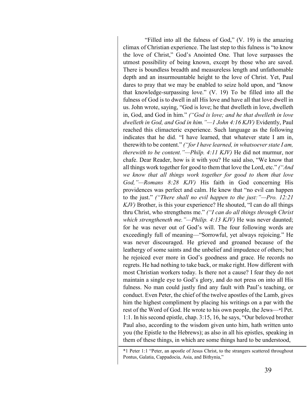"Filled into all the fulness of God," (V. 19) is the amazing climax of Christian experience. The last step to this fulness is "to know the love of Christ," God's Anointed One. That love surpasses the utmost possibility of being known, except by those who are saved. There is boundless breadth and measureless length and unfathomable depth and an insurmountable height to the love of Christ. Yet, Paul dares to pray that we may be enabled to seize hold upon, and "know that knowledge-surpassing love." (V. 19) To be filled into all the fulness of God is to dwell in all His love and have all that love dwell in us. John wrote, saying, "God is love; he that dwelleth in love, dwelleth in, God, and God in him." *("God is love; and he that dwelleth in love dwelleth in God, and God in him."—1 John 4:16 KJV)* Evidently, Paul reached this climacteric experience. Such language as the following indicates that he did. "I have learned, that whatever state I am in, therewith to be content." *("for I have learned, in whatsoever state I am, therewith to be content."—Philp. 4:11 KJV)* He did not murmur, nor chafe. Dear Reader, how is it with you? He said also, "We know that all things work together for good to them that love the Lord, etc." *("And we know that all things work together for good to them that love God,"—Romans 8:28 KJV)* His faith in God concerning His providences was perfect and calm. He knew that "no evil can happen to the just." *("There shall no evil happen to the just:"—Pro. 12:21 KJV)* Brother, is this your experience? He shouted, "I can do all things thru Christ, who strengthens me." *("I can do all things through Christ which strengtheneth me."—Philip. 4:13 KJV)* He was never daunted; for he was never out of God's will. The four following words are exceedingly full of meaning—"Sorrowful, yet always rejoicing." He was never discouraged. He grieved and groaned because of the leathergy of some saints and the unbelief and impudence of others; but he rejoiced ever more in God's goodness and grace. He records no regrets. He had nothing to take back, or make right. How different with most Christian workers today. Is there not a cause? I fear they do not maintain a single eye to God's glory, and do not press on into all His fulness. No man could justly find any fault with Paul's teaching, or conduct. Even Peter, the chief of the twelve apostles of the Lamb, gives him the highest compliment by placing his writings on a par with the rest of the Word of God. He wrote to his own people, the Jews—\*l Pet. 1:1. In his second epistle, chap. 3:15, 16, he says, "Our beloved brother Paul also, according to the wisdom given unto him, hath written unto you (the Epistle to the Hebrews); as also in all his epistles, speaking in them of these things, in which are some things hard to be understood,

<sup>\*1</sup> Peter 1:1 "Peter, an apostle of Jesus Christ, to the strangers scattered throughout Pontus, Galatia, Cappadocia, Asia, and Bithynia,"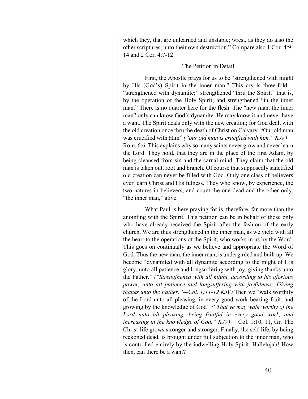which they, that are unlearned and unstable; wrest, as they do also the other scriptures, unto their own destruction." Compare also 1 Cor. 4:9- 14 and 2 Cor. 4:7-12.

# The Petition in Detail

First, the Apostle prays for us to be "strengthened with might by His (God's) Spirit in the inner man." This cry is three-fold— "strengthened with dynamite;" strengthened "thru the Spirit," that is, by the operation of the Holy Spirit; and strengthened "in the inner man." There is no quarter here for the flesh. The "new man, the inner man" only can know God's dynamite. He may know it and never have a want. The Spirit deals only with the new creation; for God dealt with the old creation once thru the death of Christ on Calvary. "Our old man was crucified with Him" *("our old man is crucified with him," KJV)*— Rom. 6:6. This explains why so many saints never grow and never learn the Lord. They hold, that they are in the place of the first Adam, by being cleansed from sin and the carnal mind. They claim that the old man is taken out, root and branch. Of course that supposedly sanctified old creation can never be filled with God. Only one class of believers ever learn Christ and His fulness. They who know, by experience, the two natures in believers, and count the one dead and the other only, "the inner man," alive.

What Paul is here praying for is, therefore, far more than the anointing with the Spirit. This petition can be in behalf of those only who have already received the Spirit after the fashion of the early church. We are thus strengthened in the inner man, as we yield with all the heart to the operations of the Spirit, who works in us by the Word. This goes on continually as we believe and appropriate the Word of God. Thus the new man, the inner man, is undergirded and built up. We become "dynamited with all dynamite according to the might of His glory, unto all patience and longsuffering with joy, giving thanks unto the Father." *("Strengthened with all might, according to his glorious power, unto all patience and longsuffering with joyfulness; Giving thanks unto the Father,"—Col. 1:11-12 KJV)* Then we "walk worthily of the Lord unto all pleasing, in every good work bearing fruit, and growing by the knowledge of God" *("That ye may walk worthy of the*  Lord unto all pleasing, being fruitful in every good work, and *increasing in the knowledge of God," KJV)*— Col. 1:10, 11, Gr. The Christ-life grows stronger and stronger. Finally, the self-life, by being reckoned dead, is brought under full subjection to the inner man, who is controlled entirely by the indwelling Holy Spirit. Hallelujah! How then, can there be a want?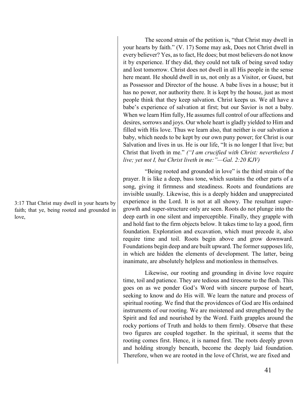3:17 That Christ may dwell in your hearts by faith; that ye, being rooted and grounded in love,

The second strain of the petition is, "that Christ may dwell in your hearts by faith." (V. 17) Some may ask, Does not Christ dwell in every believer? Yes, as to fact, He does; but most believers do not know it by experience. If they did, they could not talk of being saved today and lost tomorrow. Christ does not dwell in all His people in the sense here meant. He should dwell in us, not only as a Visitor, or Guest, but as Possessor and Director of the house. A babe lives in a house; but it has no power, nor authority there. It is kept by the house, just as most people think that they keep salvation. Christ keeps us. We all have a babe's experience of salvation at first; but our Savior is not a baby. When we learn Him fully, He assumes full control of our affections and desires, sorrows and joys. Our whole heart is gladly yielded to Him and filled with His love. Thus we learn also, that neither is our salvation a baby, which needs to be kept by our own puny power; for Christ is our Salvation and lives in us. He is our life, "It is no longer I that live; but Christ that liveth in me." *("I am crucified with Christ: nevertheless I live; yet not I, but Christ liveth in me:"—Gal. 2:20 KJV)*

"Being rooted and grounded in love" is the third strain of the prayer. It is like a deep, bass tone, which sustains the other parts of a song, giving it firmness and steadiness. Roots and foundations are invisible usually. Likewise, this is a deeply hidden and unappreciated experience in the Lord. It is not at all showy. The resultant supergrowth and super-structure only are seen. Roots do not plunge into the deep earth in one silent and imperceptible. Finally, they grapple with and hold fast to the firm objects below. It takes time to lay a good, firm foundation. Exploration and excavation, which must precede it, also require time and toil. Roots begin above and grow downward. Foundations begin deep and are built upward. The former supposes life, in which are hidden the elements of development. The latter, being inanimate, are absolutely helpless and motionless in themselves.

Likewise, our rooting and grounding in divine love require time, toil and patience. They are tedious and tiresome to the flesh. This goes on as we ponder God's Word with sincere purpose of heart, seeking to know and do His will. We learn the nature and process of spiritual rooting. We find that the providences of God are His ordained instruments of our rooting. We are moistened and strengthened by the Spirit and fed and nourished by the Word. Faith grapples around the rocky portions of Truth and holds to them firmly. Observe that these two figures are coupled together. In the spiritual, it seems that the rooting comes first. Hence, it is named first. The roots deeply grown and holding strongly beneath, become the deeply laid foundation. Therefore, when we are rooted in the love of Christ, we are fixed and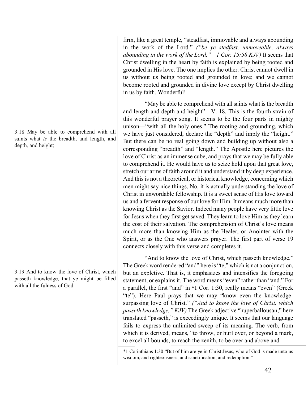3:18 May be able to comprehend with all saints what *is* the breadth, and length, and depth, and height;

3:19 And to know the love of Christ, which passeth knowledge, that ye might be filled with all the fulness of God.

firm, like a great temple, "steadfast, immovable and always abounding in the work of the Lord." *("be ye stedfast, unmoveable, always abounding in the work of the Lord,"—1 Cor. 15:58 KJV)* It seems that Christ dwelling in the heart by faith is explained by being rooted and grounded in His love. The one implies the other. Christ cannot dwell in us without us being rooted and grounded in love; and we cannot become rooted and grounded in divine love except by Christ dwelling in us by faith. Wonderful!

"May be able to comprehend with all saints what is the breadth and length and depth and height"—V. 18. This is the fourth strain of this wonderful prayer song. It seems to be the four parts in mighty unison—"with all the holy ones." The rooting and grounding, which we have just considered, declare the "depth" and imply the "height." But there can be no real going down and building up without also a corresponding "breadth" and "length." The Apostle here pictures the love of Christ as an immense cube, and prays that we may be fully able to comprehend it. He would have us to seize hold upon that great love, stretch our arms of faith around it and understand it by deep experience. And this is not a theoretical, or historical knowledge, concerning which men might say nice things, No, it is actually understanding the love of Christ in unwordable fellowship. It is a sweet sense of His love toward us and a fervent response of our love for Him. It means much more than knowing Christ as the Savior. Indeed many people have very little love for Jesus when they first get saved. They learn to love Him as they learn the cost of their salvation. The comprehension of Christ's love means much more than knowing Him as the Healer, or Anointer with the Spirit, or as the One who answers prayer. The first part of verse 19 connects closely with this verse and completes it.

"And to know the love of Christ, which passeth knowledge." The Greek word rendered "and" here is "te," which is not a conjunction, but an expletive. That is, it emphasizes and intensifies the foregoing statement, or explains it. The word means "even" rather than "and." For a parallel, the first "and" in \*1 Cor. 1:30, really means "even" (Greek "te"). Here Paul prays that we may "know even the knowledgesurpassing love of Christ." *("And to know the love of Christ, which passeth knowledge," KJV)* The Greek adjective "huperballousan;" here translated "passeth," is exceedingly unique. It seems that our language fails to express the unlimited sweep of its meaning. The verb, from which it is derived, means, "to throw, or hurl over, or beyond a mark, to excel all bounds, to reach the zenith, to be over and above and

<sup>\*1</sup> Corinthians 1:30 "But of him are ye in Christ Jesus, who of God is made unto us wisdom, and righteousness, and sanctification, and redemption:"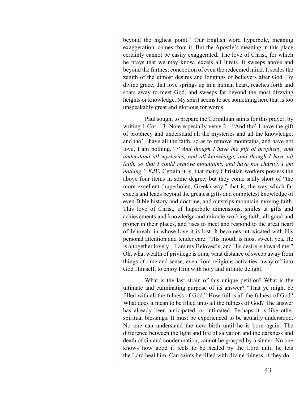beyond the highest point." Our English word hyperbole, meaning exaggeration, comes from it. But the Apostle's meaning in this place certainly cannot be easily exaggerated. The love of Christ, for which he prays that we may know, excels all limits. It sweeps above and beyond the furthest conception of even the redeemed mind. It scales the zenith of the utmost desires and longings of believers after God. By divine grace, that love springs up in a human heart, reaches forth and soars away to meet God, and sweeps far beyond the most dizzying heights or knowledge. My spirit seems to see something here that is too unspeakably great and glorious for words.

Paul sought to prepare the Corinthian saints for this prayer, by writing 1 Cor. 13. Note especially verse 2—"And tho' I have the gift of prophecy and understand all the mysteries and all the knowledge; and tho' I have all the faith, so as to remove mountains, and have not love, I am nothing." *("And though I have the gift of prophecy, and understand all mysteries, and all knowledge; and though I have all faith, so that I could remove mountains, and have not charity, I am nothing." KJV)* Certain it is, that many Christian workers possess the above four items in some degree; but they come sadly short of "the more excellent (huperbolen, Greek) way;" that is, the way which far excels and leads beyond the greatest gifts and completest knowledge of even Bible history and doctrine, and outstrips mountain-moving faith. This love of Christ, of huperbole dimensions, smiles at gifts and achievements and knowledge and miracle-working faith, all good and proper in their places, and rises to meet and respond to the great heart of Jehovah, in whose love it is lost. It becomes intoxicated with His personal attention and tender care. "His mouth is most sweet; yea, He is altogether lovely…I am my Beloved's, and His desire is toward me." Oh, what wealth of privilege is ours; what distance of sweep away from things of time and sense, even from religious activities, away off into God Himself, to enjoy Him with holy and infinite delight.

What is the last strain of this unique petition? What is the ultimate and culminating purpose of its answer? "That ye might be filled with all the fulness of God." How full is all the fulness of God? What does it mean to be filled unto all the fulness of God? The answer has already been anticipated, or intimated. Perhaps it is like other spiritual blessings. It must be experienced to be actually understood. No one can understand the new birth until he is born again. The difference between the light and life of salvation and the darkness and death of sin and condemnation, cannot be grasped by a sinner. No one knows how good it feels to be healed by the Lord until he lets the Lord heal him. Can saints be filled with divine fulness, if they do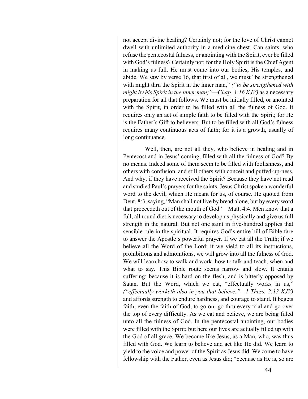not accept divine healing? Certainly not; for the love of Christ cannot dwell with unlimited authority in a medicine chest. Can saints, who refuse the pentecostal fulness, or anointing with the Spirit, ever be filled with God's fulness? Certainly not; for the Holy Spirit is the Chief Agent in making us full. He must come into our bodies, His temples, and abide. We saw by verse 16, that first of all, we must "be strengthened with might thru the Spirit in the inner man," *("to be strengthened with might by his Spirit in the inner man;"—Chap. 3:16 KJV)* as a necessary preparation for all that follows. We must be initially filled, or anointed with the Spirit, in order to be filled with all the fulness of God. It requires only an act of simple faith to be filled with the Spirit; for He is the Father's Gift to believers. But to be filled with all God's fulness requires many continuous acts of faith; for it is a growth, usually of long continuance.

Well, then, are not all they, who believe in healing and in Pentecost and in Jesus' coming, filled with all the fulness of God? By no means. Indeed some of them seem to be filled with foolishness, and others with confusion, and still others with conceit and puffed-up-ness. And why, if they have received the Spirit? Because they have not read and studied Paul's prayers for the saints. Jesus Christ spoke a wonderful word to the devil, which He meant for us, of course. He quoted from Deut. 8:3, saying, "Man shall not live by bread alone, but by every word that proceedeth out of the mouth of God"—Matt. 4:4. Men know that a full, all round diet is necessary to develop us physically and give us full strength in the natural. But not one saint in five-hundred applies that sensible rule in the spiritual. It requires God's entire bill of Bible fare to answer the Apostle's powerful prayer. If we eat all the Truth; if we believe all the Word of the Lord; if we yield to all its instructions, prohibitions and admonitions, we will grow into all the fulness of God. We will learn how to walk and work, how to talk and teach, when and what to say. This Bible route seems narrow and slow. It entails suffering; because it is hard on the flesh, and is bitterly opposed by Satan. But the Word, which we eat, "effectually works in us," *("effectually worketh also in you that believe."—1 Thess. 2:13 KJV)* and affords strength to endure hardness, and courage to stand. It begets faith, even the faith of God, to go on, go thru every trial and go over the top of every difficulty. As we eat and believe, we are being filled unto all the fulness of God. In the pentecostal anointing, our bodies were filled with the Spirit; but here our lives are actually filled up with the God of all grace. We become like Jesus, as a Man, who, was thus filled with God. We learn to believe and act like He did. We learn to yield to the voice and power of the Spirit as Jesus did. We come to have fellowship with the Father, even as Jesus did; "because as He is, so are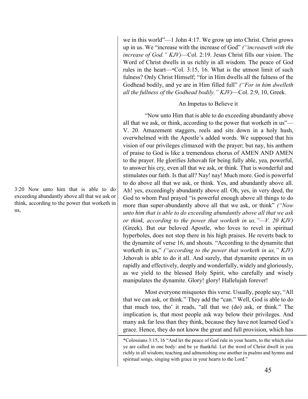3:20 Now unto him that is able to do exceeding abundantly above all that we ask or think, according to the power that worketh in us,

we in this world"—1 John 4:17. We grow up into Christ. Christ grows up in us. We "increase with the increase of God" *("increaseth with the increase of God." KJV)*—Col. 2:19. Jesus Christ fills our vision. The Word of Christ dwells in us richly in all wisdom. The peace of God rules in the heart—\*Col. 3:15, 16. What is the utmost limit of such fulness? Only Christ Himself; "for in Him dwells all the fulness of the Godhead bodily, and ye are in Him filled full" *("For in him dwelleth all the fullness of the Godhead bodily." KJV)*—Col. 2:9, 10, Greek.

# An Impetus to Believe it

"Now unto Him that is able to do exceeding abundantly above all that we ask, or think, according to the power that worketh in us"— V. 20. Amazement staggers, reels and sits down in a holy hush, overwhelmed with the Apostle's added words. We supposed that his vision of our privileges climaxed with the prayer; but nay, his anthem of praise to God is like a tremendous chorus of AMEN AND AMEN to the prayer. He glorifies Jehovah for being fully able, yea, powerful, to answer his cry, even all that we ask, or think. That is wonderful and stimulates our faith. Is that all? Nay! nay! Much more. God is powerful to do above all that we ask, or think. Yes, and abundantly above all. Ah! yes, exceedingly abundantly above all. Oh, yes, in very deed, the God to whom Paul prayed "is powerful enough above all things to do more than super-abundantly above all that we ask, or think" *("Now unto him that is able to do exceeding abundantly above all that we ask or think, according to the power that worketh in us,"—V. 20 KJV)* (Greek). But our beloved Apostle, who loves to revel in spiritual hyperboles, does not stop there in his high praises. He reverts back to the dynamite of verse 16, and shouts. "According to the dynamite that worketh in us," *("according to the power that worketh in us," KJV)* Jehovah is able to do it all. And surely, that dynamite operates in us rapidly and effectively, deeply and wonderfully, widely and gloriously, as we yield to the blessed Holy Spirit, who carefully and wisely manipulates the dynamite. Glory! glory! Hallelujah forever!

Most everyone misquotes this verse. Usually, people say, "All that we can ask, or think." They add the "can." Well, God is able to do that much too, tho' it reads, "all that we (do) ask, or think." The implication is, that most people ask way below their privileges. And many ask far less than they think, because they have not learned God's grace. Hence, they do not know the great and full provision, which has

<sup>\*</sup>Colossians 3:15, 16 "And let the peace of God rule in your hearts, to the which also ye are called in one body: and be ye thankful. Let the word of Christ dwell in you richly in all wisdom; teaching and admonishing one another in psalms and hymns and spiritual songs, singing with grace in your hearts to the Lord."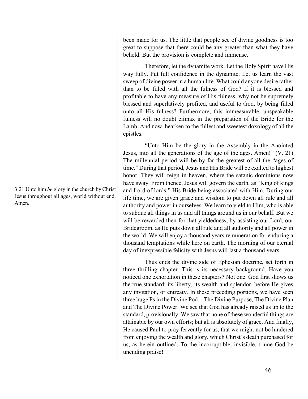been made for us. The little that people see of divine goodness is too great to suppose that there could be any greater than what they have beheld. But the provision is complete and immense.

Therefore, let the dynamite work. Let the Holy Spirit have His way fully. Put full confidence in the dynamite. Let us learn the vast sweep of divine power in a human life. What could anyone desire rather than to be filled with all the fulness of God? If it is blessed and profitable to have any measure of His fulness, why not be supremely blessed and superlatively profited, and useful to God, by being filled unto all His fulness? Furthermore, this immeasurable, unspeakable fulness will no doubt climax in the preparation of the Bride for the Lamb. And now, hearken to the fullest and sweetest doxology of all the epistles.

"Unto Him be the glory in the Assembly in the Anointed Jesus, into all the generations of the age of the ages. Amen!" (V. 21) The millennial period will be by far the greatest of all the "ages of time." During that period, Jesus and His Bride will be exalted to highest honor. They will reign in heaven, where the satanic dominions now have sway. From thence, Jesus will govern the earth, as "King of kings and Lord of lords;" His Bride being associated with Him. During our life time, we are given grace and wisdom to put down all rule and all authority and power in ourselves. We learn to yield to Him, who is able to subdue all things in us and all things around us in our behalf. But we will be rewarded then for that yieldedness, by assisting our Lord, our Bridegroom, as He puts down all rule and all authority and all power in the world. We will enjoy a thousand years remuneration for enduring a thousand temptations while here on earth. The morning of our eternal day of inexpressible felicity with Jesus will last a thousand years.

Thus ends the divine side of Ephesian doctrine, set forth in three thrilling chapter. This is its necessary background. Have you noticed one exhortation in these chapters? Not one. God first shows us the true standard; its liberty, its wealth and splendor, before He gives any invitation, or entreaty. In these preceding portions, we have seen three huge Ps in the Divine Pod—The Divine Purpose, The Divine Plan and The Divine Power. We see that God has already raised us up to the standard, provisionally. We saw that none of these wonderful things are attainable by our own efforts; but all is absolutely of grace. And finally, He caused Paul to pray fervently for us, that we might not be hindered from enjoying the wealth and glory, which Christ's death purchased for us, as herein outlined. To the incorruptible, invisible, triune God be unending praise!

3:21 Unto him *be* glory in the church by Christ Jesus throughout all ages, world without end. Amen.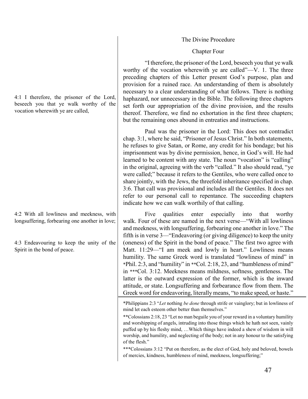# The Divine Procedure

# Chapter Four

"I therefore, the prisoner of the Lord, beseech you that ye walk worthy of the vocation wherewith ye are called"—V. 1. The three preceding chapters of this Letter present God's purpose, plan and provision for a ruined race. An understanding of them is absolutely necessary to a clear understanding of what follows. There is nothing haphazard, nor unnecessary in the Bible. The following three chapters set forth our appropriation of the divine provision, and the results thereof. Therefore, we find no exhortation in the first three chapters; but the remaining ones abound in entreaties and instructions.

Paul was the prisoner in the Lord: This does not contradict chap. 3:1, where he said, "Prisoner of Jesus Christ." In both statements, he refuses to give Satan, or Rome, any credit for his bondage; but his imprisonment was by divine permission, hence, in God's will. He had learned to be content with any state. The noun "vocation" is "calling" in the original, agreeing with the verb "called." It also should read, "ye were called;" because it refers to the Gentiles, who were called once to share jointly, with the Jews, the threefold inheritance specified in chap. 3:6. That call was provisional and includes all the Gentiles. It does not refer to our personal call to repentance. The succeeding chapters indicate how we can walk worthily of that calling.

Five qualities enter especially into that worthy walk. Four of these are named in the next verse—"With all lowliness and meekness, with longsuffering, forbearing one another in love." The fifth is in verse 3—"Endeavoring (or giving diligence) to keep the unity (oneness) of the Spirit in the bond of peace." The first two agree with Matt. 11:29—"I am meek and lowly in heart." Lowliness means humility. The same Greek word is translated "lowliness of mind" in \*Phil. 2:3, and "humility" in \*\*Col. 2:18, 23, and "humbleness of mind" in \*\*\*Col. 3:12. Meekness means mildness, softness, gentleness. The latter is the outward expression of the former, which is the inward attitude, or state. Longsuffering and forbearance flow from them. The Greek word for endeavoring, literally means, "to make speed, or haste."

\*\*\*Colossians 3:12 "Put on therefore, as the elect of God, holy and beloved, bowels of mercies, kindness, humbleness of mind, meekness, longsuffering;"

4:1 I therefore, the prisoner of the Lord, beseech you that ye walk worthy of the vocation wherewith ye are called,

4:2 With all lowliness and meekness, with longsuffering, forbearing one another in love;

4:3 Endeavouring to keep the unity of the Spirit in the bond of peace.

<sup>\*</sup>Philippians 2:3 "*Let* nothing *be done* through strife or vainglory; but in lowliness of mind let each esteem other better than themselves."

<sup>\*\*</sup>Colossians 2:18, 23 "Let no man beguile you of your reward in a voluntary humility and worshipping of angels, intruding into those things which he hath not seen, vainly puffed up by his fleshy mind, …Which things have indeed a shew of wisdom in will worship, and humility, and neglecting of the body; not in any honour to the satisfying of the flesh."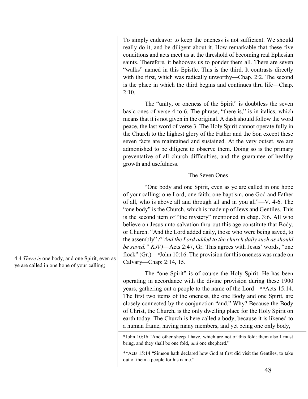To simply endeavor to keep the oneness is not sufficient. We should really do it, and be diligent about it. How remarkable that these five conditions and acts meet us at the threshold of becoming real Ephesian saints. Therefore, it behooves us to ponder them all. There are seven "walks" named in this Epistle. This is the third. It contrasts directly with the first, which was radically unworthy—Chap. 2:2. The second is the place in which the third begins and continues thru life—Chap.  $2:10.$ 

The "unity, or oneness of the Spirit" is doubtless the seven basic ones of verse 4 to 6. The phrase, "there is," is in italics, which means that it is not given in the original. A dash should follow the word peace, the last word of verse 3. The Holy Spirit cannot operate fully in the Church to the highest glory of the Father and the Son except these seven facts are maintained and sustained. At the very outset, we are admonished to be diligent to observe them. Doing so is the primary preventative of all church difficulties, and the guarantee of healthy growth and usefulness.

# The Seven Ones

"One body and one Spirit, even as ye are called in one hope of your calling; one Lord; one faith; one baptism, one God and Father of all, who is above all and through all and in you all"—V. 4-6. The "one body" is the Church, which is made up of Jews and Gentiles. This is the second item of "the mystery" mentioned in chap. 3:6. All who believe on Jesus unto salvation thru-out this age constitute that Body, or Church. "And the Lord added daily, those who were being saved, to the assembly" *("And the Lord added to the church daily such as should be saved." KJV)*—Acts 2:47, Gr. This agrees with Jesus' words, "one flock" (Gr.)—\*John 10:16. The provision for this oneness was made on Calvary—Chap: 2:14, 15.

The "one Spirit" is of course the Holy Spirit. He has been operating in accordance with the divine provision during these 1900 years, gathering out a people to the name of the Lord—\*\*Acts 15:14. The first two items of the oneness, the one Body and one Spirit, are closely connected by the conjunction "and." Why? Because the Body of Christ, the Church, is the only dwelling place for the Holy Spirit on earth today. The Church is here called a body, because it is likened to a human frame, having many members, and yet being one only body,

\*John 10:16 "And other sheep I have, which are not of this fold: them also I must bring, and they shall be one fold, *and* one shepherd."

\*\*Acts 15:14 "Simeon hath declared how God at first did visit the Gentiles, to take out of them a people for his name."

4:4 *There is* one body, and one Spirit, even as ye are called in one hope of your calling;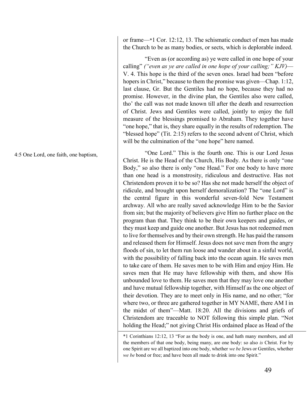or frame—\*1 Cor. 12:12, 13. The schismatic conduct of men has made the Church to be as many bodies, or sects, which is deplorable indeed.

"Even as (or according as) ye were called in one hope of your calling" *("even as ye are called in one hope of your calling;" KJV)*— V. 4. This hope is the third of the seven ones. Israel had been "before hopers in Christ," because to them the promise was given—Chap. 1:12, last clause, Gr. But the Gentiles had no hope, because they had no promise. However, in the divine plan, the Gentiles also were called, tho' the call was not made known till after the death and resurrection of Christ. Jews and Gentiles were called, jointly to enjoy the full measure of the blessings promised to Abraham. They together have "one hope," that is, they share equally in the results of redemption. The "blessed hope" (Tit. 2:15) refers to the second advent of Christ, which will be the culmination of the "one hope" here named.

"One Lord." This is the fourth one. This is our Lord Jesus Christ. He is the Head of the Church, His Body. As there is only "one Body," so also there is only "one Head." For one body to have more than one head is a monstrosity, ridiculous and destructive. Has not Christendom proven it to be so? Has she not made herself the object of ridicule, and brought upon herself demoralization? The "one Lord" is the central figure in this wonderful seven-fold New Testament archway. All who are really saved acknowledge Him to be the Savior from sin; but the majority of believers give Him no further place on the program than that. They think to be their own keepers and guides, or they must keep and guide one another. But Jesus has not redeemed men to live for themselves and by their own strength. He has paid the ransom and released them for Himself. Jesus does not save men from the angry floods of sin, to let them run loose and wander about in a sinful world, with the possibility of falling back into the ocean again. He saves men to take care of them. He saves men to be with Him and enjoy Him. He saves men that He may have fellowship with them, and show His unbounded love to them. He saves men that they may love one another and have mutual fellowship together, with Himself as the one object of their devotion. They are to meet only in His name, and no other; "for where two, or three are gathered together in MY NAME, there AM I in the midst of them"—Matt. 18:20. All the divisions and griefs of Christendom are traceable to NOT following this simple plan. "Not holding the Head;" not giving Christ His ordained place as Head of the

4:5 One Lord, one faith, one baptism,

<sup>\*1</sup> Corinthians 12:12, 13 "For as the body is one, and hath many members, and all the members of that one body, being many, are one body: so also *is* Christ. For by one Spirit are we all baptized into one body, whether *we be* Jews or Gentiles, whether *we be* bond or free; and have been all made to drink into one Spirit."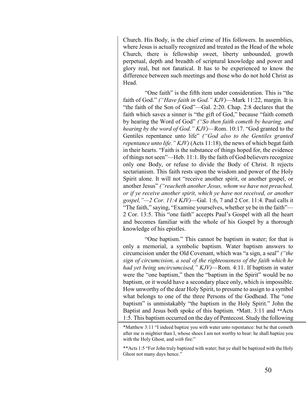Church. His Body, is the chief crime of His followers. In assemblies, where Jesus is actually recognized and treated as the Head of the whole Church, there is fellowship sweet, liberty unbounded, growth perpetual, depth and breadth of scriptural knowledge and power and glory real, but not fanatical. It has to be experienced to know the difference between such meetings and those who do not hold Christ as **Head** 

"One faith" is the fifth item under consideration. This is "the faith of God." *("Have faith in God." KJV)*—Mark 11:22, margin. It is "the faith of the Son of God"—Gal. 2:20. Chap. 2:8 declares that the faith which saves a sinner is "the gift of God," because "faith cometh by hearing the Word of God" *("So then faith cometh by hearing, and hearing by the word of God." KJV)*—Rom. 10:17. "God granted to the Gentiles repentance unto life" *("God also to the Gentiles granted repentance unto life." KJV)* (Acts 11:18), the news of which begat faith in their hearts. "Faith is the substance of things hoped for, the evidence of things not seen"—Heb. 11:1. By the faith of God believers recognize only one Body, or refuse to divide the Body of Christ. It rejects sectarianism. This faith rests upon the wisdom and power of the Holy Spirit alone. It will not "receive another spirit, or another gospel, or another Jesus" *("reacheth another Jesus, whom we have not preached, or if ye receive another spirit, which ye have not received, or another gospel,"—2 Cor. 11:4 KJV)*—Gal. 1:6, 7 and 2 Cor. 11:4. Paul calls it "The faith," saying, "Examine yourselves, whether ye be in the faith"— 2 Cor. 13:5. This "one faith" accepts Paul's Gospel with all the heart and becomes familiar with the whole of his Gospel by a thorough knowledge of his epistles.

"One baptism." This cannot be baptism in water; for that is only a memorial, a symbolic baptism. Water baptism answers to circumcision under the Old Covenant, which was "a sign, a seal" *("the sign of circumcision, a seal of the righteousness of the faith which he had yet being uncircumcised," KJV)*—Rom. 4:11. If baptism in water were the "one baptism," then the "baptism in the Spirit" would be no baptism, or it would have a secondary place only, which is impossible. How unworthy of the dear Holy Spirit, to presume to assign to a symbol what belongs to one of the three Persons of the Godhead. The "one baptism" is unmistakably "the baptism in the Holy Spirit." John the Baptist and Jesus both spoke of this baptism. \*Matt. 3:11 and \*\*Acts 1:5. This baptism occurred on the day of Pentecost. Study the following

\*Matthew 3:11 "I indeed baptize you with water unto repentance: but he that cometh after me is mightier than I, whose shoes I am not worthy to bear: he shall baptize you with the Holy Ghost, and *with* fire:"

\*\*Acts 1:5 "For John truly baptized with water; but ye shall be baptized with the Holy Ghost not many days hence."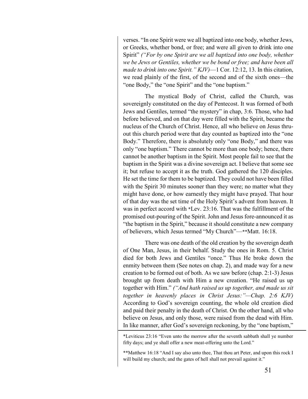verses. "In one Spirit were we all baptized into one body, whether Jews, or Greeks, whether bond, or free; and were all given to drink into one Spirit" *("For by one Spirit are we all baptized into one body, whether we be Jews or Gentiles, whether we be bond or free; and have been all made to drink into one Spirit." KJV)*—1 Cor. 12:12, 13. In this citation, we read plainly of the first, of the second and of the sixth ones—the "one Body," the "one Spirit" and the "one baptism."

The mystical Body of Christ, called the Church, was sovereignly constituted on the day of Pentecost. It was formed of both Jews and Gentiles, termed "the mystery" in chap, 3:6. Those, who had before believed, and on that day were filled with the Spirit, became the nucleus of the Church of Christ. Hence, all who believe on Jesus thruout this church period were that day counted as baptized into the "one Body." Therefore, there is absolutely only "one Body," and there was only "one baptism." There cannot be more than one body; hence, there cannot be another baptism in the Spirit. Most people fail to see that the baptism in the Spirit was a divine sovereign act. I believe that some see it; but refuse to accept it as the truth. God gathered the 120 disciples. He set the time for them to be baptized. They could not have been filled with the Spirit 30 minutes sooner than they were; no matter what they might have done, or how earnestly they might have prayed. That hour of that day was the set time of the Holy Spirit's advent from heaven. It was in perfect accord with \*Lev. 23:16. That was the fulfillment of the promised out-pouring of the Spirit. John and Jesus fore-announced it as "the baptism in the Spirit," because it should constitute a new company of believers, which Jesus termed "My Church"—\*\*Matt. 16:18.

There was one death of the old creation by the sovereign death of One Man, Jesus, in their behalf. Study the ones in Rom. 5. Christ died for both Jews and Gentiles "once." Thus He broke down the enmity between them (See notes on chap. 2), and made way for a new creation to be formed out of both. As we saw before (chap. 2:1-3) Jesus brought up from death with Him a new creation. "He raised us up together with Him." *("And hath raised us up together, and made us sit together in heavenly places in Christ Jesus:"—Chap. 2:6 KJV)* According to God's sovereign counting, the whole old creation died and paid their penalty in the death of Christ. On the other hand, all who believe on Jesus, and only those, were raised from the dead with Him. In like manner, after God's sovereign reckoning, by the "one baptism,"

\*Leviticus 23:16 "Even unto the morrow after the seventh sabbath shall ye number fifty days; and ye shall offer a new meat-offering unto the Lord."

\*\*Matthew 16:18 "And I say also unto thee, That thou art Peter, and upon this rock I will build my church; and the gates of hell shall not prevail against it."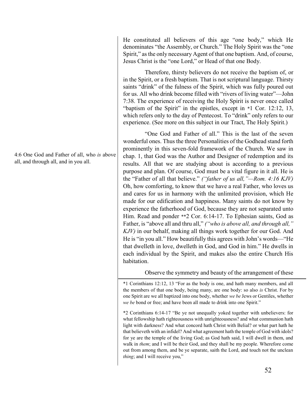4:6 One God and Father of all, who *is* above all, and through all, and in you all.

He constituted all believers of this age "one body," which He denominates "the Assembly, or Church." The Holy Spirit was the "one Spirit," as the only necessary Agent of that one baptism. And, of course, Jesus Christ is the "one Lord," or Head of that one Body.

Therefore, thirsty believers do not receive the baptism of, or in the Spirit, or a fresh baptism. That is not scriptural language. Thirsty saints "drink" of the fulness of the Spirit, which was fully poured out for us. All who drink become filled with "rivers of living water"—John 7:38. The experience of receiving the Holy Spirit is never once called "baptism of the Spirit" in the epistles, except in \*1 Cor. 12:12, 13, which refers only to the day of Pentecost. To "drink" only refers to our experience. (See more on this subject in our Tract, The Holy Spirit.)

"One God and Father of all." This is the last of the seven wonderful ones. Thus the three Personalities of the Godhead stand forth prominently in this seven-fold framework of the Church. We saw in chap. 1, that God was the Author and Designer of redemption and its results. All that we are studying about is according to a previous purpose and plan. Of course, God must be a vital figure in it all. He is the "Father of all that believe." *("father of us all,"—Rom. 4:16 KJV)* Oh, how comforting, to know that we have a real Father, who loves us and cares for us in harmony with the unlimited provision, which He made for our edification and happiness. Many saints do not know by experience the fatherhood of God, because they are not separated unto Him. Read and ponder \*\*2 Cor. 6:14-17. To Ephesian saints, God as Father, is "above all and thru all," *("who is above all, and through all," KJV)* in our behalf, making all things work together for our God. And He is "in you all." How beautifully this agrees with John's words—"He that dwelleth in love, dwelleth in God, and God in him." He dwells in each individual by the Spirit, and makes also the entire Church His habitation.

# Observe the symmetry and beauty of the arrangement of these

\*1 Corinthians 12:12, 13 "For as the body is one, and hath many members, and all the members of that one body, being many, are one body: so also *is* Christ. For by one Spirit are we all baptized into one body, whether *we be* Jews or Gentiles, whether *we be* bond or free; and have been all made to drink into one Spirit."

\*2 Corinthians 6:14-17 "Be ye not unequally yoked together with unbelievers: for what fellowship hath righteousness with unrighteousness? and what communion hath light with darkness? And what concord hath Christ with Belial? or what part hath he that believeth with an infidel? And what agreement hath the temple of God with idols? for ye are the temple of the living God; as God hath said, I will dwell in them, and walk in *them*; and I will be their God, and they shall be my people. Wherefore come out from among them, and be ye separate, saith the Lord, and touch not the unclean *thing*; and I will receive you,"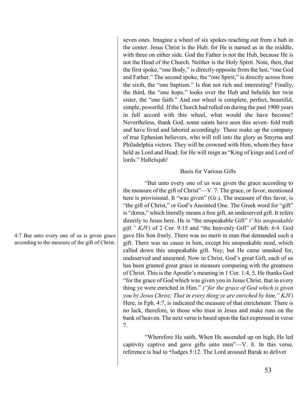seven ones. Imagine a wheel of six spokes reaching out from a hub in the center. Jesus Christ is the Hub; for He is named as in the middle, with three on either side. God the Father is not the Hub, because He is not the Head of the Church. Neither is the Holy Spirit. Note, then, that the first spoke, "one Body," is directly opposite from the last, "one God and Father." The second spoke, the "one Spirit," is directly across from the sixth, the "one baptism." Is that not rich and interesting? Finally, the third, the "one hope," looks over the Hub and beholds her twin sister, the "one faith." And our wheel is complete, perfect, beautiful, simple, powerful. If the Church had rolled on during the past 1900 years in full accord with this wheel, what would she have become? Nevertheless, thank God, some saints have seen this seven- fold truth and have lived and labored accordingly. These make up the company of true Ephesian believers, who will roll into the glory as Smyrna and Philadelphia victors. They will be crowned with Him, whom they have held as Lord and Head; for He will reign as "King of kings and Lord of lords." Hallelujah!

#### Basis for Various Gifts

"But unto every one of us was given the grace according to the measure of the gift of Christ"—V. 7. The grace, or favor, mentioned here is provisional. It "was given" (Gr.). The measure of this favor, is "the gift of Christ," or God's Anointed One. The Greek word for "gift" is "dorea," which literally means a free gift, an undeserved gift. It refers directly to Jesus here. He is "the unspeakable Gift" *("his unspeakable gift." KJV)* of 2 Cor. 9:15 and "the heavenly Gift" of Heb. 6:4. God gave His Son freely. There was no merit in man that demanded such a gift. There was no cause in him, except his unspeakable need, which called down this unspeakable gift. Nay; but He came unasked for, undeserved and unearned. Now in Christ, God's great Gift, each of us has been granted great grace in measure comparing with the greatness of Christ. This is the Apostle's meaning in 1 Cor. 1:4, 5. He thanks God "for the grace of God which was given you in Jesus Christ, that in every thing ye were enriched in Him." *("for the grace of God which is given you by Jesus Christ; That in every thing ye are enriched by him," KJV)* Here, in Eph. 4:7, is indicated the measure of that enrichment. There is no lack, therefore, to those who trust in Jesus and make runs on the bank of heaven. The next verse is based upon the fact expressed in verse 7.

"Wherefore He saith, When He ascended up on high, He led captivity captive and gave gifts unto men"—V. 8. In this verse, reference is had to \*Judges 5:12. The Lord aroused Barak to deliver

4:7 But unto every one of us is given grace according to the measure of the gift of Christ.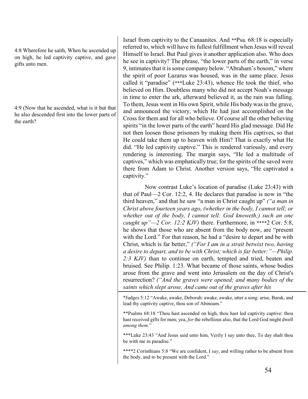4:8 Wherefore he saith, When he ascended up on high, he led captivity captive, and gave gifts unto men.

4:9 (Now that he ascended, what is it but that he also descended first into the lower parts of the earth?

Israel from captivity to the Canaanites. And \*\*Psa. 68:18 is especially referred to, which will have its fullest fulfillment when Jesus will reveal Himself to Israel. But Paul gives it another application also. Who does he see in captivity? The phrase, "the lower parts of the earth," in verse 9, intimates that it is some company below. "Abraham's bosom," where the spirit of poor Lazarus was housed, was in the same place. Jesus called it "paradise" (\*\*\*Luke 23:43), whence He took the thief, who believed on Him. Doubtless many who did not accept Noah's message in time to enter the ark, afterward believed it, as the rain was falling. To them, Jesus went in His own Spirit, while His body was in the grave, and announced the victory, which He had just accomplished on the Cross for them and for all who believe. Of course all the other believing spirits "in the lower parts of the earth" heard His glad message. Did He not then loosen those prisoners by making them His captives, so that He could take them up to heaven with Him? That is exactly what He did. "He led captivity captive." This is rendered variously, and every rendering is interesting. The margin says, "He led a multitude of captives," which was emphatically true; for the spirits of the saved were there from Adam to Christ. Another version says, "He captivated a captivity."

Now contrast Luke's location of paradise (Luke 23:43) with that of Paul—2 Cor. 12:2, 4. He declares that paradise is now in "the third heaven," and that he saw "a man in Christ caught up" *("a man in Christ above fourteen years ago, (whether in the body, I cannot tell; or whether out of the body, I cannot tell: God knoweth;) such an one caught up"—2 Cor. 12:2 KJV)* there. Furthermore, in \*\*\*\*2 Cor. 5:8, he shows that those who are absent from the body now, are "present with the Lord." For that reason, he had a "desire to depart and be with Christ, which is far better," *("For I am in a strait betwixt two, having a desire to depart, and to be with Christ; which is far better:"—Philip. 2:3 KJV)* than to continue on earth, tempted and tried, beaten and bruised. See Philip. 1:23. What became of those saints, whose bodies arose from the grave and went into Jerusalem on the day of Christ's resurrection? *("And the graves were opened; and many bodies of the saints which slept arose, And came out of the graves after his* 

\*Judges 5:12 "Awake, awake, Deborah: awake, awake, utter a song: arise, Barak, and lead thy captivity captive, thou son of Abinoam."

\*\*Psalms 68:18 "Thou hast ascended on high, thou hast led captivity captive: thou hast received gifts for men; yea, *for* the rebellious also, that the Lord God might dwell *among them*."

\*\*\*Luke 23:43 "And Jesus said unto him, Verily I say unto thee, To day shalt thou be with me in paradise."

\*\*\*\*2 Corinthians 5:8 "We are confident, I *say*, and willing rather to be absent from the body, and to be present with the Lord."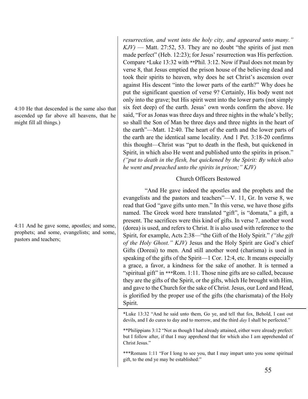4:10 He that descended is the same also that ascended up far above all heavens, that he might fill all things.)

4:11 And he gave some, apostles; and some, prophets; and some, evangelists; and some, pastors and teachers;

*resurrection, and went into the holy city, and appeared unto many."*   $KJV$ ) — Matt. 27:52, 53. They are no doubt "the spirits of just men made perfect" (Heb. 12:23); for Jesus' resurrection was His perfection. Compare \*Luke 13:32 with \*\*Phil. 3:12. Now if Paul does not mean by verse 8, that Jesus emptied the prison house of the believing dead and took their spirits to heaven, why does he set Christ's ascension over against His descent "into the lower parts of the earth?" Why does he put the significant question of verse 9? Certainly, His body went not only into the grave; but His spirit went into the lower parts (not simply six feet deep) of the earth. Jesus' own words confirm the above. He said, "For as Jonas was three days and three nights in the whale's belly; so shall the Son of Man be three days and three nights in the heart of the earth"—Matt. 12:40. The heart of the earth and the lower parts of the earth are the identical same locality. And 1 Pet. 3:18-20 confirms this thought—Christ was "put to death in the flesh, but quickened in Spirit, in which also He went and published unto the spirits in prison." *("put to death in the flesh, but quickened by the Spirit: By which also he went and preached unto the spirits in prison;" KJV)*

# Church Officers Bestowed

"And He gave indeed the apostles and the prophets and the evangelists and the pastors and teachers"—V. 11, Gr. In verse 8, we read that God "gave gifts unto men." In this verse, we have those gifts named. The Greek word here translated "gift", is "domata," a gift, a present. The sacrifices were this kind of gifts. In verse 7, another word (dorea) is used, and refers to Christ. It is also used with reference to the Spirit, for example, Acts 2:38—"the Gift of the Holy Spirit." *("the gift of the Holy Ghost." KJV)* Jesus and the Holy Spirit are God's chief Gifts (Doreai) to men. And still another word (charisma) is used in speaking of the gifts of the Spirit—1 Cor. 12:4, etc. It means especially a grace, a favor, a kindness for the sake of another. It is termed a "spiritual gift" in \*\*\*Rom. 1:11. Those nine gifts are so called, because they are the gifts of the Spirit, or the gifts, which He brought with Him, and gave to the Church for the sake of Christ. Jesus, our Lord and Head, is glorified by the proper use of the gifts (the charismata) of the Holy Spirit.

\*Luke 13:32 "And he said unto them, Go ye, and tell that fox, Behold, I cast out devils, and I do cures to day and to morrow, and the third *day* I shall be perfected."

\*\*Philippians 3:12 "Not as though I had already attained, either were already prefect: but I follow after, if that I may apprehend that for which also I am apprehended of Christ Jesus."

\*\*\*Romans 1:11 "For I long to see you, that I may impart unto you some spiritual gift, to the end ye may be established:"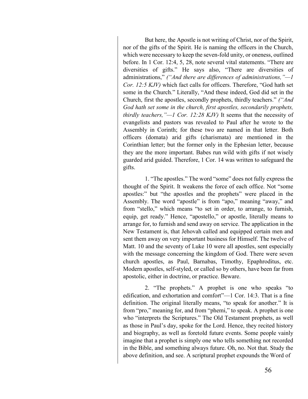But here, the Apostle is not writing of Christ, nor of the Spirit, nor of the gifts of the Spirit. He is naming the officers in the Church, which were necessary to keep the seven-fold unity, or oneness, outlined before. In 1 Cor. 12:4, 5, 28, note several vital statements. "There are diversities of gifts." He says also, "There are diversities of administrations," *("And there are differences of administrations,"—1 Cor. 12:5 KJV)* which fact calls for officers. Therefore, "God hath set some in the Church." Literally, "And these indeed, God did set in the Church, first the apostles, secondly prophets, thirdly teachers." *("And God hath set some in the church, first apostles, secondarily prophets, thirdly teachers,"—1 Cor. 12:28 KJV)* It seems that the necessity of evangelists and pastors was revealed to Paul after he wrote to the Assembly in Corinth; for these two are named in that letter. Both officers (domata) arid gifts (charismata) are mentioned in the Corinthian letter; but the former only in the Ephesian letter, because they are the more important. Babes run wild with gifts if not wisely guarded arid guided. Therefore, 1 Cor. 14 was written to safeguard the gifts.

1. "The apostles." The word "some" does not fully express the thought of the Spirit. It weakens the force of each office. Not "some apostles:" but "the apostles and the prophets" were placed in the Assembly. The word "apostle" is from "apo," meaning "away," and from "stello," which means "to set in order, to arrange, to furnish, equip, get ready." Hence, "apostello," or apostle, literally means to arrange for, to furnish and send away on service. The application in the New Testament is, that Jehovah called and equipped certain men and sent them away on very important business for Himself. The twelve of Matt. 10 and the seventy of Luke 10 were all apostles, sent especially with the message concerning the kingdom of God. There were seven church apostles, as Paul, Barnabas, Timothy, Epaphroditus, etc. Modern apostles, self-styled, or called so by others, have been far from apostolic, either in doctrine, or practice. Beware.

2. "The prophets." A prophet is one who speaks "to edification, and exhortation and comfort"—1 Cor. 14:3. That is a fine definition. The original literally means, "to speak for another." It is from "pro," meaning for, and from "phemi," to speak. A prophet is one who "interprets the Scriptures." The Old Testament prophets, as well as those in Paul's day, spoke for the Lord. Hence, they recited history and biography, as well as foretold future events. Some people vainly imagine that a prophet is simply one who tells something not recorded in the Bible, and something always future. Oh, no. Not that. Study the above definition, and see. A scriptural prophet expounds the Word of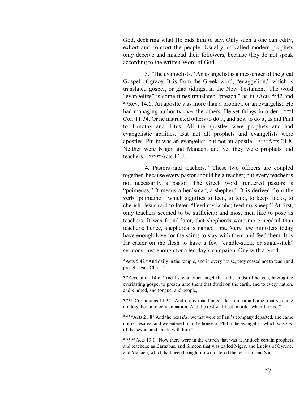God, declaring what He bids him to say. Only such a one can edify, exhort and comfort the people. Usually, so-called modern prophets only deceive and mislead their followers, because they do not speak according to the written Word of God.

3. "The evangelists." An evangelist is a messenger of the great Gospel of grace. It is from the Greek word, "euaggelion," which is translated gospel, or glad tidings, in the New Testament. The word "evangelize" is some times translated "preach," as in \*Acts 5:42 and \*\*Rev. 14:6. An apostle was more than a prophet, or an evangelist. He had managing authority over the others. He set things in order—\*\*\* Cor. 11:34. Or he instructed others to do it, and how to do it, as did Paul to Timothy and Titus. All the apostles were prophets and had evangelistic abilities. But not all prophets and evangelists were apostles. Philip was an evangelist, but not an apostle—\*\*\*\*Acts 21:8. Neither were Niger and Manaen; and yet they were prophets and teachers—\*\*\*\*\*Acts 13:1.

4. Pastors and teachers." These two officers are coupled together, because every pastor should be a teacher; but every teacher is not necessarily a pastor. The Greek word, rendered pastors is "poimenas." It means a herdsman, a shepherd. It is derived from the verb "poimaino," which signifies to feed, to tend, to keep flocks, to cherish. Jesus said to Peter, "Feed my lambs; feed my sheep." At first, only teachers seemed to be sufficient; and most men like to pose as teachers. It was found later, that shepherds were more needful than teachers; hence, shepherds is named first. Very few ministers today have enough love for the saints to stay with them and feed them. It is far easier on the flesh to have a few "candle-stick, or sugar-stick" sermons, just enough for a ten day's campaign. One with a good

\*Acts 5:42 "And daily in the temple, and in every house, they ceased not to teach and preach Jesus Christ."

\*\*Revelation 14:6 "And I saw another angel fly in the midst of heaven, having the everlasting gospel to preach unto them that dwell on the earth, and to every nation, and kindred, and tongue, and people,"

\*\*\*1 Corinthians 11:34 "And if any man hunger, let him eat at home; that ye come not together unto condemnation. And the rest will I set in order when I come."

\*\*\*\*Acts 21:8 "And the next *day* we that were of Paul's company departed, and came unto Caesarea: and we entered into the house of Philip the evangelist, which was *one* of the seven; and abode with him."

\*\*\*\*\*Acts 13:1 "Now there were in the church that was at Antioch certain prophets and teachers; as Barnabas, and Simeon that was called Niger, and Lucius of Cyrene, and Manaen, which had been brought up with Herod the tetrarch, and Saul."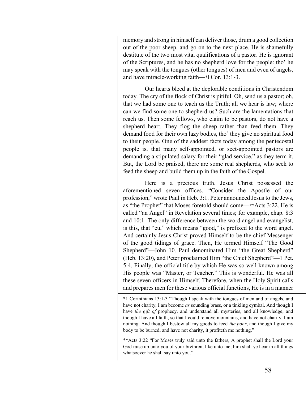memory and strong in himself can deliver those, drum a good collection out of the poor sheep, and go on to the next place. He is shamefully destitute of the two most vital qualifications of a pastor. He is ignorant of the Scriptures, and he has no shepherd love for the people: tho' he may speak with the tongues (other tongues) of men and even of angels, and have miracle-working faith—\*l Cor. 13:1-3.

Our hearts bleed at the deplorable conditions in Christendom today. The cry of the flock of Christ is pitiful. Oh, send us a pastor; oh, that we had some one to teach us the Truth; all we hear is law; where can we find some one to shepherd us? Such are the lamentations that reach us. Then some fellows, who claim to be pastors, do not have a shepherd heart. They flog the sheep rather than feed them. They demand food for their own lazy bodies, tho' they give no spiritual food to their people. One of the saddest facts today among the pentecostal people is, that many self-appointed, or sect-appointed pastors are demanding a stipulated salary for their "glad service," as they term it. But, the Lord be praised, there are some real shepherds, who seek to feed the sheep and build them up in the faith of the Gospel.

Here is a precious truth. Jesus Christ possessed the aforementioned seven offices. "Consider the Apostle of our profession," wrote Paul in Heb. 3:1. Peter announced Jesus to the Jews, as "the Prophet" that Moses foretold should come—\*\*Acts 3:22. He is called "an Angel" in Revelation several times; for example, chap. 8:3 and 10:1. The only difference between the word angel and evangelist, is this, that "eu," which means "good," is prefixed to the word angel. And certainly Jesus Christ proved Himself to be the chief Messenger of the good tidings of grace. Then, He termed Himself "The Good Shepherd"—John 10. Paul denominated Him "the Great Shepherd" (Heb. 13:20), and Peter proclaimed Him "the Chief Shepherd"—1 Pet. 5:4. Finally, the official title by which He was so well known among His people was "Master, or Teacher." This is wonderful. He was all these seven officers in Himself. Therefore, when the Holy Spirit calls and prepares men for these various official functions, He is in a manner

\*1 Corinthians 13:1-3 "Though I speak with the tongues of men and of angels, and have not charity, I am become *as* sounding brass, or a tinkling cymbal. And though I have *the gift of* prophecy, and understand all mysteries, and all knowledge; and though I have all faith, so that I could remove mountains, and have not charity, I am nothing. And though I bestow all my goods to feed *the poor*, and though I give my body to be burned, and have not charity, it profiteth me nothing."

\*\*Acts 3:22 "For Moses truly said unto the fathers, A prophet shall the Lord your God raise up unto you of your brethren, like unto me; him shall ye hear in all things whatsoever he shall say unto you."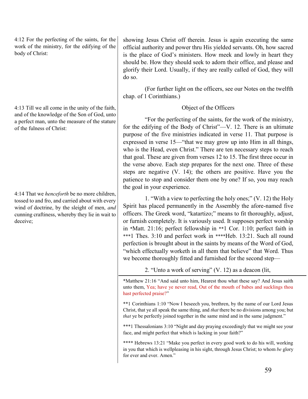4:12 For the perfecting of the saints, for the work of the ministry, for the edifying of the body of Christ:

4:13 Till we all come in the unity of the faith, and of the knowledge of the Son of God, unto a perfect man, unto the measure of the stature of the fulness of Christ:

4:14 That we *henceforth* be no more children, tossed to and fro, and carried about with every wind of doctrine, by the sleight of men, *and*  cunning craftiness, whereby they lie in wait to deceive;

showing Jesus Christ off therein. Jesus is again executing the same official authority and power thru His yielded servants. Oh, how sacred is the place of God's ministers. How meek and lowly in heart they should be. How they should seek to adorn their office, and please and glorify their Lord. Usually, if they are really called of God, they will do so.

(For further light on the officers, see our Notes on the twelfth chap. of 1 Corinthians.)

# Object of the Officers

"For the perfecting of the saints, for the work of the ministry, for the edifying of the Body of Christ"—V. 12. There is an ultimate purpose of the five ministries indicated in verse 11. That purpose is expressed in verse 15—"that we may grow up into Him in all things, who is the Head, even Christ." There are ten necessary steps to reach that goal. These are given from verses 12 to 15. The first three occur in the verse above. Each step prepares for the next one. Three of these steps are negative (V. 14); the others are positive. Have you the patience to stop and consider them one by one? If so, you may reach the goal in your experience.

1. "With a view to perfecting the holy ones;" (V. 12) the Holy Spirit has placed permanently in the Assembly the afore-named five officers. The Greek word, "katartizo;" means to fit thoroughly, adjust, or furnish completely. It is variously used. It supposes perfect worship in \*Matt. 21:16; perfect fellowship in \*\*1 Cor. 1:10; perfect faith in \*\*\*1 Thes. 3:10 and perfect work in \*\*\*\*Heb. 13:21. Such all round perfection is brought about in the saints by means of the Word of God, "which effectually worketh in all them that believe" that Word. Thus we become thoroughly fitted and furnished for the second step—

2. "Unto a work of serving" (V. 12) as a deacon (lit,

\*Matthew 21:16 "And said unto him, Hearest thou what these say? And Jesus saith unto them, Yea; have ye never read, Out of the mouth of babes and sucklings thou hast perfected praise?"

\*\*1 Corinthians 1:10 "Now I beseech you, brethren, by the name of our Lord Jesus Christ, that ye all speak the same thing, and *that* there be no divisions among you; but *that* ye be perfectly joined together in the same mind and in the same judgment."

\*\*\*1 Thessalonians 3:10 "Night and day praying exceedingly that we might see your face, and might perfect that which is lacking in your faith?"

\*\*\*\* Hebrews 13:21 "Make you perfect in every good work to do his will, working in you that which is wellpleasing in his sight, through Jesus Christ; to whom *be* glory for ever and ever. Amen."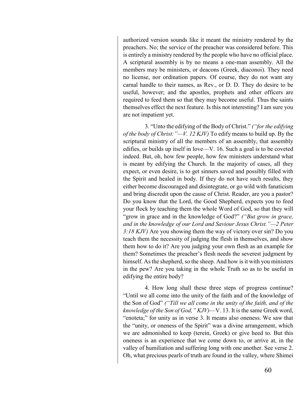authorized version sounds like it meant the ministry rendered by the preachers. No; the service of the preacher was considered before. This is entirely a ministry rendered by the people who have no official place. A scriptural assembly is by no means a one-man assembly. All the members may be ministers, or deacons (Greek, diaconoi). They need no license, nor ordination papers. Of course, they do not want any carnal handle to their names, as Rev., or D. D. They do desire to be useful, however; and the apostles, prophets and other officers are required to feed them so that they may become useful. Thus the saints themselves effect the next feature. Is this not interesting? I am sure you are not impatient yet.

3. "Unto the edifying of the Body of Christ." *("for the edifying of the body of Christ:"—V. 12 KJV)* To edify means to build up. By the scriptural ministry of all the members of an assembly, that assembly edifies, or builds up itself in love—V. 16. Such a goal is to be coveted indeed. But, oh, how few people, how few ministers understand what is meant by edifying the Church. In the majority of cases, all they expect, or even desire, is to get sinners saved and possibly filled with the Spirit and healed in body. If they do not have such results, they either become discouraged and disintegrate, or go wild with fanaticism and bring discredit upon the cause of Christ. Reader, are you a pastor? Do you know that the Lord, the Good Shepherd, expects you to feed your flock by teaching them the whole Word of God, so that they will "grow in grace and in the knowledge of God?" *("But grow in grace, and in the knowledge of our Lord and Saviour Jesus Christ."—2 Peter 3:18 KJV)* Are you showing them the way of victory over sin? Do you teach them the necessity of judging the flesh in themselves, and show them how to do it? Are you judging your own flesh as an example for them? Sometimes the preacher's flesh needs the severest judgment by himself. As the shepherd, so the sheep. And how is it with you ministers in the pew? Are you taking in the whole Truth so as to be useful in edifying the entire body?

4. How long shall these three steps of progress continue? "Until we all come into the unity of the faith and of the knowledge of the Son of God" *("Till we all come in the unity of the faith, and of the knowledge of the Son of God," KJV)*—V. 13. It is the same Greek word, "enoteta;" for unity as in verse 3. It means also oneness. We saw that the "unity, or oneness of the Spirit" was a divine arrangement, which we are admonished to keep (terein, Greek) or give heed to. But this oneness is an experience that we come down to, or arrive at, in the valley of humiliation and suffering long with one another. See verse 2. Oh, what precious pearls of truth are found in the valley, where Shimei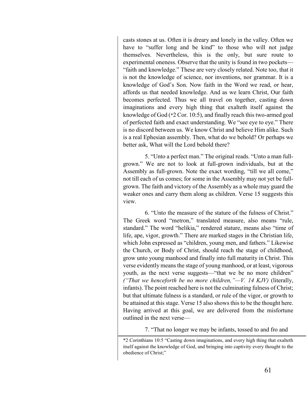casts stones at us. Often it is dreary and lonely in the valley. Often we have to "suffer long and be kind" to those who will not judge themselves. Nevertheless, this is the only, but sure route to experimental oneness. Observe that the unity is found in two pockets— "faith and knowledge." These are very closely related. Note too, that it is not the knowledge of science, nor inventions, nor grammar. It is a knowledge of God's Son. Now faith in the Word we read, or hear, affords us that needed knowledge. And as we learn Christ, Our faith becomes perfected. Thus we all travel on together, casting down imaginations and every high thing that exalteth itself against the knowledge of God (\*2 Cor. 10:5), and finally reach this two-armed goal of perfected faith and exact understanding. We "see eye to eye." There is no discord between us. We know Christ and believe Him alike. Such is a real Ephesian assembly. Then, what do we behold? Or perhaps we better ask, What will the Lord behold there?

5. "Unto a perfect man." The original reads. "Unto a man fullgrown." We are not to look at full-grown individuals, but at the Assembly as full-grown. Note the exact wording, "till we all come," not till each of us comes; for some in the Assembly may not yet be fullgrown. The faith and victory of the Assembly as a whole may guard the weaker ones and carry them along as children. Verse 15 suggests this view.

6. "Unto the measure of the stature of the fulness of Christ." The Greek word "metron," translated measure, also means "rule, standard." The word "helikia," rendered stature, means also "time of life, ape, vigor, growth." There are marked stages in the Christian life, which John expressed as "children, young men, and fathers." Likewise the Church, or Body of Christ, should reach the stage of childhood, grow unto young manhood and finally into full maturity in Christ. This verse evidently means the stage of young manhood, or at least, vigorous youth, as the next verse suggests—"that we be no more children" *("That we henceforth be no more children,"—V. 14 KJV)* (literally, infants). The point reached here is not the culminating fulness of Christ; but that ultimate fulness is a standard, or rule of the vigor, or growth to be attained at this stage. Verse 15 also shows this to be the thought here. Having arrived at this goal, we are delivered from the misfortune outlined in the next verse—

7. "That no longer we may be infants, tossed to and fro and

<sup>\*2</sup> Corinthians 10:5 "Casting down imaginations, and every high thing that exalteth itself against the knowledge of God, and bringing into captivity every thought to the obedience of Christ;"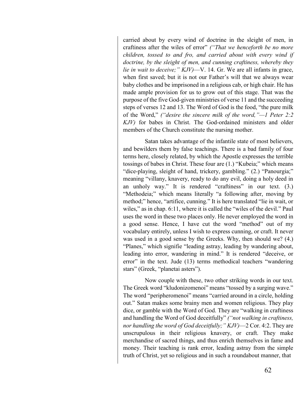carried about by every wind of doctrine in the sleight of men, in craftiness after the wiles of error" *("That we henceforth be no more children, tossed to and fro, and carried about with every wind if doctrine, by the sleight of men, and cunning craftiness, whereby they lie in wait to deceive;" KJV)*—V. 14. Gr. We are all infants in grace, when first saved; but it is not our Father's will that we always wear baby clothes and be imprisoned in a religious cab, or high chair. He has made ample provision for us to grow out of this stage. That was the purpose of the five God-given ministries of verse 11 and the succeeding steps of verses 12 and 13. The Word of God is the food, "the pure milk of the Word," *("desire the sincere milk of the word,"—1 Peter 2:2 KJV)* for babes in Christ. The God-ordained ministers and older members of the Church constitute the nursing mother.

Satan takes advantage of the infantile state of most believers, and bewilders them by false teachings. There is a bad family of four terms here, closely related, by which the Apostle expresses the terrible tossings of babes in Christ. These four are (1.) "Kubeia;" which means "dice-playing, sleight of hand, trickery, gambling." (2.) "Panourgia;" meaning "villany, knavery, ready to do any evil, doing a holy deed in an unholy way." It is rendered "craftiness" in our text. (3.) "Methodeia;" which means literally "a following after, moving by method;" hence, "artifice, cunning." It is here translated "lie in wait, or wiles," as in chap. 6:11, where it is called the "wiles of the devil." Paul uses the word in these two places only. He never employed the word in a good sense. Hence, I have cut the word "method" out of my vocabulary entirely, unless I wish to express cunning, or craft. It never was used in a good sense by the Greeks. Why, then should we? (4.) "Planes," which signifie "leading astray, leading by wandering about, leading into error, wandering in mind." It is rendered "deceive, or error" in the text. Jude (13) terms methodical teachers "wandering stars" (Greek, "planetai asters").

Now couple with these, two other striking words in our text. The Greek word "kludonizomenoi" means "tossed by a surging wave." The word "peripheromenoi" means "carried around in a circle, holding out." Satan makes some brainy men and women religious. They play dice, or gamble with the Word of God. They are "walking in craftiness and handling the Word of God deceitfully" *("not walking in craftiness, nor handling the word of God deceitfully;" KJV)*—2 Cor. 4:2. They are unscrupulous in their religious knavery, or craft. They make merchandise of sacred things, and thus enrich themselves in fame and money. Their teaching is rank error, leading astray from the simple truth of Christ, yet so religious and in such a roundabout manner, that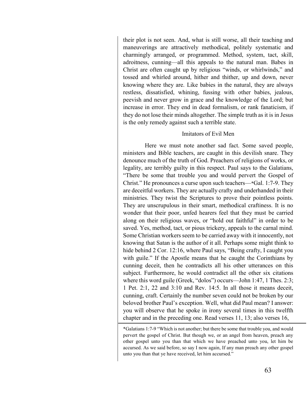their plot is not seen. And, what is still worse, all their teaching and maneuverings are attractively methodical, politely systematic and charmingly arranged, or programmed. Method, system, tact, skill, adroitness, cunning—all this appeals to the natural man. Babes in Christ are often caught up by religious "winds, or whirlwinds," and tossed and whirled around, hither and thither, up and down, never knowing where they are. Like babies in the natural, they are always restless, dissatisfied, whining, fussing with other babies, jealous, peevish and never grow in grace and the knowledge of the Lord; but increase in error. They end in dead formalism, or rank fanaticism, if they do not lose their minds altogether. The simple truth as it is in Jesus is the only remedy against such a terrible state.

# Imitators of Evil Men

Here we must note another sad fact. Some saved people, ministers and Bible teachers, are caught in this devilish snare. They denounce much of the truth of God. Preachers of religions of works, or legality, are terribly guilty in this respect. Paul says to the Galatians, "There be some that trouble you and would pervert the Gospel of Christ." He pronounces a curse upon such teachers—\*Gal. 1:7-9. They are deceitful workers. They are actually crafty and underhanded in their ministries. They twist the Scriptures to prove their pointless points. They are unscrupulous in their smart, methodical craftiness. It is no wonder that their poor, unfed hearers feel that they must be carried along on their religious waves, or "hold out faithful" in order to be saved. Yes, method, tact, or pious trickery, appeals to the carnal mind. Some Christian workers seem to be carried away with it innocently, not knowing that Satan is the author of it all. Perhaps some might think to hide behind 2 Cor. 12:16, where Paul says, "Being crafty, I caught you with guile." If the Apostle means that he caught the Corinthians by cunning deceit, then he contradicts all his other utterances on this subject. Furthermore, he would contradict all the other six citations where this word guile (Greek, "dolos") occurs—John 1:47, 1 Thes. 2:3; 1 Pet. 2:1, 22 and 3:10 and Rev. 14:5. In all those it means deceit, cunning, craft. Certainly the number seven could not be broken by our beloved brother Paul's exception. Well, what did Paul mean? I answer: you will observe that he spoke in irony several times in this twelfth chapter and in the preceding one. Read verses 11, 13; also verses 16,

<sup>\*</sup>Galatians 1:7-9 "Which is not another; but there be some that trouble you, and would pervert the gospel of Christ. But though we, or an angel from heaven, preach any other gospel unto you than that which we have preached unto you, let him be accursed. As we said before, so say I now again, If any man preach any other gospel unto you than that ye have received, let him accursed."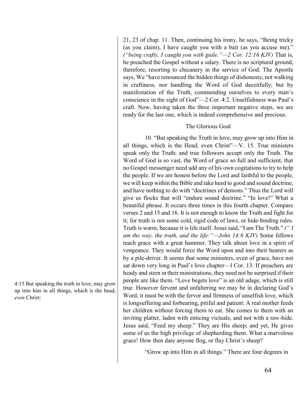21, 23 of chap. 11. Then, continuing his irony, he says, "Being tricky (as you claim), I have caught you with a bait (as you accuse me)." *("being crafty, I caught you with guile."—2 Cor. 12:16 KJV)* That is, he preached the Gospel without a salary. There is no scriptural ground, therefore, resorting to chicanery in the service of God. The Apostle says, We "have renounced the hidden things of dishonesty, not walking in craftiness*,* nor handling the Word of God deceitfully; but by manifestation of the Truth, commending ourselves to every man's conscience in the sight of God"—2 Cor. 4:2. Unselfishness was Paul's craft. Now, having taken the three important negative steps, we are ready for the last one, which is indeed comprehensive and precious.

# The Glorious Goal

10. "But speaking the Truth in love, may grow up into Him in all things, which is the Head, even Christ"—V. 15. True ministers speak only the Truth; and true followers accept only the Truth. The Word of God is so vast, the Word of grace so full and sufficient, that no Gospel messenger need add any of his own cogitations to try to help the people. If we are honest before the Lord and faithful to the people, we will keep within the Bible and take heed to good and sound doctrine, and have nothing to do with "doctrines of demons." Thus the Lord will give us flocks that will "endure sound doctrine." "In love!" What a beautiful phrase. It occurs three times in this fourth chapter. Compare verses 2 and 15 and 16. It is not enough to know the Truth and fight for it; for truth is not some cold, rigid code of laws, or hide-binding rules. Truth is warm, because it is life itself. Jesus said, "I am The Truth." *(" I am the way, the truth, and the life:"—John 14:6 KJV)* Some fellows teach grace with a great hammer. They talk about love in a spirit of vengeance. They would force the Word upon and into their hearers as by a pile-driver. It seems that some ministers, even of grace, have not sat down very long in Paul's love chapter—l Cor. 13. If preachers are heady and stern in their ministrations, they need not be surprised if their people are like them. "Love begets love" is an old adage, which is still true. However fervent and unfaltering we may be in declaring God's Word, it must be with the fervor and firmness of unselfish love, which is longsuffering and forbearing, pitiful and patient. A real mother feeds her children without forcing them to eat. She comes to them with an inviting platter, laden with enticing victuals, and not with a raw-hide. Jesus said, "Feed my sheep." They are His sheep; and yet, He gives some of us the high privilege of shepherding them. What a marvelous grace! How then dare anyone flog, or flay Christ's sheep?

"Grow up into Him in all things." There are four degrees in

4:15 But speaking the truth in love, may grow up into him in all things, which is the head, *even* Christ: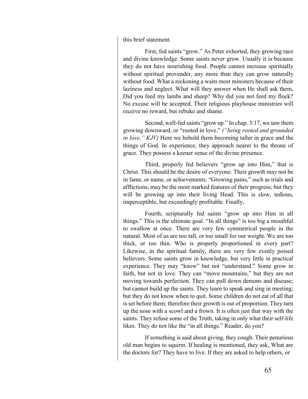this brief statement.

First, fed saints "grow." As Peter exhorted, they growing race and divine knowledge. Some saints never grow. Usually it is because they do not have nourishing food. People cannot increase spiritually without spiritual provender, any more than they can grow naturally without food. What a reckoning a waits most ministers because of their laziness and neglect. What will they answer when He shall ask them, Did you feed my lambs and sheep? Why did you not feed my flock? No excuse will be accepted. Their religious playhouse ministries will receive no reward, but rebuke and shame.

Second, well-fed saints "grow up." In chap. 3:17, we saw them growing downward, or "rooted in love." *("being rooted and grounded in love," KJV)* Here we behold them becoming taller in grace and the things of God. In experience, they approach nearer to the throne of grace. They possess a keener sense of the divine presence.

Third, properly fed believers "grow up into Him," that is Christ. This should be the desire of everyone. Their growth may not be in fame, or name, or achievements. "Growing pains," such as trials and afflictions, may be the most marked features of their progress; but they will be growing up into their living Head. This is slow, tedious, imperceptible, but exceedingly profitable. Finally,

Fourth, scripturally fed saints "grow up into Him in all things." This is the ultimate goal. "In all things" is too big a mouthful to swallow at once. There are very few symmetrical people in the natural. Most of us are too tall, or too small for our weight. We are too thick, or too thin. Who is properly proportioned in every part? Likewise, in the spiritual family, there are very few evenly poised believers. Some saints grow in knowledge, but very little in practical experience. They may "know" but not "understand." Some grow in faith, but not in love. They can "move mountains," but they are not moving towards perfection. They can pull down demons and disease; but cannot build up the saints. They learn to speak and sing in meeting; but they do not know when to quit. Some children do not eat of all that is set before them; therefore their growth is out of proportion. They turn up the nose with a scowl and a frown. It is often just that way with the saints. They refuse some of the Truth, taking in only what their self-life likes. They do not like the "in all things." Reader, do you?

If something is said about giving, they cough. Their penurious old man begins to squirm. If healing is mentioned, they ask, What are the doctors for? They have to live. If they are asked to help others, or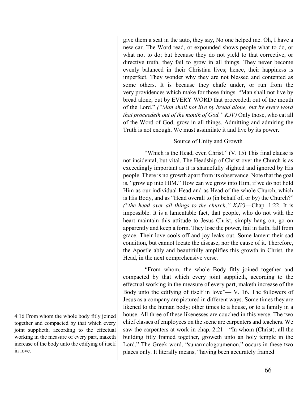give them a seat in the auto, they say, No one helped me. Oh, I have a new car. The Word read, or expounded shows people what to do, or what not to do; but because they do not yield to that corrective, or directive truth, they fail to grow in all things. They never become evenly balanced in their Christian lives; hence, their happiness is imperfect. They wonder why they are not blessed and contented as some others. It is because they chafe under, or run from the very providences which make for those things. "Man shall not live by bread alone, but by EVERY WORD that proceedeth out of the mouth of the Lord." *("Man shall not live by bread alone, but by every word that proceedeth out of the mouth of God." KJV)* Only those, who eat all of the Word of God, grow in all things. Admitting and admiring the Truth is not enough. We must assimilate it and live by its power.

# Source of Unity and Growth

"Which is the Head, even Christ." (V. 15) This final clause is not incidental, but vital. The Headship of Christ over the Church is as exceedingly important as it is shamefully slighted and ignored by His people. There is no growth apart from its observance. Note that the goal is, "grow up into HIM." How can we grow into Him, if we do not hold Him as our individual Head and as Head of the whole Church, which is His Body, and as "Head overall to (in behalf of, or by) the Church?" *("the head over all things to the church," KJV)*—Chap. 1:22. It is impossible. It is a lamentable fact, that people, who do not with the heart maintain this attitude to Jesus Christ, simply hang on, go on apparently and keep a form. They lose the power, fail in faith, fall from grace. Their love cools off and joy leaks out. Some lament their sad condition, but cannot locate the disease, nor the cause of it. Therefore, the Apostle ably and beautifully amplifies this growth in Christ, the Head, in the next comprehensive verse.

"From whom, the whole Body fitly joined together and compacted by that which every joint supplieth, according to the effectual working in the measure of every part, maketh increase of the Body unto the edifying of itself in love"— V. 16. The followers of Jesus as a company are pictured in different ways. Some times they are likened to the human body; other times to a house, or to a family in a house. All three of these likenesses are couched in this verse. The two chief classes of employees on the scene are carpenters and teachers. We saw the carpenters at work in chap. 2:21—"In whom (Christ), all the building fitly framed together, groweth unto an holy temple in the Lord." The Greek word, "sunarmologoumenon," occurs in these two places only. It literally means, "having been accurately framed

4:16 From whom the whole body fitly joined together and compacted by that which every joint supplieth, according to the effectual working in the measure of every part, maketh increase of the body unto the edifying of itself in love.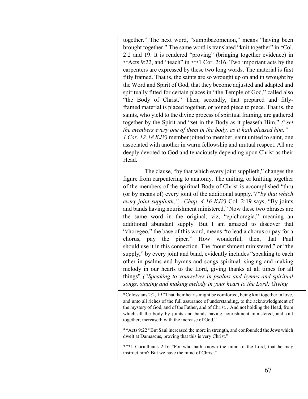together." The next word, "sumbibazomenon," means "having been brought together." The same word is translated "knit together" in \*Col. 2:2 and 19. It is rendered "proving" (bringing together evidence) in \*\*Acts 9:22, and "teach" in \*\*\*1 Cor. 2:16. Two important acts by the carpenters are expressed by these two long words. The material is first fitly framed. That is, the saints are so wrought up on and in wrought by the Word and Spirit of God, that they become adjusted and adapted and spiritually fitted for certain places in "the Temple of God," called also "the Body of Christ." Then, secondly, that prepared and fitlyframed material is placed together, or joined piece to piece. That is, the saints, who yield to the divine process of spiritual framing, are gathered together by the Spirit and "set in the Body as it pleaseth Him," *("set the members every one of them in the body, as it hath pleased him."— 1 Cor. 12:18 KJV)* member joined to member, saint united to saint, one associated with another in warm fellowship and mutual respect. All are deeply devoted to God and tenaciously depending upon Christ as their Head.

The clause, "by that which every joint supplieth," changes the figure from carpentering to anatomy. The uniting, or knitting together of the members of the spiritual Body of Christ is accomplished "thru (or by means of) every joint of the additional supply."*("by that which every joint supplieth,"—Chap. 4:16 KJV)* Col. 2:19 says, "By joints and bands having nourishment ministered." Now these two phrases are the same word in the original, viz, "epichoregia," meaning an additional abundant supply. But I am amazed to discover that "choregeo," the base of this word, means "to lead a chorus or pay for a chorus, pay the piper." How wonderful, then, that Paul should use it in this connection. The "nourishment ministered," or "the supply," by every joint and band, evidently includes "speaking to each other in psalms and hymns and songs spiritual, singing and making melody in our hearts to the Lord, giving thanks at all times for all things" *("Speaking to yourselves in psalms and hymns and spiritual songs, singing and making melody in your heart to the Lord; Giving* 

\*Colossians 2:2, 19 "That their hearts might be comforted, being knit together in love, and unto all riches of the full assurance of understanding, to the acknowledgment of the mystery of God, and of the Father, and of Christ…And not holding the Head, from which all the body by joints and bands having nourishment ministered, and knit together, increaseth with the increase of God."

\*\*Acts 9:22 "But Saul increased the more in strength, and confounded the Jews which dwelt at Damascus, proving that this is very Christ."

\*\*\*1 Corinthians 2:16 "For who hath known the mind of the Lord, that he may instruct him? But we have the mind of Christ."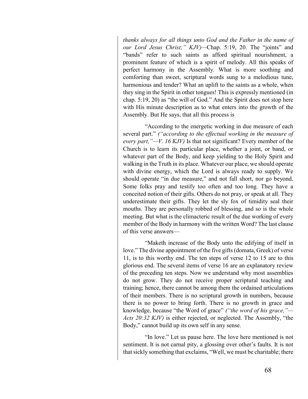*thanks always for all things unto God and the Father in the name of our Lord Jesus Christ;" KJV)—*Chap. 5:19, 20. The "joints" and "bands" refer to such saints as afford spiritual nourishment, a prominent feature of which is a spirit of melody. All this speaks of perfect harmony in the Assembly. What is more soothing and comforting than sweet, scriptural words sung to a melodious tune, harmonious and tender? What an uplift to the saints as a whole, when they sing in the Spirit in other tongues! This is expressly mentioned (in chap. 5:19, 20) as "the will of God." And the Spirit does not stop here with His minute description as to what enters into the growth of the Assembly. But He says, that all this process is

"According to the energetic working in due measure of each several part." *("according to the effectual working in the measure of every part,"—V. 16 KJV)* Is that not significant? Every member of the Church is to learn its particular place, whether a joint, or band, or whatever part of the Body, and keep yielding to the Holy Spirit and walking in the Truth in its place. Whatever our place, we should operate with divine energy, which the Lord is always ready to supply. We should operate "in due measure," and not fall short, nor go beyond. Some folks pray and testify too often and too long. They have a conceited notion of their gifts. Others do not pray, or speak at all. They underestimate their gifts. They let the sly fox of timidity seal their mouths. They are personally robbed of blessing, and so is the whole meeting. But what is the climacteric result of the due working of every member of the Body in harmony with the written Word? The last clause of this verse answers—

"Maketh increase of the Body unto the edifying of itself in love." The divine appointment of the five gifts (domata, Greek) of verse 11, is to this worthy end. The ten steps of verse 12 to 15 are to this glorious end. The several items of verse 16 are an explanatory review of the preceding ten steps. Now we understand why most assemblies do not grow. They do not receive proper scriptural teaching and training; hence, there cannot be among them the ordained articulations of their members. There is no scriptural growth in numbers, because there is no power to bring forth. There is no growth in grace and knowledge, because "the Word of grace" *("the word of his grace,"— Acts 20:32 KJV)* is either rejected, or neglected. The Assembly, "the Body," cannot build up its own self in any sense.

"In love." Let us pause here. The love here mentioned is not sentiment. It is not carnal pity, a glossing over other's faults. It is not that sickly something that exclaims, "Well, we must be charitable; there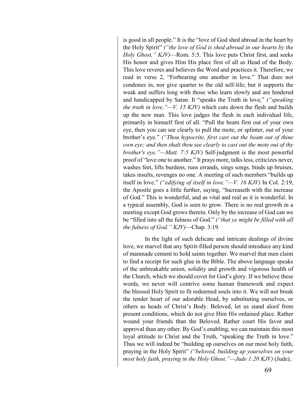is good in all people." It is the "love of God shed abroad in the heart by the Holy Spirit" *("the love of God is shed abroad in our hearts by the Holy Ghost," KJV)*—Rom. 5:5. This love puts Christ first, and seeks His honor and gives Him His place first of all as Head of the Body. This love reveres and believes the Word and practices it. Therefore, we read in verse 2, "Forbearing one another in love." That does not condones in, nor give quarter to the old self-life; but it supports the weak and suffers long with those who learn slowly and are hindered and handicapped by Satan. It "speaks the Truth in love," *("speaking the truth in love,"—V. 15 KJV)* which cuts down the flesh and builds up the new man. This love judges the flesh in each individual life, primarily in himself first of all. "Pull the beam first out of your own eye, then you can see clearly to pull the mote, or splinter, out of your brother's eye." *("Thou hypocrite, first cast out the beam out of thine own eye; and then shalt thou see clearly to cast out the mote out of thy brother's eye."—Matt. 7:5 KJV)* Self-judgment is the most powerful proof of "love one to another." It prays more, talks less, criticizes never, washes feet, lifts burdens, runs errands, sings songs, binds up bruises, takes insults, revenges no one. A meeting of such members "builds up itself in love." *("edifying of itself in love."—V. 16 KJV)* In Col. 2:19, the Apostle goes a little further, saying, "Increaseth with the increase of God." This is wonderful, and as vital and real as it is wonderful. In a typical assembly, God is seen to grow. There is no real growth in a meeting except God grows therein. Only by the increase of God can we be "filled into all the fulness of God." *("that ye might be filled with all the fulness of God." KJV)*—Chap. 3:19.

In the light of such delicate and intricate dealings of divine love, we marvel that any Spirit-filled person should introduce any kind of manmade cement to hold saints together. We marvel that men claim to find a receipt for such glue in the Bible. The above language speaks of the unbreakable union, solidity and growth and vigorous health of the Church, which we should covet for God's glory. If we believe these words, we never will contrive some human framework and expect the blessed Holy Spirit to fit redeemed souls into it. We will not break the tender heart of our adorable Head, by substituting ourselves, or others as heads of Christ's Body. Beloved, let us stand aloof from present conditions, which do not give Him His ordained place. Rather wound your friends than the Beloved. Rather court His favor and approval than any other. By God's enabling, we can maintain this most loyal attitude to Christ and the Truth, "speaking the Truth in love." Thus we will indeed be "building up ourselves on our most holy faith, praying in the Holy Spirit" *("beloved, building up yourselves on your most holy faith, praying in the Holy Ghost,"—Jude 1:20 KJV)* (Jude),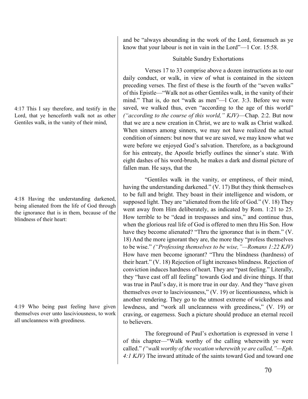4:17 This I say therefore, and testify in the Lord, that ye henceforth walk not as other Gentiles walk, in the vanity of their mind,

4:18 Having the understanding darkened, being alienated from the life of God through the ignorance that is in them, because of the blindness of their heart:

4:19 Who being past feeling have given themselves over unto lasciviousness, to work all uncleanness with greediness.

and be "always abounding in the work of the Lord, forasmuch as ye know that your labour is not in vain in the Lord"—1 Cor. 15:58.

# Suitable Sundry Exhortations

Verses 17 to 33 comprise above a dozen instructions as to our daily conduct, or walk, in view of what is contained in the sixteen preceding verses. The first of these is the fourth of the "seven walks" of this Epistle—"Walk not as other Gentiles walk, in the vanity of their mind." That is, do not "walk as men"—l Cor. 3:3. Before we were saved, we walked thus, even "according to the age of this world" *("according to the course of this world," KJV)*—Chap. 2:2. But now that we are a new creation in Christ, we are to walk as Christ walked. When sinners among sinners, we may not have realized the actual condition of sinners: but now that we are saved, we may know what we were before we enjoyed God's salvation. Therefore, as a background for his entreaty, the Apostle briefly outlines the sinner's state. With eight dashes of his word-brush, he makes a dark and dismal picture of fallen man. He says, that the

"Gentiles walk in the vanity, or emptiness, of their mind, having the understanding darkened." (V. 17) But they think themselves to be full and bright. They boast in their intelligence and wisdom, or supposed light. They are "alienated from the life of God." (V. 18) They went away from Him deliberately, as indicated by Rom. 1:21 to 25. How terrible to be "dead in trespasses and sins," and continue thus, when the glorious real life of God is offered to men thru His Son. How have they become alienated? "Thru the ignorance that is in them." (V. 18) And the more ignorant they are, the more they "profess themselves to be wise." *("Professing themselves to be wise,"—Romans 1:22 KJV)* How have men become ignorant? "Thru the blindness (hardness) of their heart." (V. 18) Rejection of light increases blindness. Rejection of conviction induces hardness of heart. They are "past feeling." Literally, they "have cast off all feeling" towards God and divine things. If that was true in Paul's day, it is more true in our day. And they "have given themselves over to lasciviousness," (V. 19) or licentiousness, which is another rendering. They go to the utmost extreme of wickedness and lewdness, and "work all uncleanness with greediness," (V. 19) or craving, or eagerness. Such a picture should produce an eternal recoil to believers.

The foreground of Paul's exhortation is expressed in verse 1 of this chapter—"Walk worthy of the calling wherewith ye were called." *("walk worthy of the vocation wherewith ye are called,"—Eph. 4:1 KJV)* The inward attitude of the saints toward God and toward one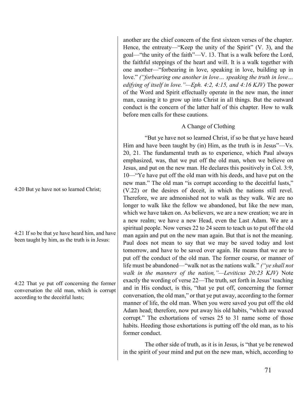4:20 But ye have not so learned Christ;

4:21 If so be that ye have heard him, and have been taught by him, as the truth is in Jesus:

4:22 That ye put off concerning the former conversation the old man, which is corrupt according to the deceitful lusts;

another are the chief concern of the first sixteen verses of the chapter. Hence, the entreaty—"Keep the unity of the Spirit" (V. 3), and the goal—"the unity of the faith"—V. 13. That is a walk before the Lord, the faithful steppings of the heart and will. It is a walk together with one another—"forbearing in love, speaking in love, building up in love." *("forbearing one another in love… speaking the truth in love… edifying of itself in love."—Eph. 4:2, 4:15, and 4:16 KJV)* The power of the Word and Spirit effectually operate in the new man, the inner man, causing it to grow up into Christ in all things. But the outward conduct is the concern of the latter half of this chapter. How to walk before men calls for these cautions.

# A Change of Clothing

"But ye have not so learned Christ, if so be that ye have heard Him and have been taught by (in) Him, as the truth is in Jesus"—Vs. 20, 21. The fundamental truth as to experience, which Paul always emphasized, was, that we put off the old man, when we believe on Jesus, and put on the new man. He declares this positively in Col. 3:9, 10—"Ye have put off the old man with his deeds, and have put on the new man." The old man "is corrupt according to the deceitful lusts," (V.22) or the desires of deceit, in which the nations still revel. Therefore, we are admonished not to walk as they walk. We are no longer to walk like the fellow we abandoned, but like the new man, which we have taken on. As believers, we are a new creation; we are in a new realm; we have a new Head, even the Last Adam. We are a spiritual people. Now verses 22 to 24 seem to teach us to put off the old man again and put on the new man again. But that is not the meaning. Paul does not mean to say that we may be saved today and lost tomorrow, and have to be saved over again. He means that we are to put off the conduct of the old man. The former course, or manner of life must be abandoned—"walk not as the nations walk." *("ye shall not walk in the manners of the nation,"—Leviticus 20:23 KJV)* Note exactly the wording of verse 22—The truth, set forth in Jesus' teaching and in His conduct, is this, "that ye put off, concerning the former conversation, the old man," or that ye put away, according to the former manner of life, the old man. When you were saved you put off the old Adam head; therefore, now put away his old habits, "which are waxed corrupt." The exhortations of verses 25 to 31 name some of those habits. Heeding those exhortations is putting off the old man, as to his former conduct.

The other side of truth, as it is in Jesus, is "that ye be renewed in the spirit of your mind and put on the new man, which, according to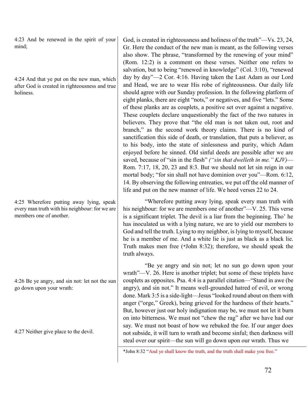4:23 And be renewed in the spirit of your mind;

4:24 And that ye put on the new man, which after God is created in righteousness and true holiness.

4:25 Wherefore putting away lying, speak every man truth with his neighbour: for we are members one of another.

4:26 Be ye angry, and sin not: let not the sun go down upon your wrath:

4:27 Neither give place to the devil.

God, is created in righteousness and holiness of the truth"—Vs. 23, 24, Gr. Here the conduct of the new man is meant, as the following verses also show. The phrase, "transformed by the renewing of your mind" (Rom. 12:2) is a comment on these verses. Neither one refers to salvation, but to being "renewed in knowledge" (Col. 3:10), "renewed day by day"—2 Cor. 4:16. Having taken the Last Adam as our Lord and Head, we are to wear His robe of righteousness. Our daily life should agree with our Sunday profession. In the following platform of eight planks, there are eight "nots," or negatives, and five "lets." Some of these planks are as couplets, a positive set over against a negative. These couplets declare unquestionably the fact of the two natures in believers. They prove that "the old man is not taken out, root and branch," as the second work theory claims. There is no kind of sanctification this side of death, or translation, that puts a believer, as to his body, into the state of sinlessness and purity, which Adam enjoyed before he sinned. Old sinful deeds are possible after we are saved, because of "sin in the flesh" *("sin that dwelleth in me." KJV)*— Rom. 7:17, 18, 20, 23 and 8:3. But we should not let sin reign in our mortal body; "for sin shall not have dominion over you"—Rom. 6:12, 14. By observing the following entreaties, we put off the old manner of life and put on the new manner of life. We heed verses 22 to 24.

"Wherefore putting away lying, speak every man truth with his neighbour: for we are members one of another"—V. 25. This verse is a significant triplet. The devil is a liar from the beginning. Tho' he has inoculated us with a lying nature, we are to yield our members to God and tell the truth. Lying to my neighbor, is lying to myself, because he is a member of me. And a white lie is just as black as a black lie. Truth makes men free (\*John 8:32); therefore, we should speak the truth always.

"Be ye angry and sin not; let no sun go down upon your wrath"—V. 26. Here is another triplet; but some of these triplets have couplets as opposites. Psa. 4:4 is a parallel citation—"Stand in awe (be angry), and sin not." It means well-grounded hatred of evil, or wrong done. Mark 3:5 is a side-light—Jesus "looked round about on them with anger ("orge," Greek), being grieved for the hardness of their hearts." But, however just our holy indignation may be, we must not let it burn on into bitterness. We must not "chew the rag" after we have had our say. We must not boast of how we rebuked the foe. If our anger does not subside, it will turn to wrath and become sinful; then darkness will steal over our spirit—the sun will go down upon our wrath. Thus we

\*John 8:32 "And ye shall know the truth, and the truth shall make you free."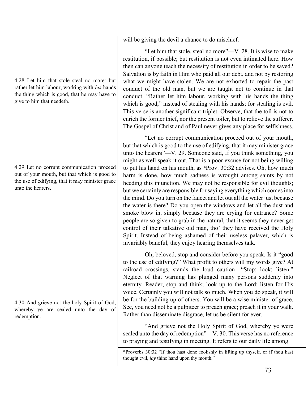4:28 Let him that stole steal no more: but rather let him labour, working with *his* hands the thing which is good, that he may have to give to him that needeth.

4:29 Let no corrupt communication proceed out of your mouth, but that which is good to the use of edifying, that it may minister grace unto the hearers.

4:30 And grieve not the holy Spirit of God, whereby ye are sealed unto the day of redemption.

will be giving the devil a chance to do mischief.

"Let him that stole, steal no more"—V. 28. It is wise to make restitution, if possible; but restitution is not even intimated here. How then can anyone teach the necessity of restitution in order to be saved? Salvation is by faith in Him who paid all our debt, and not by restoring what we might have stolen. We are not exhorted to repair the past conduct of the old man, but we are taught not to continue in that conduct. "Rather let him labour, working with his hands the thing which is good," instead of stealing with his hands; for stealing is evil. This verse is another significant triplet. Observe, that the toil is not to enrich the former thief, nor the present toiler, but to relieve the sufferer. The Gospel of Christ and of Paul never gives any place for selfishness.

"Let no corrupt communication proceed out of your mouth, but that which is good to the use of edifying, that it may minister grace unto the hearers"—V. 29. Someone said, If you think something, you might as well speak it out. That is a poor excuse for not being willing to put his hand on his mouth, as \*Prov. 30:32 advises. Oh, how much harm is done, how much sadness is wrought among saints by not heeding this injunction. We may not be responsible for evil thoughts; but we certainly are responsible for saying everything which comes into the mind. Do you turn on the faucet and let out all the water just because the water is there? Do you open the windows and let all the dust and smoke blow in, simply because they are crying for entrance? Some people are so given to grab in the natural, that it seems they never get control of their talkative old man, tho' they have received the Holy Spirit. Instead of being ashamed of their useless palaver, which is invariably baneful, they enjoy hearing themselves talk.

Oh, beloved, stop and consider before you speak. Is it "good to the use of edifying?" What profit to others will my words give? At railroad crossings, stands the loud caution—"Stop; look; listen." Neglect of that warning has plunged many persons suddenly into eternity. Reader, stop and think; look up to the Lord; listen for His voice. Certainly you will not talk so much. When you do speak, it will be for the building up of others. You will be a wise minister of grace. See, you need not be a pulpiteer to preach grace; preach it in your walk. Rather than disseminate disgrace, let us be silent for ever.

"And grieve not the Holy Spirit of God, whereby ye were sealed unto the day of redemption"—V. 30. This verse has no reference to praying and testifying in meeting. It refers to our daily life among

<sup>\*</sup>Proverbs 30:32 "If thou hast done foolishly in lifting up thyself, or if thou hast thought evil, *lay* thine hand upon thy mouth."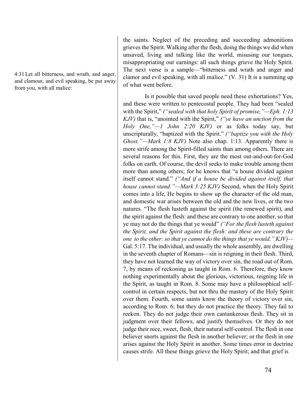4:31 Let all bitterness, and wrath, and anger, and clamour, and evil speaking, be put away from you, with all malice:

the saints. Neglect of the preceding and succeeding admonitions grieves the Spirit. Walking after the flesh, doing the things we did when unsaved, living and talking like the world, misusing our tongues, misappropriating our earnings: all such things grieve the Holy Spirit. The next verse is a sample—"bitterness and wrath and anger and clamor and evil speaking, with all malice." (V. 31) It is a summing up of what went before.

Is it possible that saved people need these exhortations? Yes, and these were written to pentecostal people. They had been "sealed with the Spirit," *("sealed with that holy Spirit of promise,"—Eph. 1:13 KJV)* that is, "anointed with the Spirit," *("ye have an unction from the Holy One,"—1 John 2:20 KJV)* or as folks today say, but unscripturally, "baptized with the Spirit." *("baptize you with the Holy Ghost."—Mark 1:8 KJV)* Note also chap. 1:13. Apparently there is more strife among the Spirit-filled saints than among others. There are several reasons for this. First, they are the most out-and-out-for-God folks on earth. Of course, the devil seeks to make trouble among them more than among others; for he knows that "a house divided against itself cannot stand." *("And if a house be divided against itself, that house cannot stand."—Mark 3:25 KJV)* Second, when the Holy Spirit comes into a life, He begins to show up the character of the old man, and domestic war arises between the old and the new lives, or the two natures. "The flesh lusteth against the spirit (the renewed spirit), and the spirit against the flesh: and these are contrary to one another, so that ye may not do the things that ye would" *("For the flesh lusteth against the Spirit, and the Spirit against the flesh: and these are contrary the one to the other: so that ye cannot do the things that ye would." KJV)—* Gal. 5:17. The individual, and usually the whole assembly, are dwelling in the seventh chapter of Romans—sin is reigning in their flesh. Third, they have not learned the way of victory over sin, the road out of Rom. 7, by means of reckoning as taught in Rom. 6. Therefore, they know nothing experimentally about the glorious, victorious, reigning life in the Spirit, as taught in Rom. 8. Some may have a philosophical selfcontrol in certain respects, but not thru the mastery of the Holy Spirit over them. Fourth, some saints know the theory of victory over sin, according to Rom. 6; but they do not practice the theory. They fail to reckon. They do not judge their own cantankerous flesh. They sit in judgment over their fellows, and justify themselves. Or they do not judge their nice, sweet, flesh, their natural self-control. The flesh in one believer snorts against the flesh in another believer; or the flesh in one arises against the Holy Spirit in another. Some times error in doctrine causes strife. All these things grieve the Holy Spirit; and that grief is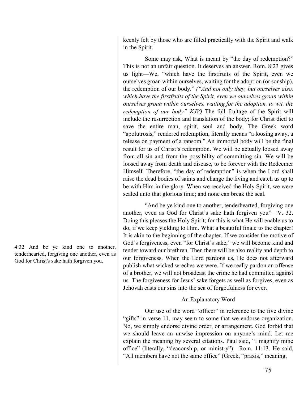keenly felt by those who are filled practically with the Spirit and walk in the Spirit.

Some may ask, What is meant by "the day of redemption?" This is not an unfair question. It deserves an answer. Rom. 8:23 gives us light—We, "which have the firstfruits of the Spirit, even we ourselves groan within ourselves, waiting for the adoption (or sonship), the redemption of our body." *("And not only they, but ourselves also, which have the firstfruits of the Spirit, even we ourselves groan within ourselves groan within ourselves, waiting for the adoption, to wit, the redemption of our body" KJV)* The full fruitage of the Spirit will include the resurrection and translation of the body; for Christ died to save the entire man, spirit, soul and body. The Greek word "apolutrosis," rendered redemption, literally means "a loosing away, a release on payment of a ransom." An immortal body will be the final result for us of Christ's redemption. We will be actually loosed away from all sin and from the possibility of committing sin. We will be loosed away from death and disease, to be forever with the Redeemer Himself. Therefore, "the day of redemption" is when the Lord shall raise the dead bodies of saints and change the living and catch us up to be with Him in the glory. When we received the Holy Spirit, we were sealed unto that glorious time; and none can break the seal.

"And be ye kind one to another, tenderhearted, forgiving one another, even as God for Christ's sake hath forgiven you"—V. 32. Doing this pleases the Holy Spirit; for this is what He will enable us to do, if we keep yielding to Him. What a beautiful finale to the chapter! It is akin to the beginning of the chapter. If we consider the motive of God's forgiveness, even "for Christ's sake," we will become kind and tender toward our brethren. Then there will be also reality and depth to our forgiveness. When the Lord pardons us, He does not afterward publish what wicked wreches we were. If we really pardon an offense of a brother, we will not broadcast the crime he had committed against us. The forgiveness for Jesus' sake forgets as well as forgives, even as Jehovah casts our sins into the sea of forgetfulness for ever.

## An Explanatory Word

Our use of the word "officer" in reference to the five divine "gifts" in verse 11, may seem to some that we endorse organization. No, we simply endorse divine order, or arrangement. God forbid that we should leave an unwise impression on anyone's mind. Let me explain the meaning by several citations. Paul said, "I magnify mine office" (literally, "deaconship, or ministry")—Rom. 11:13. He said, "All members have not the same office" (Greek, "praxis," meaning,

4:32 And be ye kind one to another, tenderhearted, forgiving one another, even as God for Christ's sake hath forgiven you.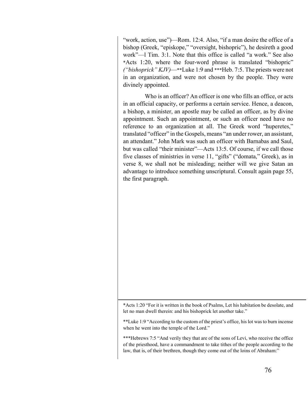"work, action, use")—Rom. 12:4. Also, "if a man desire the office of a bishop (Greek, "episkope," "oversight, bishopric"), he desireth a good work"—l Tim. 3:1. Note that this office is called "a work." See also \*Acts 1:20, where the four-word phrase is translated "bishopric" *("bishoprick" KJV)*—\*\*Luke 1:9 and \*\*\*Heb. 7:5. The priests were not in an organization, and were not chosen by the people. They were divinely appointed.

Who is an officer? An officer is one who fills an office, or acts in an official capacity, or performs a certain service. Hence, a deacon, a bishop, a minister, an apostle may be called an officer, as by divine appointment. Such an appointment, or such an officer need have no reference to an organization at all. The Greek word "huperetes," translated "officer" in the Gospels, means "an under rower, an assistant, an attendant." John Mark was such an officer with Barnabas and Saul, but was called "their minister"—Acts 13:5. Of course, if we call those five classes of ministries in verse 11, "gifts" ("domata," Greek), as in verse 8, we shall not be misleading; neither will we give Satan an advantage to introduce something unscriptural. Consult again page 55, the first paragraph.

\*Acts 1:20 "For it is written in the book of Psalms, Let his habitation be desolate, and let no man dwell therein: and his bishoprick let another take."

\*\*Luke 1:9 "According to the custom of the priest's office, his lot was to burn incense when he went into the temple of the Lord."

\*\*\*Hebrews 7:5 "And verily they that are of the sons of Levi, who receive the office of the priesthood, have a commandment to take tithes of the people according to the law, that is, of their brethren, though they come out of the loins of Abraham:"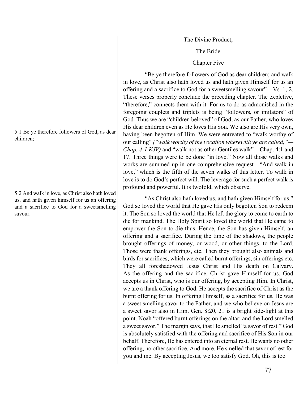The Divine Product,

The Bride

### Chapter Five

"Be ye therefore followers of God as dear children; and walk in love, as Christ also hath loved us and hath given Himself for us an offering and a sacrifice to God for a sweetsmelling savour"—Vs. 1, 2. These verses properly conclude the preceding chapter. The expletive, "therefore," connects them with it. For us to do as admonished in the foregoing couplets and triplets is being "followers, or imitators" of God. Thus we are "children beloved" of God, as our Father, who loves His dear children even as He loves His Son. We also are His very own, having been begotten of Him. We were entreated to "walk worthy of our calling" *("walk worthy of the vocation wherewith ye are called,"— Chap. 4:1 KJV)* and "walk not as other Gentiles walk"—Chap. 4:1 and 17. Three things were to be done "in love." Now all those walks and works are summed up in one comprehensive request—"And walk in love," which is the fifth of the seven walks of this letter. To walk in love is to do God's perfect will. The leverage for such a perfect walk is profound and powerful. It is twofold, which observe.

"As Christ also hath loved us, and hath given Himself for us." God so loved the world that He gave His only begotten Son to redeem it. The Son so loved the world that He left the glory to come to earth to die for mankind. The Holy Spirit so loved the world that He came to empower the Son to die thus. Hence, the Son has given Himself, an offering and a sacrifice. During the time of the shadows, the people brought offerings of money, or wood, or other things, to the Lord. Those were thank offerings, etc. Then they brought also animals and birds for sacrifices, which were called burnt offerings, sin offerings etc. They all foreshadowed Jesus Christ and His death on Calvary. As the offering and the sacrifice, Christ gave Himself for us. God accepts us in Christ, who is our offering, by accepting Him. In Christ, we are a thank offering to God. He accepts the sacrifice of Christ as the burnt offering for us. In offering Himself, as a sacrifice for us, He was a sweet smelling savor to the Father, and we who believe on Jesus are a sweet savor also in Him. Gen. 8:20, 21 is a bright side-light at this point. Noah "offered burnt offerings on the altar; and the Lord smelled a sweet savor." The margin says, that He smelled "a savor of rest." God is absolutely satisfied with the offering and sacrifice of His Son in our behalf. Therefore, He has entered into an eternal rest. He wants no other offering, no other sacrifice. And more. He smelled that savor of rest for you and me. By accepting Jesus, we too satisfy God. Oh, this is too

5:1 Be ye therefore followers of God, as dear children;

5:2 And walk in love, as Christ also hath loved us, and hath given himself for us an offering and a sacrifice to God for a sweetsmelling savour.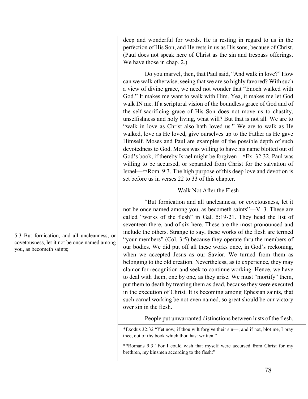deep and wonderful for words. He is resting in regard to us in the perfection of His Son, and He rests in us as His sons, because of Christ. (Paul does not speak here of Christ as the sin and trespass offerings. We have those in chap. 2.)

Do you marvel, then, that Paul said, "And walk in love?" How can we walk otherwise, seeing that we are so highly favored? With such a view of divine grace, we need not wonder that "Enoch walked with God." It makes me want to walk with Him. Yea, it makes me let God walk IN me. If a scriptural vision of the boundless grace of God and of the self-sacrificing grace of His Son does not move us to chastity, unselfishness and holy living, what will? But that is not all. We are to "walk in love as Christ also hath loved us." We are to walk as He walked, love as He loved, give ourselves up to the Father as He gave Himself. Moses and Paul are examples of the possible depth of such devotedness to God. Moses was willing to have his name blotted out of God's book, if thereby Israel might be forgiven—\*Ex. 32:32. Paul was willing to be accursed, or separated from Christ for the salvation of Israel—\*\*Rom. 9:3. The high purpose of this deep love and devotion is set before us in verses 22 to 33 of this chapter.

## Walk Not After the Flesh

"But fornication and all uncleanness, or covetousness, let it not be once named among you, as becometh saints"—V. 3. These are called "works of the flesh" in Gal. 5:19-21. They head the list of seventeen there, and of six here. These are the most pronounced and include the others. Strange to say, these works of the flesh are termed "your members" (Col. 3:5) because they operate thru the members of our bodies. We did put off all these works once, in God's reckoning, when we accepted Jesus as our Savior. We turned from them as belonging to the old creation. Nevertheless, as to experience, they may clamor for recognition and seek to continue working. Hence, we have to deal with them, one by one, as they arise. We must "mortify" them, put them to death by treating them as dead, because they were executed in the execution of Christ. It is becoming among Ephesian saints, that such carnal working be not even named, so great should be our victory over sin in the flesh.

People put unwarranted distinctions between lusts of the flesh.

\*Exodus 32:32 "Yet now, if thou wilt forgive their sin—; and if not, blot me, I pray thee, out of thy book which thou hast written."

\*\*Romans 9:3 "For I could wish that myself were accursed from Christ for my brethren, my kinsmen according to the flesh:"

5:3 But fornication, and all uncleanness, or covetousness, let it not be once named among you, as becometh saints;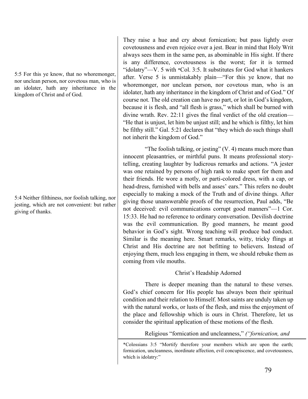5:5 For this ye know, that no whoremonger, nor unclean person, nor covetous man, who is an idolater, hath any inheritance in the kingdom of Christ and of God.

5:4 Neither filthiness, nor foolish talking, nor jesting, which are not convenient: but rather giving of thanks.

They raise a hue and cry about fornication; but pass lightly over covetousness and even rejoice over a jest. Bear in mind that Holy Writ always sees them in the same pen, as abominable in His sight. If there is any difference, covetousness is the worst; for it is termed "idolatry"—V. 5 with \*Col. 3:5. It substitutes for God what it hankers after. Verse 5 is unmistakably plain—"For this ye know, that no whoremonger, nor unclean person, nor covetous man, who is an idolater, hath any inheritance in the kingdom of Christ and of God." Of course not. The old creation can have no part, or lot in God's kingdom, because it is flesh, and "all flesh is grass," which shall be burned with divine wrath. Rev. 22:11 gives the final verdict of the old creation— "He that is unjust, let him be unjust still; and he which is filthy, let him be filthy still." Gal. 5:21 declares that "they which do such things shall not inherit the kingdom of God."

"The foolish talking, or jesting" (V. 4) means much more than innocent pleasantries, or mirthful puns. It means professional storytelling, creating laughter by ludicrous remarks and actions. "A jester was one retained by persons of high rank to make sport for them and their friends. He wore a motly, or parti-colored dress, with a cap, or head-dress, furnished with bells and asses' ears." This refers no doubt especially to making a mock of the Truth and of divine things. After giving those unanswerable proofs of the resurrection, Paul adds, "Be not deceived: evil communications corrupt good manners"—1 Cor. 15:33. He had no reference to ordinary conversation. Devilish doctrine was the evil communication. By good manners, he meant good behavior in God's sight. Wrong teaching will produce bad conduct. Similar is the meaning here. Smart remarks, witty, tricky flings at Christ and His doctrine are not befitting to believers. Instead of enjoying them, much less engaging in them, we should rebuke them as coming from vile mouths.

# Christ's Headship Adorned

There is deeper meaning than the natural to these verses. God's chief concern for His people has always been their spiritual condition and their relation to Himself. Most saints are unduly taken up with the natural works, or lusts of the flesh, and miss the enjoyment of the place and fellowship which is ours in Christ. Therefore, let us consider the spiritual application of these motions of the flesh.

Religious "fornication and uncleanness," *("fornication, and* 

\*Colossians 3:5 "Mortify therefore your members which are upon the earth; fornication, uncleanness, inordinate affection, evil concupiscence, and covetousness, which is idolatry:"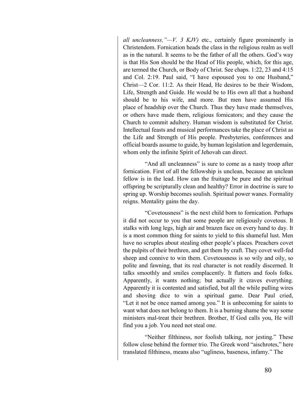*all uncleanness,"—V. 3 KJV)* etc., certainly figure prominently in Christendom. Fornication heads the class in the religious realm as well as in the natural. It seems to be the father of all the others. God's way is that His Son should be the Head of His people, which, for this age, are termed the Church, or Body of Christ. See chaps. 1:22, 23 and 4:15 and Col. 2:19. Paul said, "I have espoused you to one Husband," Christ—2 Cor. 11:2. As their Head, He desires to be their Wisdom, Life, Strength and Guide. He would be to His own all that a husband should be to his wife, and more. But men have assumed His place of headship over the Church. Thus they have made themselves, or others have made them, religious fornicators; and they cause the Church to commit adultery. Human wisdom is substituted for Christ. Intellectual feasts and musical performances take the place of Christ as the Life and Strength of His people. Presbyteries, conferences and official boards assume to guide, by human legislation and legerdemain, whom only the infinite Spirit of Jehovah can direct.

"And all uncleanness" is sure to come as a nasty troop after fornication. First of all the fellowship is unclean, because an unclean fellow is in the lead. How can the fruitage be pure and the spiritual offspring be scripturally clean and healthy? Error in doctrine is sure to spring up. Worship becomes soulish. Spiritual power wanes. Formality reigns. Mentality gains the day.

"Covetousness" is the next child born to fornication. Perhaps it did not occur to you that some people are religiously covetous. It stalks with long legs, high air and brazen face on every hand to day. It is a most common thing for saints to yield to this shameful lust. Men have no scruples about stealing other people's places. Preachers covet the pulpits of their brethren, and get them by craft. They covet well-fed sheep and connive to win them. Covetousness is so wily and oily, so polite and fawning, that its real character is not readily discerned. It talks smoothly and smiles complacently. It flatters and fools folks. Apparently, it wants nothing; but actually it craves everything. Apparently it is contented and satisfied, but all the while pulling wires and shoving dice to win a spiritual game. Dear Paul cried, "Let it not be once named among you." It is unbecoming for saints to want what does not belong to them. It is a burning shame the way some ministers mal-treat their brethren. Brother, If God calls you, He will find you a job. You need not steal one.

"Neither filthiness, nor foolish talking, nor jesting." These follow close behind the former trio. The Greek word "aischrotes," here translated filthiness, means also "ugliness, baseness, infamy." The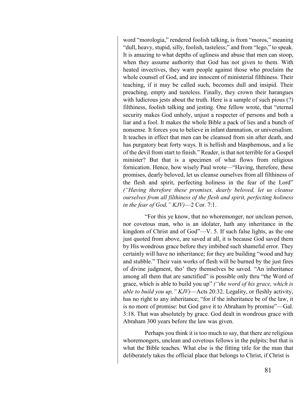word "morologia," rendered foolish talking, is from "moros," meaning "dull, heavy, stupid, silly, foolish, tasteless;" and from "lego," to speak. It is amazing to what depths of ugliness and abuse that men can stoop, when they assume authority that God has not given to them. With heated invectives, they warn people against those who proclaim the whole counsel of God, and are innocent of ministerial filthiness. Their teaching, if it may be called such, becomes dull and insipid. Their preaching, empty and tasteless. Finally, they crown their harangues with ludicrous jests about the truth. Here is a sample of such pious (?) filthiness, foolish talking and jesting. One fellow wrote, that "eternal security makes God unholy, unjust a respecter of persons and both a liar and a fool. It makes the whole Bible a pack of lies and a bunch of nonsense. It forces you to believe in infant damnation, or universalism. It teaches in effect that men can be cleansed from sin after death, and has purgatory beat forty ways. It is hellish and blasphemous, and a lie of the devil from start to finish." Reader, is that not terrible for a Gospel minister? But that is a specimen of what flows from religious fornication. Hence, how wisely Paul wrote—"Having, therefore, these promises, dearly beloved, let us cleanse ourselves from all filthiness of the flesh and spirit, perfecting holiness in the fear of the Lord" *("Having therefore these promises, dearly beloved, let us cleanse ourselves from all filthiness of the flesh and spirit, perfecting holiness in the fear of God," KJV)*—2 Cor. 7:1.

"For this ye know, that no whoremonger, nor unclean person, nor covetous man, who is an idolater, hath any inheritance in the kingdom of Christ and of God"—V. 5. If such false lights, as the one just quoted from above, are saved at all, it is because God saved them by His wondrous grace before they imbibed such shameful error. They certainly will have no inheritance; for they are building "wood and hay and stubble." Their vain works of flesh will be burned by the just fires of divine judgment, tho' they themselves be saved. "An inheritance among all them that are sanctified" is possible only thru "the Word of grace, which is able to build you up" *("the word of his grace, which is able to build you up," KJV)*—Acts 20:32. Legality, or fleshly activity, has no right to any inheritance; "for if the inheritance be of the law, it is no more of promise: but God gave it to Abraham by promise"—Gal. 3:18. That was absolutely by grace. God dealt in wondrous grace with Abraham 300 years before the law was given.

Perhaps you think it is too much to say, that there are religious whoremongers, unclean and covetous fellows in the pulpits; but that is what the Bible teaches. What else is the fitting title for the man that deliberately takes the official place that belongs to Christ, if Christ is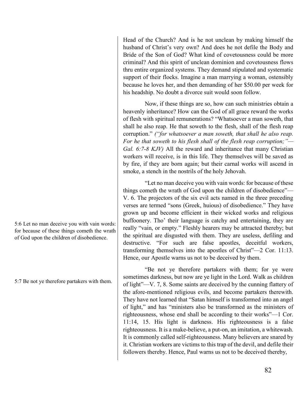5:6 Let no man deceive you with vain words: for because of these things cometh the wrath of God upon the children of disobedience.

5:7 Be not ye therefore partakers with them.

Head of the Church? And is he not unclean by making himself the husband of Christ's very own? And does he not defile the Body and Bride of the Son of God? What kind of covetousness could be more criminal? And this spirit of unclean dominion and covetousness flows thru entire organized systems. They demand stipulated and systematic support of their flocks. Imagine a man marrying a woman, ostensibly because he loves her, and then demanding of her \$50.00 per week for his headship. No doubt a divorce suit would soon follow.

Now, if these things are so, how can such ministries obtain a heavenly inheritance? How can the God of all grace reward the works of flesh with spiritual remunerations? "Whatsoever a man soweth, that shall he also reap. He that soweth to the flesh, shall of the flesh reap corruption." *("for whatsoever a man soweth, that shall he also reap. For he that soweth to his flesh shall of the flesh reap corruption;"— Gal. 6:7-8 KJV)* All the reward and inheritance that many Christian workers will receive, is in this life. They themselves will be saved as by fire, if they are born again; but their carnal works will ascend in smoke, a stench in the nostrils of the holy Jehovah.

"Let no man deceive you with vain words: for because of these things cometh the wrath of God upon the children of disobedience"— V. 6. The projectors of the six evil acts named in the three preceding verses are termed "sons (Greek, huious) of disobedience." They have grown up and become efficient in their wicked works and religious buffoonery. Tho' their language is catchy and entertaining, they are really "vain, or empty." Fleshly hearers may be attracted thereby; but the spiritual are disgusted with them. They are useless, defiling and destructive. "For such are false apostles, deceitful workers, transforming themselves into the apostles of Christ"—2 Cor. 11:13. Hence, our Apostle warns us not to be deceived by them.

"Be not ye therefore partakers with them; for ye were sometimes darkness, but now are ye light in the Lord. Walk as children of light"—V. 7, 8. Some saints are deceived by the cunning flattery of the afore-mentioned religious evils, and become partakers therewith. They have not learned that "Satan himself is transformed into an angel of light," and has "ministers also be transformed as the ministers of righteousness, whose end shall be according to their works"—1 Cor. 11:14, 15. His light is darkness. His righteousness is a false righteousness. It is a make-believe, a put-on, an imitation, a whitewash. It is commonly called self-righteousness. Many believers are snared by it. Christian workers are victims to this trap of the devil, and defile their followers thereby. Hence, Paul warns us not to be deceived thereby,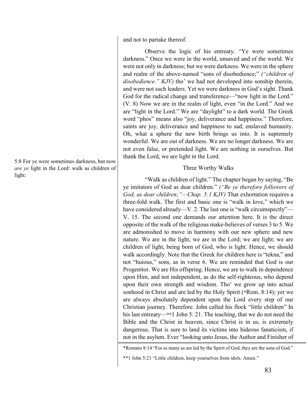and not to partake thereof.

Observe the logic of his entreaty. "Ye were sometimes darkness." Once we were in the world, unsaved and of the world. We were not only in darkness; but we were darkness. We were in the sphere and realm of the above-named "sons of disobedience;" *("children of disobedience." KJV)* tho' we had not developed into sonship therein, and were not such leaders. Yet we were darkness in God's sight. Thank God for the radical change and transference—"now light in the Lord." (V. 8) Now we are in the realm of light, even "in the Lord." And we are "light in the Lord." We are "daylight" to a dark world. The Greek word "phos" means also "joy, deliverance and happiness." Therefore, saints are joy, deliverance and happiness to sad, enslaved humanity. Oh, what a sphere the new birth brings us into. It is supremely wonderful. We are out of darkness. We are no longer darkness. We are not even false, or pretended light. We are nothing in ourselves. But thank the Lord, we are light in the Lord.

### Three Worthy Walks

"Walk as children of light." The chapter began by saying, "Be ye imitators of God as dear children." *("Be ye therefore followers of God, as dear children;"—Chap. 5:1 KJV)* That exhortation requires a three-fold walk. The first and basic one is "walk in love," which we have considered already—V. 2. The last one is "walk circumspectly"— V. 15. The second one demands our attention here. It is the direct opposite of the walk of the religious make-believes of verses 3 to 5. We are admonished to move in harmony with our new sphere and new nature. We are in the light; we are in the Lord; we are light; we are children of light, being born of God, who is light. Hence, we should walk accordingly. Note that the Greek for children here is "tekna," and not "huious," sons, as in verse 6. We are reminded that God is our Progenitor. We are His offspring. Hence, we are to walk in dependence upon Him, and not independent, as do the self-righteous, who depend upon their own strength and wisdom. Tho' we grow up into actual sonhood in Christ and are led by the Holy Spirit (\*Rom. 8:14); yet we are always absolutely dependent upon the Lord every step of our Christian journey. Therefore. John called his flock "little children" In his last entreaty—\*\*1 John 5: 21. The teaching, that we do not need the Bible and the Christ in heaven, since Christ is in us, is extremely dangerous. That is sure to land its victims into hideous fanaticism, if not in the asylum. Ever "looking unto Jesus, the Author and Finisher of

5:8 For ye were sometimes darkness, but now *are ye* light in the Lord: walk as children of light:

<sup>\*</sup>Romans 8:14 "For as many as are led by the Spirit of God, they are the sons of God."

<sup>\*\*1</sup> John 5:21 "Little children, keep yourselves from idols. Amen."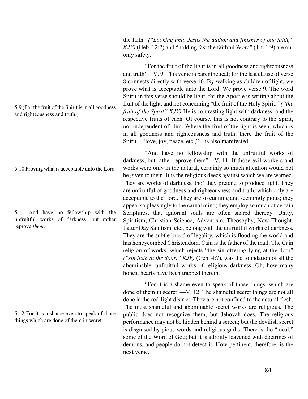5:9 (For the fruit of the Spirit is in all goodness and righteousness and truth;)

5:10 Proving what is acceptable unto the Lord.

5:11 And have no fellowship with the unfruitful works of darkness, but rather reprove *them*.

5:12 For it is a shame even to speak of those things which are done of them in secret.

the faith" *("Looking unto Jesus the author and finisher of our faith," KJV)* (Heb. 12:2) and "holding fast the faithful Word" (Tit. 1:9) are our only safety.

"For the fruit of the light is in all goodness and righteousness and truth"—V. 9. This verse is parenthetical; for the last clause of verse 8 connects directly with verse 10. By walking as children of light, we prove what is acceptable unto the Lord. We prove verse 9. The word Spirit in this verse should be light; for the Apostle is writing about the fruit of the light, and not concerning "the fruit of the Holy Spirit." *("the fruit of the Spirit" KJV)* He is contrasting light with darkness, and the respective fruits of each. Of course, this is not contrary to the Spirit, nor independent of Him. Where the fruit of the light is seen, which is in all goodness and righteousness and truth, there the fruit of the Spirit—"love, joy, peace, etc.,"—is also manifested.

"And have no fellowship with the unfruitful works of darkness, but rather reprove them"—V. 11. If those evil workers and works were only in the natural, certainly so much attention would not be given to them. It is the religious deeds against which we are warned. They are works of darkness, tho' they pretend to produce light. They are unfruitful of goodness and righteousness and truth, which only are acceptable to the Lord. They are so cunning and seemingly pious; they appeal so pleasingly to the carnal mind; they employ so much of certain Scriptures, that ignorant souls are often snared thereby. Unity, Spiritism, Christian Science, Adventism, Theosophy, New Thought, Latter Day Saintism, etc., belong with the unfruitful works of darkness. They are the subtle brood of legality, which is flooding the world and has honeycombed Christendom. Cain is the father of the mall. The Cain religion of works, which rejects "the sin offering lying at the door" *("sin lieth at the door." KJV)* (Gen. 4:7), was the foundation of all the abominable, unfruitful works of religious darkness. Oh, how many honest hearts have been trapped therein.

"For it is a shame even to speak of those things, which are done of them in secret"—V. 12. The shameful secret things are not all done in the red-light district. They are not confined to the natural flesh. The most shameful and abominable secret works are religious. The public does not recognize them; but Jehovah does. The religious performance may not be hidden behind a screen; but the devilish secret is disguised by pious words and religious garbs. There is the "meal," some of the Word of God; but it is adroitly leavened with doctrines of demons, and people do not detect it. How pertinent, therefore, is the next verse.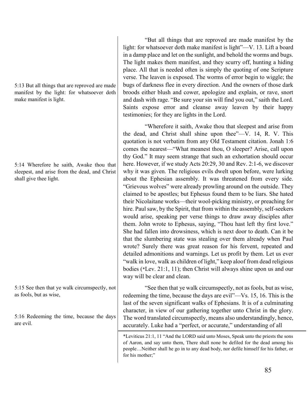5:13 But all things that are reproved are made manifest by the light: for whatsoever doth make manifest is light.

5:14 Wherefore he saith, Awake thou that sleepest, and arise from the dead, and Christ shall give thee light.

5:15 See then that ye walk circumspectly, not as fools, but as wise,

5:16 Redeeming the time, because the days are evil.

"But all things that are reproved are made manifest by the light: for whatsoever doth make manifest is light"—V. 13. Lift a board in a damp place and let on the sunlight, and behold the worms and bugs. The light makes them manifest, and they scurry off, hunting a hiding place. All that is needed often is simply the quoting of one Scripture verse. The leaven is exposed. The worms of error begin to wiggle; the bugs of darkness flee in every direction. And the owners of those dark broods either blush and cower, apologize and explain, or rave, snort and dash with rage. "Be sure your sin will find you out," saith the Lord. Saints expose error and cleanse away leaven by their happy testimonies; for they are lights in the Lord.

"Wherefore it saith, Awake thou that sleepest and arise from the dead, and Christ shall shine upon thee"—V. 14, R. V. This quotation is not verbatim from any Old Testament citation. Jonah 1:6 comes the nearest—"What meanest thou, O sleeper? Arise, call upon thy God." It may seem strange that such an exhortation should occur here. However, if we study Acts 20:29, 30 and Rev. 2:1-6, we discover why it was given. The religious evils dwelt upon before, were lurking about the Ephesian assembly. It was threatened from every side. "Grievous wolves" were already prowling around on the outside. They claimed to be apostles; but Ephesus found them to be liars. She hated their Nicolaitane works—their wool-picking ministry, or preaching for hire. Paul saw, by the Spirit, that from within the assembly, self-seekers would arise, speaking per verse things to draw away disciples after them. John wrote to Ephesus, saying, "Thou hast left thy first love." She had fallen into drowsiness, which is next door to death. Can it be that the slumbering state was stealing over them already when Paul wrote? Surely there was great reason for his fervent, repeated and detailed admonitions and warnings. Let us profit by them. Let us ever "walk in love, walk as children of light," keep aloof from dead religious bodies (\*Lev. 21:1, 11); then Christ will always shine upon us and our way will be clear and clean.

"See then that ye walk circumspectly, not as fools, but as wise, redeeming the time, because the days are evil"—Vs. 15, 16. This is the last of the seven significant walks of Ephesians. It is of a culminating character, in view of our gathering together unto Christ in the glory. The word translated circumspectly, means also understandingly, hence, accurately. Luke had a "perfect, or accurate," understanding of all

\*Leviticus 21:1, 11 "And the LORD said unto Moses, Speak unto the priests the sons of Aaron, and say unto them, There shall none be defiled for the dead among his people…Neither shall he go in to any dead body, nor defile himself for his father, or for his mother;"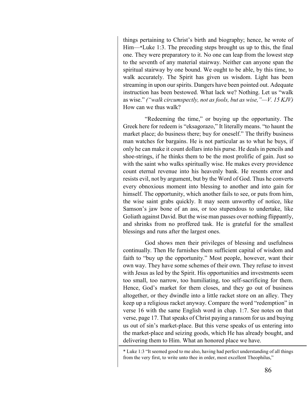things pertaining to Christ's birth and biography; hence, he wrote of Him—\*Luke 1:3. The preceding steps brought us up to this, the final one. They were preparatory to it. No one can leap from the lowest step to the seventh of any material stairway. Neither can anyone span the spiritual stairway by one bound. We ought to be able, by this time, to walk accurately. The Spirit has given us wisdom. Light has been streaming in upon our spirits. Dangers have been pointed out. Adequate instruction has been bestowed. What lack we? Nothing. Let us "walk as wise." *("walk circumspectly, not as fools, but as wise,"—V. 15 KJV)* How can we thus walk?

"Redeeming the time," or buying up the opportunity. The Greek here for redeem is "eksagorazo," It literally means. "to haunt the market place; do business there; buy for oneself." The thrifty business man watches for bargains. He is not particular as to what he buys, if only he can make it count dollars into his purse. He deals in pencils and shoe-strings, if he thinks them to be the most prolific of gain. Just so with the saint who walks spiritually wise. He makes every providence count eternal revenue into his heavenly bank. He resents error and resists evil, not by argument, but by the Word of God. Thus he converts every obnoxious moment into blessing to another and into gain for himself. The opportunity, which another fails to see, or puts from him, the wise saint grabs quickly. It may seem unworthy of notice, like Samson's jaw bone of an ass, or too stupendous to undertake, like Goliath against David. But the wise man passes over nothing flippantly, and shrinks from no proffered task. He is grateful for the smallest blessings and runs after the largest ones.

God shows men their privileges of blessing and usefulness continually. Then He furnishes them sufficient capital of wisdom and faith to "buy up the opportunity." Most people, however, want their own way. They have some schemes of their own. They refuse to invest with Jesus as led by the Spirit. His opportunities and investments seem too small, too narrow, too humiliating, too self-sacrificing for them. Hence, God's market for them closes, and they go out of business altogether, or they dwindle into a little racket store on an alley. They keep up a religious racket anyway. Compare the word "redemption" in verse 16 with the same English word in chap. 1:7. See notes on that verse, page 17. That speaks of Christ paying a ransom for us and buying us out of sin's market-place. But this verse speaks of us entering into the market-place and seizing goods, which He has already bought, and delivering them to Him. What an honored place we have.

<sup>\*</sup> Luke 1:3 "It seemed good to me also, having had perfect understanding of all things from the very first, to write unto thee in order, most excellent Theophilus,"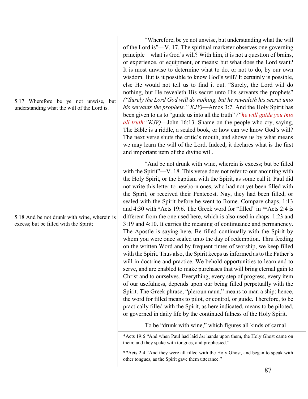5:17 Wherefore be ye not unwise, but understanding what the will of the Lord is.

5:18 And be not drunk with wine, wherein is excess; but be filled with the Spirit;

"Wherefore, be ye not unwise, but understanding what the will of the Lord is"—V. 17. The spiritual marketer observes one governing principle—what is God's will? With him, it is not a question of brains, or experience, or equipment, or means; but what does the Lord want? It is most unwise to determine what to do, or not to do, by our own wisdom. But is it possible to know God's will? It certainly is possible, else He would not tell us to find it out. "Surely, the Lord will do nothing, but He revealeth His secret unto His servants the prophets" *("Surely the Lord God will do nothing, but he revealeth his secret unto his servants the prophets." KJV)*—Amos 3:7. And the Holy Spirit has been given to us to "guide us into all the truth" *("he will guide you into all truth:"KJV)*—John 16:13. Shame on the people who cry, saying, The Bible is a riddle, a sealed book, or how can we know God's will? The next verse shuts the critic's mouth, and shows us by what means we may learn the will of the Lord. Indeed, it declares what is the first and important item of the divine will.

"And be not drunk with wine, wherein is excess; but be filled with the Spirit"—V. 18. This verse does not refer to our anointing with the Holy Spirit, or the baptism with the Spirit, as some call it. Paul did not write this letter to newborn ones, who had not yet been filled with the Spirit, or received their Pentecost. Nay, they had been filled, or sealed with the Spirit before he went to Rome. Compare chaps. 1:13 and 4:30 with \*Acts 19:6. The Greek word for "filled" in \*\*Acts 2:4 is different from the one used here, which is also used in chaps. 1:23 and 3:19 and 4:10. It carries the meaning of continuance and permanency. The Apostle is saying here, Be filled continually with the Spirit by whom you were once sealed unto the day of redemption. Thru feeding on the written Word and by frequent times of worship, we keep filled with the Spirit. Thus also, the Spirit keeps us informed as to the Father's will in doctrine and practice. We behold opportunities to learn and to serve, and are enabled to make purchases that will bring eternal gain to Christ and to ourselves. Everything, every step of progress, every item of our usefulness, depends upon our being filled perpetually with the Spirit. The Greek phrase, "pleroun naun," means to man a ship; hence, the word for filled means to pilot, or control, or guide. Therefore, to be practically filled with the Spirit, as here indicated, means to be piloted, or governed in daily life by the continued fulness of the Holy Spirit.

To be "drunk with wine," which figures all kinds of carnal

\*Acts 19:6 "And when Paul had laid *his* hands upon them, the Holy Ghost came on them; and they spake with tongues, and prophesied."

\*\*Acts 2:4 "And they were all filled with the Holy Ghost, and began to speak with other tongues, as the Spirit gave them utterance."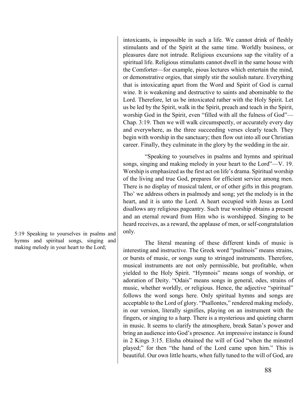intoxicants, is impossible in such a life. We cannot drink of fleshly stimulants and of the Spirit at the same time. Worldly business, or pleasures dare not intrude. Religious excursions sap the vitality of a spiritual life. Religious stimulants cannot dwell in the same house with the Comforter—for example, pious lectures which entertain the mind, or demonstrative orgies, that simply stir the soulish nature. Everything that is intoxicating apart from the Word and Spirit of God is carnal wine. It is weakening and destructive to saints and abominable to the Lord. Therefore, let us be intoxicated rather with the Holy Spirit. Let us be led by the Spirit, walk in the Spirit, preach and teach in the Spirit, worship God in the Spirit, even "filled with all the fulness of God"— Chap. 3:19. Then we will walk circumspectly, or accurately every day and everywhere, as the three succeeding verses clearly teach. They begin with worship in the sanctuary; then flow out into all our Christian career. Finally, they culminate in the glory by the wedding in the air.

"Speaking to yourselves in psalms and hymns and spiritual songs, singing and making melody in your heart to the Lord"—V. 19. Worship is emphasized as the first act on life's drama. Spiritual worship of the living and true God, prepares for efficient service among men. There is no display of musical talent, or of other gifts in this program. Tho' we address others in psalmody and song; yet the melody is in the heart, and it is unto the Lord. A heart occupied with Jesus as Lord disallows any religious pageantry. Such true worship obtains a present and an eternal reward from Him who is worshipped. Singing to be heard receives, as a reward, the applause of men, or self-congratulation only.

The literal meaning of these different kinds of music is interesting and instructive. The Greek word "psalmois" means strains, or bursts of music, or songs sung to stringed instruments. Therefore, musical instruments are not only permissible, but profitable, when yielded to the Holy Spirit. "Hymnois" means songs of worship, or adoration of Deity. "Odais" means songs in general, odes, strains of music, whether worldly, or religious. Hence, the adjective "spiritual" follows the word songs here. Only spiritual hymns and songs are acceptable to the Lord of glory. "Psallontes," rendered making melody, in our version, literally signifies, playing on an instrument with the fingers, or singing to a harp. There is a mysterious and quieting charm in music. It seems to clarify the atmosphere, break Satan's power and bring an audience into God's presence. An impressive instance is found in 2 Kings 3:15. Elisha obtained the will of God "when the minstrel played;" for then "the hand of the Lord came upon him." This is beautiful. Our own little hearts, when fully tuned to the will of God, are

5:19 Speaking to yourselves in psalms and hymns and spiritual songs, singing and making melody in your heart to the Lord;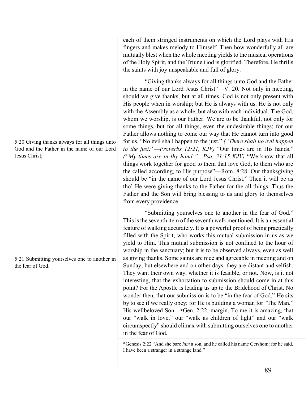5:20 Giving thanks always for all things unto God and the Father in the name of our Lord Jesus Christ;

5:21 Submitting yourselves one to another in the fear of God.

each of them stringed instruments on which the Lord plays with His fingers and makes melody to Himself. Then how wonderfully all are mutually blest when the whole meeting yields to the musical operations of the Holy Spirit, and the Triune God is glorified. Therefore, He thrills the saints with joy unspeakable and full of glory.

"Giving thanks always for all things unto God and the Father in the name of our Lord Jesus Christ"—V. 20. Not only in meeting, should we give thanks, but at all times. God is not only present with His people when in worship; but He is always with us. He is not only with the Assembly as a whole, but also with each individual. The God, whom we worship, is our Father. We are to be thankful, not only for some things, but for all things, even the undesirable things; for our Father allows nothing to come our way that He cannot turn into good for us. "No evil shall happen to the just." *("There shall no evil happen to the just:"—Proverbs 12:21, KJV)* "Our times are in His hands." *("My times are in thy hand:"—Psa. 31:15 KJV)* "We know that all things work together for good to them that love God, to them who are the called according, to His purpose"—Rom. 8:28. Our thanksgiving should be "in the name of our Lord Jesus Christ." Then it will be as tho' He were giving thanks to the Father for the all things. Thus the Father and the Son will bring blessing to us and glory to themselves from every providence.

"Submitting yourselves one to another in the fear of God." This is the seventh item of the seventh walk mentioned. It is an essential feature of walking accurately. It is a powerful proof of being practically filled with the Spirit, who works this mutual submission in us as we yield to Him. This mutual submission is not confined to the hour of worship in the sanctuary; but it is to be observed always, even as well as giving thanks. Some saints are nice and agreeable in meeting and on Sunday; but elsewhere and on other days, they are distant and selfish. They want their own way, whether it is feasible, or not. Now, is it not interesting, that the exhortation to submission should come in at this point? For the Apostle is leading us up to the Bridehood of Christ. No wonder then, that our submission is to be "in the fear of God." He sits by to see if we really obey; for He is building a woman for "The Man," His wellbeloved Son—\*Gen. 2:22, margin. To me it is amazing, that our "walk in love," our "walk as children of light" and our "walk circumspectly" should climax with submitting ourselves one to another in the fear of God.

\*Genesis 2:22 "And she bare *him* a son, and he called his name Gershom: for he said, I have been a stranger in a strange land."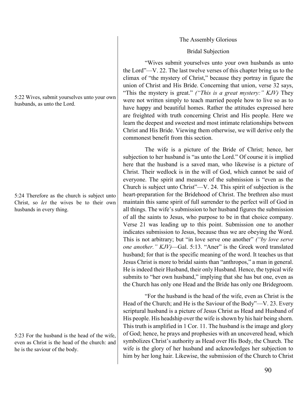The Assembly Glorious

### Bridal Subjection

"Wives submit yourselves unto your own husbands as unto the Lord"—V. 22. The last twelve verses of this chapter bring us to the climax of "the mystery of Christ," because they portray in figure the union of Christ and His Bride. Concerning that union, verse 32 says, "This the mystery is great." *("This is a great mystery:" KJV)* They were not written simply to teach married people how to live so as to have happy and beautiful homes. Rather the attitudes expressed here are freighted with truth concerning Christ and His people. Here we learn the deepest and sweetest and most intimate relationships between Christ and His Bride. Viewing them otherwise, we will derive only the commonest benefit from this section.

The wife is a picture of the Bride of Christ; hence, her subjection to her husband is "as unto the Lord." Of course it is implied here that the husband is a saved man, who likewise is a picture of Christ. Their wedlock is in the will of God, which cannot be said of everyone. The spirit and measure of the submission is "even as the Church is subject unto Christ"—V. 24. This spirit of subjection is the heart-preparation for the Bridehood of Christ. The brethren also must maintain this same spirit of full surrender to the perfect will of God in all things. The wife's submission to her husband figures the submission of all the saints to Jesus, who purpose to be in that choice company. Verse 21 was leading up to this point. Submission one to another indicates submission to Jesus, because thus we are obeying the Word. This is not arbitrary; but "in love serve one another" *("by love serve one another." KJV)*—Gal. 5:13. "Aner" is the Greek word translated husband; for that is the specific meaning of the word. It teaches us that Jesus Christ is more to bridal saints than "anthropos," a man in general. He is indeed their Husband, their only Husband. Hence, the typical wife submits to "her own husband," implying that she has but one, even as the Church has only one Head and the Bride has only one Bridegroom.

"For the husband is the head of the wife, even as Christ is the Head of the Church; and He is the Saviour of the Body"—V. 23. Every scriptural husband is a picture of Jesus Christ as Head and Husband of His people. His headship over the wife is shown by his hair being shorn. This truth is amplified in 1 Cor. 11. The husband is the image and glory of God; hence, he prays and prophesies with an uncovered head, which symbolizes Christ's authority as Head over His Body, the Church. The wife is the glory of her husband and acknowledges her subjection to him by her long hair. Likewise, the submission of the Church to Christ

5:22 Wives, submit yourselves unto your own husbands, as unto the Lord.

5:24 Therefore as the church is subject unto Christ, so *let* the wives be to their own husbands in every thing.

5:23 For the husband is the head of the wife, even as Christ is the head of the church: and he is the saviour of the body.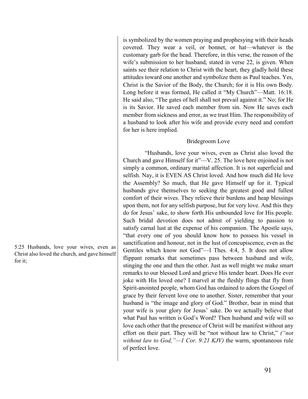5:25 Husbands, love your wives, even as Christ also loved the church, and gave himself for it;

is symbolized by the women praying and prophesying with their heads covered. They wear a veil, or bonnet, or hat—whatever is the customary garb for the head. Therefore, in this verse, the reason of the wife's submission to her husband, stated in verse 22, is given. When saints see their relation to Christ with the heart, they gladly hold these attitudes toward one another and symbolize them as Paul teaches. Yes, Christ is the Savior of the Body, the Church; for it is His own Body. Long before it was formed, He called it "My Church"—Matt. 16:18. He said also, "The gates of hell shall not prevail against it." No; for He is its Savior. He saved each member from sin. Now He saves each member from sickness and error, as we trust Him. The responsibility of a husband to look after his wife and provide every need and comfort for her is here implied.

# Bridegroom Love

"Husbands, love your wives, even as Christ also loved the Church and gave Himself for it"—V. 25. The love here enjoined is not simply a common, ordinary marital affection. It is not superficial and selfish. Nay, it is EVEN AS Christ loved. And how much did He love the Assembly? So much, that He gave Himself up for it. Typical husbands give themselves to seeking the greatest good and fullest comfort of their wives. They relieve their burdens and heap blessings upon them, not for any selfish purpose, but for very love. And this they do for Jesus' sake, to show forth His unbounded love for His people. Such bridal devotion does not admit of yielding to passion to satisfy carnal lust at the expense of his companion. The Apostle says, "that every one of you should know how to possess his vessel in sanctification and honour, not in the lust of concupiscence, even as the Gentiles which know not God"—l Thes. 4:4, 5. It does not allow flippant remarks that sometimes pass between husband and wife, stinging the one and then the other. Just as well might we make smart remarks to our blessed Lord and grieve His tender heart. Does He ever joke with His loved one? I marvel at the fleshly flings that fly from Spirit-anointed people, whom God has ordained to adorn the Gospel of grace by their fervent love one to another. Sister, remember that your husband is "the image and glory of God." Brother, bear in mind that your wife is your glory for Jesus' sake. Do we actually believe that what Paul has written is God's Word? Then husband and wife will so love each other that the presence of Christ will be manifest without any effort on their part. They will be "not without law to Christ," *("not without law to God,"—1 Cor. 9:21 KJV)* the warm, spontaneous rule of perfect love.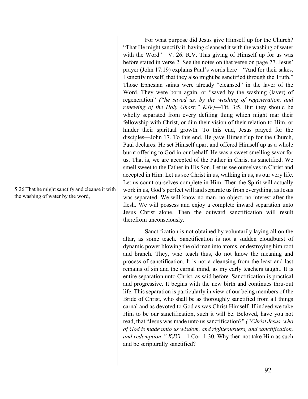5:26 That he might sanctify and cleanse it with the washing of water by the word,

For what purpose did Jesus give Himself up for the Church? "That He might sanctify it, having cleansed it with the washing of water with the Word"—V. 26. R.V. This giving of Himself up for us was before stated in verse 2. See the notes on that verse on page 77. Jesus' prayer (John 17:19) explains Paul's words here—"And for their sakes, I sanctify myself, that they also might be sanctified through the Truth." Those Ephesian saints were already "cleansed" in the laver of the Word. They were born again, or "saved by the washing (laver) of regeneration" *("he saved us, by the washing of regeneration, and renewing of the Holy Ghost;" KJV)*—Tit, 3:5. But they should be wholly separated from every defiling thing which might mar their fellowship with Christ, or dim their vision of their relation to Him, or hinder their spiritual growth. To this end, Jesus prayed for the disciples—John 17. To this end, He gave Himself up for the Church, Paul declares. He set Himself apart and offered Himself up as a whole burnt offering to God in our behalf. He was a sweet smelling savor for us. That is, we are accepted of the Father in Christ as sanctified. We smell sweet to the Father in His Son. Let us see ourselves in Christ and accepted in Him. Let us see Christ in us, walking in us, as our very life. Let us count ourselves complete in Him. Then the Spirit will actually work in us, God's perfect will and separate us from everything, as Jesus was separated. We will know no man, no object, no interest after the flesh. We will possess and enjoy a complete inward separation unto Jesus Christ alone. Then the outward sanctification will result therefrom unconsciously.

Sanctification is not obtained by voluntarily laying all on the altar, as some teach. Sanctification is not a sudden cloudburst of dynamic power blowing the old man into atoms, or destroying him root and branch. They, who teach thus, do not know the meaning and process of sanctification. It is not a cleansing from the least and last remains of sin and the carnal mind, as my early teachers taught. It is entire separation unto Christ, as said before. Sanctification is practical and progressive. It begins with the new birth and continues thru-out life. This separation is particularly in view of our being members of the Bride of Christ, who shall be as thoroughly sanctified from all things carnal and as devoted to God as was Christ Himself. If indeed we take Him to be our sanctification, such it will be. Beloved, have you not read, that "Jesus was made unto us sanctification?" *("Christ Jesus, who of God is made unto us wisdom, and righteousness, and sanctification, and redemption:" KJV)*—1 Cor. 1:30. Why then not take Him as such and be scripturally sanctified?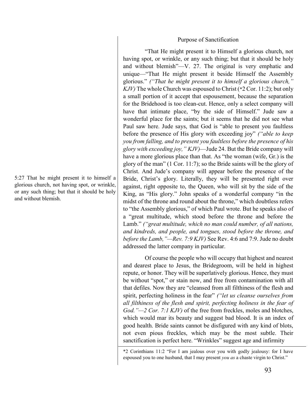#### Purpose of Sanctification

"That He might present it to Himself a glorious church, not having spot, or wrinkle, or any such thing; but that it should be holy and without blemish"—V. 27. The original is very emphatic and unique—"That He might present it beside Himself the Assembly glorious." *("That he might present it to himself a glorious church," KJV)* The whole Church was espoused to Christ (\*2 Cor. 11:2); but only a small portion of it accept that espousement, because the separation for the Bridehood is too clean-cut. Hence, only a select company will have that intimate place, "by the side of Himself." Jude saw a wonderful place for the saints; but it seems that he did not see what Paul saw here. Jude says, that God is "able to present you faultless before the presence of His glory with exceeding joy" *("able to keep you from falling, and to present you faultless before the presence of his glory with exceeding joy," KJV)*—Jude 24. But the Bride company will have a more glorious place than that. As "the woman (wife, Gr.) is the glory of the man" (1 Cor. 11:7); so the Bride saints will be the glory of Christ. And Jude's company will appear before the presence of the Bride, Christ's glory. Literally, they will be presented right over against, right opposite to, the Queen, who will sit by the side of the King, as "His glory." John speaks of a wonderful company "in the midst of the throne and round about the throne," which doubtless refers to "the Assembly glorious," of which Paul wrote. But he speaks also of a "great multitude, which stood before the throne and before the Lamb." *("great multitude, which no man could number, of all nations, and kindreds, and people, and tongues, stood before the throne, and before the Lamb,"—Rev. 7:9 KJV)* See Rev. 4:6 and 7:9. Jude no doubt addressed the latter company in particular.

Of course the people who will occupy that highest and nearest and dearest place to Jesus, the Bridegroom, will be held in highest repute, or honor. They will be superlatively glorious. Hence, they must be without "spot," or stain now, and free from contamination with all that defiles. Now they are "cleansed from all filthiness of the flesh and spirit, perfecting holiness in the fear" *("let us cleanse ourselves from all filthiness of the flesh and spirit, perfecting holiness in the fear of God."—2 Cor. 7:1 KJV)* of the free from freckles, moles and blotches, which would mar its beauty and suggest bad blood. It is an index of good health. Bride saints cannot be disfigured with any kind of blots, not even pious freckles, which may be the most subtle. Their sanctification is perfect here. "Wrinkles" suggest age and infirmity

5:27 That he might present it to himself a glorious church, not having spot, or wrinkle, or any such thing; but that it should be holy and without blemish.

<sup>\*2</sup> Corinthians 11:2 "For I am jealous over you with godly jealousy: for I have espoused you to one husband, that I may present *you as* a chaste virgin to Christ."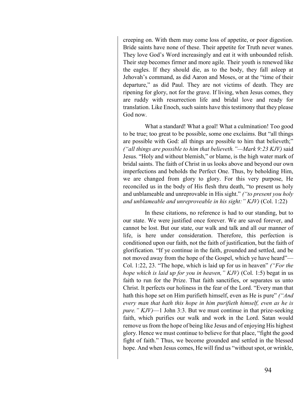creeping on. With them may come loss of appetite, or poor digestion. Bride saints have none of these. Their appetite for Truth never wanes. They love God's Word increasingly and eat it with unbounded relish. Their step becomes firmer and more agile. Their youth is renewed like the eagles. If they should die, as to the body, they fall asleep at Jehovah's command, as did Aaron and Moses, or at the "time of their departure," as did Paul. They are not victims of death. They are ripening for glory, not for the grave. If living, when Jesus comes, they are ruddy with resurrection life and bridal love and ready for translation. Like Enoch, such saints have this testimony that they please God now.

What a standard! What a goal! What a culmination! Too good to be true; too great to be possible, some one exclaims. But "all things are possible with God: all things are possible to him that believeth;" *("all things are possible to him that believeth."—Mark 9:23 KJV)* said Jesus. "Holy and without blemish," or blame, is the high water mark of bridal saints. The faith of Christ in us looks above and beyond our own imperfections and beholds the Perfect One. Thus, by beholding Him, we are changed from glory to glory. For this very purpose, He reconciled us in the body of His flesh thru death, "to present us holy and unblameable and unreprovable in His sight." *("to present you holy and unblameable and unreproveable in his sight:" KJV)* (Col. 1:22)

In these citations, no reference is had to our standing, but to our state. We were justified once forever. We are saved forever, and cannot be lost. But our state, our walk and talk and all our manner of life, is here under consideration. Therefore, this perfection is conditioned upon our faith, not the faith of justification, but the faith of glorification. "If ye continue in the faith, grounded and settled, and be not moved away from the hope of the Gospel, which ye have heard"— Col. 1:22, 23. "The hope, which is laid up for us in heaven" *("For the hope which is laid up for you in heaven," KJV)* (Col. 1:5) begat in us faith to run for the Prize. That faith sanctifies, or separates us unto Christ. It perfects our holiness in the fear of the Lord. "Every man that hath this hope set on Him purifieth himself, even as He is pure" *("And every man that hath this hope in him purifieth himself, even as he is pure." KJV)*—1 John 3:3. But we must continue in that prize-seeking faith, which purifies our walk and work in the Lord. Satan would remove us from the hope of being like Jesus and of enjoying His highest glory. Hence we must continue to believe for that place, "fight the good fight of faith." Thus, we become grounded and settled in the blessed hope. And when Jesus comes, He will find us "without spot, or wrinkle,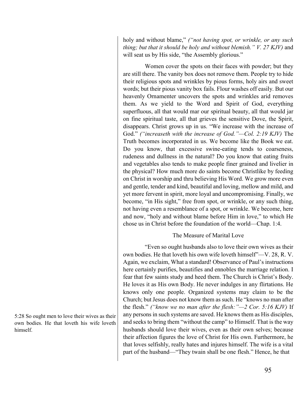holy and without blame," *("not having spot, or wrinkle, or any such thing; but that it should be holy and without blemish." V. 27 KJV)* and will seat us by His side, "the Assembly glorious."

Women cover the spots on their faces with powder; but they are still there. The vanity box does not remove them. People try to hide their religious spots and wrinkles by pious forms, holy airs and sweet words; but their pious vanity box fails. Flour washes off easily. But our heavenly Ornamenter uncovers the spots and wrinkles arid removes them. As we yield to the Word and Spirit of God, everything superfluous, all that would mar our spiritual beauty, all that would jar on fine spiritual taste, all that grieves the sensitive Dove, the Spirit, disappears. Christ grows up in us. "We increase with the increase of God." *("increaseth with the increase of God."—Col. 2:19 KJV)* The Truth becomes incorporated in us. We become like the Book we eat. Do you know, that excessive swine-eating tends to coarseness, rudeness and dullness in the natural? Do you know that eating fruits and vegetables also tends to make people finer grained and livelier in the physical? How much more do saints become Christlike by feeding on Christ in worship and thru believing His Word. We grow more even and gentle, tender and kind, beautiful and loving, mellow and mild, and yet more fervent in spirit, more loyal and uncompromising. Finally, we become, "in His sight," free from spot, or wrinkle, or any such thing, not having even a resemblance of a spot, or wrinkle. We become, here and now, "holy and without blame before Him in love," to which He chose us in Christ before the foundation of the world—Chap. 1:4.

## The Measure of Marital Love

"Even so ought husbands also to love their own wives as their own bodies. He that loveth his own wife loveth himself"—V. 28, R. V. Again, we exclaim, What a standard! Observance of Paul's instructions here certainly purifies, beautifies and ennobles the marriage relation. I fear that few saints study and heed them. The Church is Christ's Body. He loves it as His own Body. He never indulges in any flirtations. He knows only one people. Organized systems may claim to be the Church; but Jesus does not know them as such. He "knows no man after the flesh." *("know we no man after the flesh:"—2 Cor. 5:16 KJV)* If any persons in such systems are saved. He knows them as His disciples, and seeks to bring them "without the camp" to Himself. That is the way husbands should love their wives, even as their own selves; because their affection figures the love of Christ for His own. Furthermore, he that loves selfishly, really hates and injures himself. The wife is a vital part of the husband—"They twain shall be one flesh." Hence, he that

5:28 So ought men to love their wives as their own bodies. He that loveth his wife loveth himself.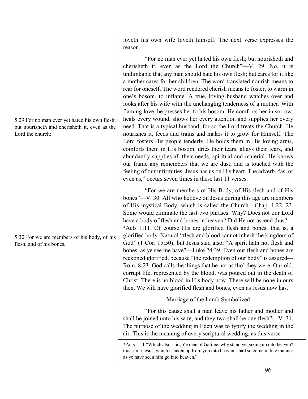5:29 For no man ever yet hated his own flesh; but nourisheth and cherisheth it, even as the Lord the church:

5:30 For we are members of his body, of his flesh, and of his bones.

loveth his own wife loveth himself. The next verse expresses the reason.

"For no man ever yet hated his own flesh; but nourisheth and cherisheth it, even as the Lord the Church"—V. 29. No, it is unthinkable that any man should hate his own flesh; but cares for it like a mother cares for her children. The word translated nourish means to rear for oneself. The word rendered cherish means to foster, to warm in one's bosom, to inflame. A true, loving husband watches over and looks after his wife with the unchanging tenderness of a mother. With flaming love, he presses her to his bosom. He comforts her in sorrow, heals every wound, shows her every attention and supplies her every need. That is a typical husband; for so the Lord treats the Church. He nourishes it, feeds and trains and makes it to grow for Himself. The Lord fosters His people tenderly. He holds them in His loving arms, comforts them in His bosom, dries their tears, allays their fears, and abundantly supplies all their needs, spiritual and material. He knows our frame any remembers that we are dust, and is touched with the feeling of our infirmities. Jesus has us on His heart. The adverb, "as, or even as," occurs seven times in these last 11 verses.

"For we are members of His Body, of His flesh and of His bones"—V. 30. All who believe on Jesus during this age are members of His mystical Body, which is called the Church—Chap. 1:22, 23. Some would eliminate the last two phrases. Why? Does not our Lord have a body of flesh and bones in heaven? Did He not ascend thus?— \*Acts 1:11. Of course His are glorified flesh and bones; that is, a glorified body. Natural "flesh and blood cannot inherit the kingdom of God" (1 Cor. 15:50); but Jesus said also, "A spirit hath not flesh and bones, as ye see me have"—Luke 24:39. Even our flesh and bones are reckoned glorified, because "the redemption of our body" is assured— Rom. 8:23. God calls the things that be not as tho' they were. Our old, corrupt life, represented by the blood, was poured out in the death of Christ. There is no blood in His body now. There will be none in ours then. We will have glorified flesh and bones, even as Jesus now has.

# Marriage of the Lamb Symbolized

"For this cause shall a man leave his father and mother and shall be joined unto his wife, and they two shall be one flesh"—V. 31. The purpose of the wedding in Eden was to typify the wedding in the air. This is the meaning of every scriptural wedding, as this verse

<sup>\*</sup>Acts 1:11 "Which also said, Ye men of Galilee, why stand ye gazing up into heaven? this same Jesus, which is taken up from you into heaven, shall so come in like manner as ye have seen him go into heaven."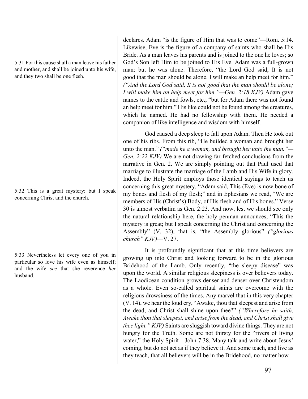5:31 For this cause shall a man leave his father and mother, and shall be joined unto his wife, and they two shall be one flesh.

5:32 This is a great mystery: but I speak concerning Christ and the church.

5:33 Nevertheless let every one of you in particular so love his wife even as himself; and the wife *see* that she reverence *her* husband.

declares. Adam "is the figure of Him that was to come"—Rom. 5:14. Likewise, Eve is the figure of a company of saints who shall be His Bride. As a man leaves his parents and is joined to the one he loves; so God's Son left Him to be joined to His Eve. Adam was a full-grown man; but he was alone. Therefore, "the Lord God said, It is not good that the man should be alone. I will make an help meet for him." *("And the Lord God said, It is not good that the man should be alone; I will make him an help meet for him."—Gen. 2:18 KJV)* Adam gave names to the cattle and fowls, etc.; "but for Adam there was not found an help meet for him." His like could not be found among the creatures, which he named. He had no fellowship with them. He needed a companion of like intelligence and wisdom with himself.

God caused a deep sleep to fall upon Adam. Then He took out one of his ribs. From this rib, "He builded a woman and brought her unto the man." *("made he a woman, and brought her unto the man."— Gen. 2:22 KJV)* We are not drawing far-fetched conclusions from the narrative in Gen. 2. We are simply pointing out that Paul used that marriage to illustrate the marriage of the Lamb and His Wife in glory. Indeed, the Holy Spirit employs those identical sayings to teach us concerning this great mystery. "Adam said, This (Eve) is now bone of my bones and flesh of my flesh;" and in Ephesians we read, "We are members of His (Christ's) Body, of His flesh and of His bones." Verse 30 is almost verbatim as Gen. 2:23. And now, lest we should see only the natural relationship here, the holy penman announces, "This the mystery is great; but I speak concerning the Christ and concerning the Assembly" (V. 32), that is, "the Assembly glorious" *("glorious church" KJV)*—V. 27.

It is profoundly significant that at this time believers are growing up into Christ and looking forward to be in the glorious Bridehood of the Lamb. Only recently, "the sleepy disease" was upon the world. A similar religious sleepiness is over believers today. The Laodicean condition grows denser and denser over Christendom as a whole. Even so-called spiritual saints are overcome with the religious drowsiness of the times. Any marvel that in this very chapter (V. 14), we hear the loud cry, "Awake, thou that sleepest and arise from the dead, and Christ shall shine upon thee?" *("Wherefore he saith, Awake thou that sleepest, and arise from the dead, and Christ shall give thee light." KJV)* Saints are sluggish toward divine things. They are not hungry for the Truth. Some are not thirsty for the "rivers of living water," the Holy Spirit-John 7:38. Many talk and write about Jesus' coming, but do not act as if they believe it. And some teach, and live as they teach, that all believers will be in the Bridehood, no matter how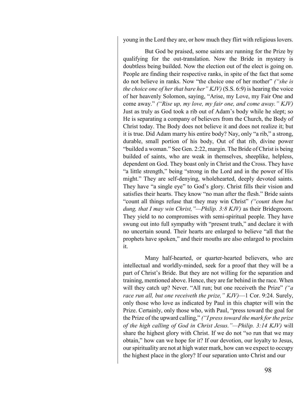young in the Lord they are, or how much they flirt with religious lovers.

But God be praised, some saints are running for the Prize by qualifying for the out-translation. Now the Bride in mystery is doubtless being builded. Now the election out of the elect is going on. People are finding their respective ranks, in spite of the fact that some do not believe in ranks. Now "the choice one of her mother" *("she is the choice one of her that bare her" KJV)* (S.S. 6:9) is hearing the voice of her heavenly Solomon, saying, "Arise, my Love, my Fair One and come away." *("Rise up, my love, my fair one, and come away." KJV)* Just as truly as God took a rib out of Adam's body while he slept; so He is separating a company of believers from the Church, the Body of Christ today. The Body does not believe it and does not realize it; but it is true. Did Adam marry his entire body? Nay, only "a rib," a strong, durable, small portion of his body, Out of that rib, divine power "builded a woman." See Gen. 2:22, margin. The Bride of Christ is being builded of saints, who are weak in themselves, sheeplike, helpless, dependent on God. They boast only in Christ and the Cross. They have "a little strength," being "strong in the Lord and in the power of His might." They are self-denying, wholehearted, deeply devoted saints. They have "a single eye" to God's glory. Christ fills their vision and satisfies their hearts. They know "no man after the flesh." Bride saints "count all things refuse that they may win Christ" *("count them but dung, that I may win Christ,"—Philip. 3:8 KJV)* as their Bridegroom. They yield to no compromises with semi-spiritual people. They have swung out into full sympathy with "present truth," and declare it with no uncertain sound. Their hearts are enlarged to believe "all that the prophets have spoken," and their mouths are also enlarged to proclaim it.

Many half-hearted, or quarter-hearted believers, who are intellectual and worldly-minded, seek for a proof that they will be a part of Christ's Bride. But they are not willing for the separation and training, mentioned above. Hence, they are far behind in the race. When will they catch up? Never. "All run; but one receiveth the Prize" *("a race run all, but one receiveth the prize," KJV)*—1 Cor. 9:24. Surely, only those who love as indicated by Paul in this chapter will win the Prize. Certainly, only those who, with Paul, "press toward the goal for the Prize of the upward calling," *("I press toward the mark for the prize of the high calling of God in Christ Jesus."—Philip. 3:14 KJV)* will share the highest glory with Christ. If we do not "so run that we may obtain," how can we hope for it? If our devotion, our loyalty to Jesus, our spirituality are not at high water mark, how can we expect to occupy the highest place in the glory? If our separation unto Christ and our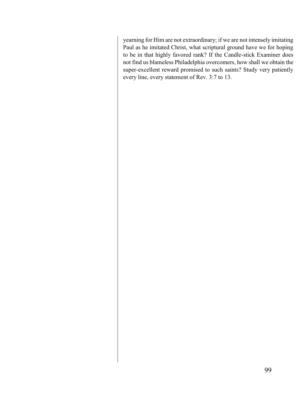yearning for Him are not extraordinary; if we are not intensely imitating Paul as he imitated Christ, what scriptural ground have we for hoping to be in that highly favored rank? If the Candle-stick Examiner does not find us blameless Philadelphia overcomers, how shall we obtain the super-excellent reward promised to such saints? Study very patiently every line, every statement of Rev. 3:7 to 13.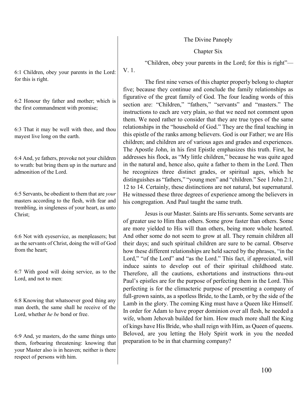The Divine Panoply

Chapter Six

"Children, obey your parents in the Lord; for this is right"—

The first nine verses of this chapter properly belong to chapter five; because they continue and conclude the family relationships as figurative of the great family of God. The four leading words of this section are: "Children," "fathers," "servants" and "masters." The instructions to each are very plain, so that we need not comment upon them. We need rather to consider that they are true types of the same relationships in the "household of God." They are the final teaching in this epistle of the ranks among believers. God is our Father; we are His children; and children are of various ages and grades and experiences. The Apostle John, in his first Epistle emphasizes this truth. First, he addresses his flock, as "My little children," because he was quite aged in the natural and, hence also, quite a father to them in the Lord. Then he recognizes three distinct grades, or spiritual ages, which he distinguishes as "fathers," "young men" and "children." See 1 John 2:1, 12 to 14. Certainly, these distinctions are not natural, but supernatural. He witnessed these three degrees of experience among the believers in his congregation. And Paul taught the same truth.

Jesus is our Master. Saints are His servants. Some servants are of greater use to Him than others. Some grow faster than others. Some are more yielded to His will than others, being more whole hearted. And other some do not seem to grow at all. They remain children all their days; and such spiritual children are sure to be carnal. Observe how these different relationships are held sacred by the phrases, "in the Lord," "of the Lord" and "as the Lord." This fact, if appreciated, will induce saints to develop out of their spiritual childhood state. Therefore, all the cautions, exhortations and instructions thru-out Paul's epistles are for the purpose of perfecting them in the Lord. This perfecting is for the climacteric purpose of presenting a company of full-grown saints, as a spotless Bride, to the Lamb, or by the side of the Lamb in the glory. The coming King must have a Queen like Himself. In order for Adam to have proper dominion over all flesh, he needed a wife, whom Jehovah builded for him. How much more shall the King of kings have His Bride, who shall reign with Him, as Queen of queens. Beloved, are you letting the Holy Spirit work in you the needed preparation to be in that charming company?

6:1 Children, obey your parents in the Lord: for this is right.

V. 1.

6:2 Honour thy father and mother; which is the first commandment with promise;

6:3 That it may be well with thee, and thou mayest live long on the earth.

6:4 And, ye fathers, provoke not your children to wrath: but bring them up in the nurture and admonition of the Lord.

6:5 Servants, be obedient to them that are *your* masters according to the flesh, with fear and trembling, in singleness of your heart, as unto Christ;

6:6 Not with eyeservice, as menpleasers; but as the servants of Christ, doing the will of God from the heart;

6:7 With good will doing service, as to the Lord, and not to men:

6:8 Knowing that whatsoever good thing any man doeth, the same shall he receive of the Lord, whether *he be* bond or free.

6:9 And, ye masters, do the same things unto them, forbearing threatening: knowing that your Master also is in heaven; neither is there respect of persons with him.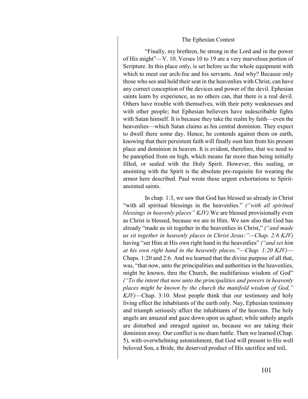#### The Ephesian Contest

"Finally, my brethren, be strong in the Lord and in the power of His might"—V. 10. Verses 10 to 19 are a very marvelous portion of Scripture. In this place only, is set before us the whole equipment with which to meet our arch-foe and his servants. And why? Because only those who see and hold their seat in the heavenlies with Christ, can have any correct conception of the devices and power of the devil. Ephesian saints learn by experience, as no others can, that there is a real devil. Others have trouble with themselves, with their petty weaknesses and with other people; but Ephesian believers have indescribable fights with Satan himself. It is because they take the realm by faith—even the heavenlies—which Satan claims as his central dominion. They expect to dwell there some day. Hence, he contends against them on earth, knowing that their persistent faith will finally oust him from his present place and dominion in heaven. It is evident, therefore, that we need to be panoplied from on high, which means far more than being initially filled, or sealed with the Holy Spirit. However, this sealing, or anointing with the Spirit is the absolute pre-requisite for wearing the armor here described. Paul wrote these urgent exhortations to Spiritanointed saints.

In chap. 1:3, we saw that God has blessed us already in Christ "with all spiritual blessings in the heavenlies." *("with all spiritual blessings in heavenly places" KJV)* We are blessed provisionally even as Christ is blessed, because we are in Him. We saw also that God has already "made us sit together in the heavenlies in Christ," *("and made us sit together in heavenly places in Christ Jesus:"—Chap. 2:6 KJV)* having "set Him at His own right hand in the heavenlies" *("and set him at his own right hand in the heavenly places,"—Chap. 1:20 KJV)*— Chaps. 1:20 and 2:6. And we learned that the divine purpose of all that, was, "that now, unto the principalities and authorities in the heavenlies, might be known, thru the Church, the multifarious wisdom of God" *("To the intent that now unto the principalities and powers in heavenly places might be known by the church the manifold wisdom of God," KJV)*—Chap. 3:10. Most people think that our testimony and holy living effect the inhabitants of the earth only. Nay, Ephesian testimony and triumph seriously affect the inhabitants of the heavens. The holy angels are amazed and gaze down upon us aghast; while unholy angels are disturbed and enraged against us, because we are taking their dominion away. Our conflict is no sham battle. Then we learned (Chap. 5), with overwhelming astonishment, that God will present to His well beloved Son, a Bride, the deserved product of His sacrifice and toil,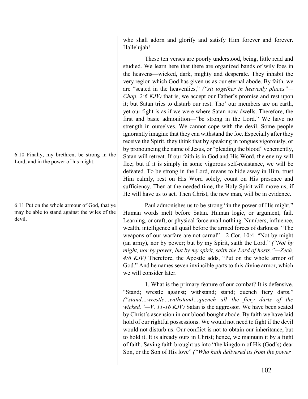who shall adorn and glorify and satisfy Him forever and forever. Hallelujah!

These ten verses are poorly understood, being, little read and studied. We learn here that there are organized bands of wily foes in the heavens—wicked, dark, mighty and desperate. They inhabit the very region which God has given us as our eternal abode. By faith, we are "seated in the heavenlies," *("sit together in heavenly places"— Chap. 2:6 KJV)* that is, we accept our Father's promise and rest upon it; but Satan tries to disturb our rest. Tho' our members are on earth, yet our fight is as if we were where Satan now dwells. Therefore, the first and basic admonition—"be strong in the Lord." We have no strength in ourselves. We cannot cope with the devil. Some people ignorantly imagine that they can withstand the foe. Especially after they receive the Spirit, they think that by speaking in tongues vigorously, or by pronouncing the name of Jesus, or "pleading the blood" vehemently, Satan will retreat. If our faith is in God and His Word, the enemy will flee; but if it is simply in some vigorous self-resistance, we will be defeated. To be strong in the Lord, means to hide away in Him, trust Him calmly, rest on His Word solely, count on His presence and sufficiency. Then at the needed time, the Holy Spirit will move us, if He will have us to act. Then Christ, the new man, will be in evidence.

Paul admonishes us to be strong "in the power of His might." Human words melt before Satan. Human logic, or argument, fail. Learning, or craft, or physical force avail nothing. Numbers, influence, wealth, intelligence all quail before the armed forces of darkness. "The weapons of our warfare are not carnal"—2 Cor. 10:4. "Not by might (an army), nor by power; but by my Spirit, saith the Lord." *("Not by might, nor by power, but by my spirit, saith the Lord of hosts."—Zech. 4:6 KJV)* Therefore, the Apostle adds, "Put on the whole armor of God." And he names seven invincible parts to this divine armor, which we will consider later.

1. What is the primary feature of our combat? It is defensive. "Stand; wrestle against; withstand; stand; quench fiery darts." *("stand…wrestle…withstand…quench all the fiery darts of the wicked."—V. 11-16 KJV)* Satan is the aggressor. We have been seated by Christ's ascension in our blood-bought abode. By faith we have laid hold of our rightful possessions. We would not need to fight if the devil would not disturb us. Our conflict is not to obtain our inheritance, but to hold it. It is already ours in Christ; hence, we maintain it by a fight of faith. Saving faith brought us into "the kingdom of His (God's) dear Son, or the Son of His love" *("Who hath delivered us from the power* 

6:10 Finally, my brethren, be strong in the Lord, and in the power of his might.

6:11 Put on the whole armour of God, that ye may be able to stand against the wiles of the devil.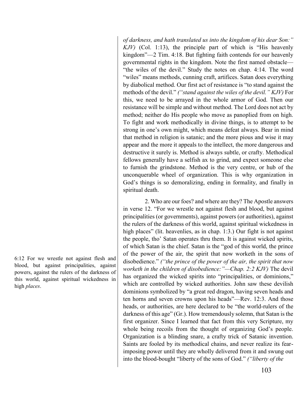*of darkness, and hath translated us into the kingdom of his dear Son:" KJV)* (Col. 1:13), the principle part of which is "His heavenly kingdom"—2 Tim. 4:18. But fighting faith contends for our heavenly governmental rights in the kingdom. Note the first named obstacle— "the wiles of the devil." Study the notes on chap. 4:14. The word "wiles" means methods, cunning craft, artifices. Satan does everything by diabolical method. Our first act of resistance is "to stand against the methods of the devil." *("stand against the wiles of the devil." KJV)* For this, we need to be arrayed in the whole armor of God. Then our resistance will be simple and without method. The Lord does not act by method; neither do His people who move as panoplied from on high. To fight and work methodically in divine things, is to attempt to be strong in one's own might, which means defeat always. Bear in mind that method in religion is satanic; and the more pious and wise it may appear and the more it appeals to the intellect, the more dangerous and destructive it surely is. Method is always subtle, or crafty. Methodical fellows generally have a selfish ax to grind, and expect someone else to furnish the grindstone. Method is the very centre, or hub of the unconquerable wheel of organization. This is why organization in God's things is so demoralizing, ending in formality, and finally in spiritual death.

2. Who are our foes? and where are they? The Apostle answers in verse 12. "For we wrestle not against flesh and blood, but against principalities (or governments), against powers (or authorities), against the rulers of the darkness of this world, against spiritual wickedness in high places" (lit. heavenlies, as in chap. 1:3.) Our fight is not against the people, tho' Satan operates thru them. It is against wicked spirits, of which Satan is the chief. Satan is the "god of this world, the prince of the power of the air, the spirit that now worketh in the sons of disobedience." *("the prince of the power of the air, the spirit that now worketh in the children of disobedience:"—Chap. 2:2 KJV)* The devil has organized the wicked spirits into "principalities, or dominions," which are controlled by wicked authorities. John saw these devilish dominions symbolized by "a great red dragon, having seven heads and ten horns and seven crowns upon his heads"—Rev. 12:3. And those heads, or authorities, are here declared to be "the world-rulers of the darkness of this age" (Gr.). How tremendously solemn, that Satan is the first organizer. Since I learned that fact from this very Scripture, my whole being recoils from the thought of organizing God's people. Organization is a blinding snare, a crafty trick of Satanic invention. Saints are fooled by its methodical chains, and never realize its fearimposing power until they are wholly delivered from it and swung out into the blood-bought "liberty of the sons of God." *("liberty of the* 

6:12 For we wrestle not against flesh and blood, but against principalities, against powers, against the rulers of the darkness of this world, against spiritual wickedness in high *places*.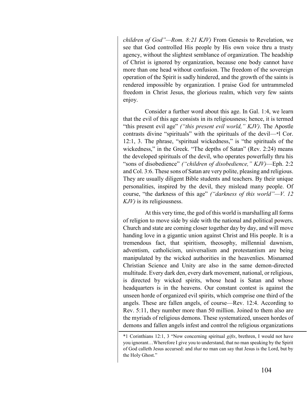*children of God"—Rom. 8:21 KJV)* From Genesis to Revelation, we see that God controlled His people by His own voice thru a trusty agency, without the slightest semblance of organization. The headship of Christ is ignored by organization, because one body cannot have more than one head without confusion. The freedom of the sovereign operation of the Spirit is sadly hindered, and the growth of the saints is rendered impossible by organization. I praise God for untrammeled freedom in Christ Jesus, the glorious realm, which very few saints enjoy.

Consider a further word about this age. In Gal. 1:4, we learn that the evil of this age consists in its religiousness; hence, it is termed "this present evil age" *("this present evil world," KJV)*. The Apostle contrasts divine "spirituals" with the spirituals of the devil—\*l Cor. 12:1, 3. The phrase, "spiritual wickedness," is "the spirituals of the wickedness," in the Greek. "The depths of Satan" (Rev. 2:24) means the developed spirituals of the devil, who operates powerfully thru his "sons of disobedience" *("children of disobedience," KJV)*—Eph. 2:2 and Col. 3:6. These sons of Satan are very polite, pleasing and religious. They are usually diligent Bible students and teachers. By their unique personalities, inspired by the devil, they mislead many people. Of course, "the darkness of this age" *("darkness of this world"—V. 12 KJV)* is its religiousness.

At this very time, the god of this world is marshalling all forms of religion to move side by side with the national and political powers. Church and state are coming closer together day by day, and will move handing love in a gigantic union against Christ and His people. It is a tremendous fact, that spiritism, theosophy, millennial dawnism, adventism, catholicism, universalism and protestantism are being manipulated by the wicked authorities in the heavenlies. Misnamed Christian Science and Unity are also in the same demon-directed multitude. Every dark den, every dark movement, national, or religious, is directed by wicked spirits, whose head is Satan and whose headquarters is in the heavens. Our constant contest is against the unseen horde of organized evil spirits, which comprise one third of the angels. These are fallen angels, of course—Rev. 12:4. According to Rev. 5:11, they number more than 50 million. Joined to them also are the myriads of religious demons. These systematized, unseen hordes of demons and fallen angels infest and control the religious organizations

<sup>\*1</sup> Corinthians 12:1, 3 "Now concerning spiritual *gifts*, brethren, I would not have you ignorant…Wherefore I give you to understand, that no man speaking by the Spirit of God calleth Jesus accursed: and *that* no man can say that Jesus is the Lord, but by the Holy Ghost."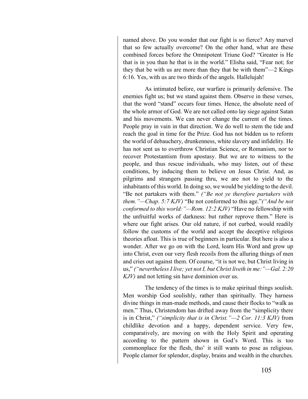named above. Do you wonder that our fight is so fierce? Any marvel that so few actually overcome? On the other hand, what are these combined forces before the Omnipotent Triune God? "Greater is He that is in you than he that is in the world." Elisha said, "Fear not; for they that be with us are more than they that be with them"—2 Kings 6:16. Yes, with us are two thirds of the angels. Hallelujah!

As intimated before, our warfare is primarily defensive. The enemies fight us; but we stand against them. Observe in these verses, that the word "stand" occurs four times. Hence, the absolute need of the whole armor of God. We are not called onto lay siege against Satan and his movements. We can never change the current of the times. People pray in vain in that direction. We do well to stem the tide and reach the goal in time for the Prize. God has not bidden us to reform the world of debauchery, drunkenness, white slavery and infidelity. He has not sent us to overthrow Christian Science, or Romanism, nor to recover Protestantism from apostasy. But we are to witness to the people, and thus rescue individuals, who may listen, out of these conditions, by inducing them to believe on Jesus Christ. And, as pilgrims and strangers passing thru, we are not to yield to the inhabitants of this world. In doing so, we would be yielding to the devil. "Be not partakers with them." *("Be not ye therefore partakers with them."—Chap. 5:7 KJV)* "Be not conformed to this age."*("And be not conformed to this world:"—Rom. 12:2 KJV)* "Have no fellowship with the unfruitful works of darkness: but rather reprove them." Here is where our fight arises. Our old nature, if not curbed, would readily follow the customs of the world and accept the deceptive religious theories afloat. This is true of beginners in particular. But here is also a wonder. After we go on with the Lord, learn His Word and grow up into Christ, even our very flesh recoils from the alluring things of men and cries out against them. Of course, "it is not we, but Christ living in us," *("nevertheless I live; yet not I, but Christ liveth in me:"—Gal. 2:20 KJV)* and not letting sin have dominion over us.

The tendency of the times is to make spiritual things soulish. Men worship God soulishly, rather than spiritually. They harness divine things in man-made methods, and cause their flocks to "walk as men." Thus, Christendom has drifted away from the "simplicity there is in Christ," *("simplicity that is in Christ."—2 Cor. 11:3 KJV)* from childlike devotion and a happy, dependent service. Very few, comparatively, are moving on with the Holy Spirit and operating according to the pattern shown in God's Word. This is too commonplace for the flesh, tho' it still wants to pose as religious. People clamor for splendor, display, brains and wealth in the churches.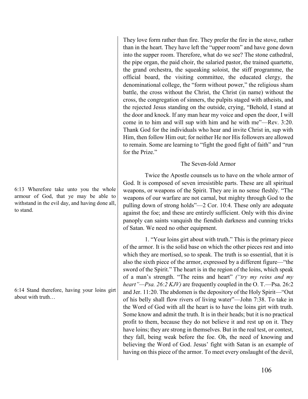6:13 Wherefore take unto you the whole armour of God, that ye may be able to withstand in the evil day, and having done all, to stand.

6:14 Stand therefore, having your loins girt about with truth…

They love form rather than fire. They prefer the fire in the stove, rather than in the heart. They have left the "upper room" and have gone down into the supper room. Therefore, what do we see? The stone cathedral, the pipe organ, the paid choir, the salaried pastor, the trained quartette, the grand orchestra, the squeaking soloist, the stiff programme, the official board, the visiting committee, the educated clergy, the denominational college, the "form without power," the religious sham battle, the cross without the Christ, the Christ (in name) without the cross, the congregation of sinners, the pulpits staged with atheists, and the rejected Jesus standing on the outside, crying, "Behold, I stand at the door and knock. If any man hear my voice and open the door, I will come in to him and will sup with him and he with me"—Rev. 3:20. Thank God for the individuals who hear and invite Christ in, sup with Him, then follow Him out; for neither He nor His followers are allowed to remain. Some are learning to "fight the good fight of faith" and "run for the Prize."

## The Seven-fold Armor

Twice the Apostle counsels us to have on the whole armor of God. It is composed of seven irresistible parts. These are all spiritual weapons, or weapons of the Spirit. They are in no sense fleshly. "The weapons of our warfare are not carnal, but mighty through God to the pulling down of strong holds"—2 Cor. 10:4. These only are adequate against the foe; and these are entirely sufficient. Only with this divine panoply can saints vanquish the fiendish darkness and cunning tricks of Satan. We need no other equipment.

1. "Your loins girt about with truth." This is the primary piece of the armor. It is the solid base on which the other pieces rest and into which they are mortised, so to speak. The truth is so essential, that it is also the sixth piece of the armor, expressed by a different figure—"the sword of the Spirit." The heart is in the region of the loins, which speak of a man's strength. "The reins and heart" *("try my reins and my heart"—Psa. 26:2 KJV)* are frequently coupled in the O. T.—Psa. 26:2 and Jer. 11:20. The abdomen is the depository of the Holy Spirit—"Out of his belly shall flow rivers of living water"—John 7:38. To take in the Word of God with all the heart is to have the loins girt with truth. Some know and admit the truth. It is in their heads; but it is no practical profit to them, because they do not believe it and rest up on it. They have loins; they are strong in themselves. But in the real test, or contest, they fall, being weak before the foe. Oh, the need of knowing and believing the Word of God. Jesus' fight with Satan is an example of having on this piece of the armor. To meet every onslaught of the devil,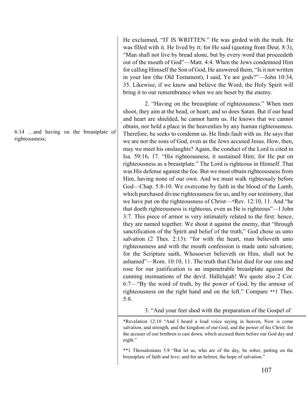6:14 …and having on the breastplate of righteousness;

He exclaimed, "IT IS WRITTEN." He was girded with the truth. He was filled with it. He lived by it; for He said (quoting from Deut. 8:3), "Man shall not live by bread alone, but by every word that proceedeth out of the mouth of God"—Matt. 4:4. When the Jews condemned Him for calling Himself the Son of God, He answered them, "Is it not written in your law (the Old Testament), I said, Ye are gods?"—John 10:34, 35. Likewise, if we know and believe the Word, the Holy Spirit will bring it to our remembrance when we are beset by the enemy.

2. "Having on the breastplate of righteousness." When men shoot, they aim at the head, or heart; and so does Satan. But if our head and heart are shielded, he cannot harm us. He knows that we cannot obtain, nor hold a place in the heavenlies by any human righteousness. Therefore, he seeks to condemn us. He finds fault with us. He says that we are not the sons of God, even as the Jews accused Jesus. How, then, may we meet his onslaughts? Again, the conduct of the Lord is cited in Isa. 59:16, 17. "His righteousness, it sustained Him; for He put on righteousness as a breastplate." The Lord is righteous in Himself. That was His defense against the foe. But we must obtain righteousness from Him, having none of our own. And we must walk righteously before God—Chap. 5:8-10. We overcome by faith in the blood of the Lamb, which purchased divine righteousness for us, and by our testimony, that we have put on the righteousness of Christ—\*Rev. 12:10, 11. And "he that doeth righteousness is righteous, even as He is righteous"—l John 3:7. This piece of armor is very intimately related to the first: hence, they are named together. We shout it against the enemy, that "through sanctification of the Spirit and belief of the truth," God chose us unto salvation (2 Thes. 2:13): "for with the heart, man believeth unto righteousness and with the mouth confession is made unto salvation; for the Scripture saith, Whosoever believeth on Him, shall not be ashamed"—Rom. 10:10, 11. The truth that Christ died for our sins and rose for our justification is an impenetrable breastplate against the cunning insinuations of the devil. Hallelujah! We quote also 2 Cor. 6:7—"By the word of truth, by the power of God, by the armour of righteousness on the right hand and on the left." Compare \*\*1 Thes. 5:8.

3. "And your feet shod with the preparation of the Gospel of

\*Revelation 12:10 "And I heard a loud voice saying in heaven, Now is come salvation, and strength, and the kingdom of our God, and the power of his Christ: for the accuser of our brethren is cast down, which accused them before our God day and night."

\*\*1 Thessalonians 5:8 "But let us, who are of the day, be sober, putting on the breastplate of faith and love; and for an helmet, the hope of salvation."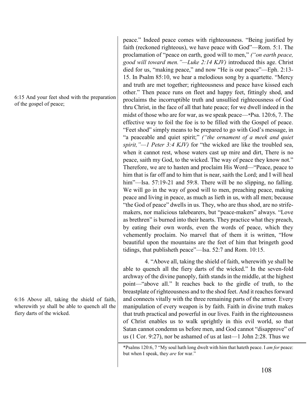6:15 And your feet shod with the preparation of the gospel of peace;

6:16 Above all, taking the shield of faith, wherewith ye shall be able to quench all the fiery darts of the wicked.

peace." Indeed peace comes with righteousness. "Being justified by faith (reckoned righteous), we have peace with God"—Rom. 5:1. The proclamation of "peace on earth, good will to men," *("on earth peace, good will toward men."—Luke 2:14 KJV)* introduced this age. Christ died for us, "making peace," and now "He is our peace"—Eph. 2:13- 15. In Psalm 85:10, we hear a melodious song by a quartette. "Mercy and truth are met together; righteousness and peace have kissed each other." Then peace runs on fleet and happy feet, fittingly shod, and proclaims the incorruptible truth and unsullied righteousness of God thru Christ, in the face of all that hate peace; for we dwell indeed in the midst of those who are for war, as we speak peace—\*Psa. 120:6, 7. The effective way to foil the foe is to be filled with the Gospel of peace. "Feet shod" simply means to be prepared to go with God's message, in "a peaceable and quiet spirit;" *("the ornament of a meek and quiet spirit,"—1 Peter 3:4 KJV)* for "the wicked are like the troubled sea, when it cannot rest, whose waters cast up mire and dirt, There is no peace, saith my God, to the wicked. The way of peace they know not." Therefore, we are to hasten and proclaim His Word—"Peace, peace to him that is far off and to him that is near, saith the Lord; and I will heal him"—Isa. 57:19-21 and 59:8. There will be no slipping, no falling. We will go in the way of good will to men, preaching peace, making peace and living in peace, as much as lieth in us, with all men; because "the God of peace" dwells in us. They, who are thus shod, are no strifemakers, nor malicious talebearers, but "peace-makers" always. "Love as brethren" is burned into their hearts. They practice what they preach, by eating their own words, even the words of peace, which they vehemently proclaim. No marvel that of them it is written, "How beautiful upon the mountains are the feet of him that bringeth good tidings, that publisheth peace"—Isa. 52:7 and Rom. 10:15.

4. "Above all, taking the shield of faith, wherewith ye shall be able to quench all the fiery darts of the wicked." In the seven-fold archway of the divine panoply, faith stands in the middle, at the highest point—"above all." It reaches back to the girdle of truth, to the breastplate of righteousness and to the shod feet. And it reaches forward and connects vitally with the three remaining parts of the armor. Every manipulation of every weapon is by faith. Faith in divine truth makes that truth practical and powerful in our lives. Faith in the righteousness of Christ enables us to walk uprightly in this evil world, so that Satan cannot condemn us before men, and God cannot "disapprove" of us (1 Cor. 9:27), nor be ashamed of us at last—1 John 2:28. Thus we

<sup>\*</sup>Psalms 120:6, 7 "My soul hath long dwelt with him that hateth peace. I *am for* peace: but when I speak, they *are* for war."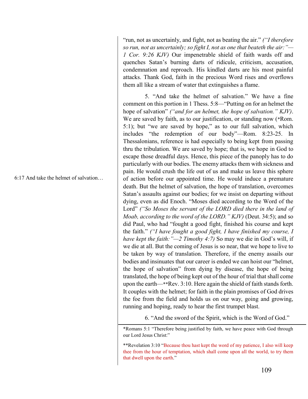6:17 And take the helmet of salvation…

"run, not as uncertainly, and fight, not as beating the air." *("I therefore so run, not as uncertainly; so fight I, not as one that beateth the air:"— 1 Cor. 9:26 KJV)* Our impenetrable shield of faith wards off and quenches Satan's burning darts of ridicule, criticism, accusation, condemnation and reproach. His kindled darts are his most painful attacks. Thank God, faith in the precious Word rises and overflows them all like a stream of water that extinguishes a flame.

5. "And take the helmet of salvation." We have a fine comment on this portion in 1 Thess. 5:8—"Putting on for an helmet the hope of salvation" *("and for an helmet, the hope of salvation." KJV)*. We are saved by faith, as to our justification, or standing now (\*Rom. 5:1); but "we are saved by hope," as to our full salvation, which includes "the redemption of our body"—Rom. 8:23-25. In Thessalonians, reference is had especially to being kept from passing thru the tribulation. We are saved by hope; that is, we hope in God to escape those dreadful days. Hence, this piece of the panoply has to do particularly with our bodies. The enemy attacks them with sickness and pain. He would crush the life out of us and make us leave this sphere of action before our appointed time. He would induce a premature death. But the helmet of salvation, the hope of translation, overcomes Satan's assaults against our bodies; for we insist on departing without dying, even as did Enoch. "Moses died according to the Word of the Lord" *("So Moses the servant of the LORD died there in the land of Moab, according to the word of the LORD." KJV)* (Deut. 34:5); and so did Paul, who had "fought a good fight, finished his course and kept the faith." *("I have fought a good fight, I have finished my course, I have kept the faith:"—2 Timothy 4:7)* So may we die in God's will, if we die at all. But the coming of Jesus is so near, that we hope to live to be taken by way of translation. Therefore, if the enemy assails our bodies and insinuates that our career is ended we can hoist our "helmet, the hope of salvation" from dying by disease, the hope of being translated, the hope of being kept out of the hour of trial that shall come upon the earth—\*\*Rev. 3:10. Here again the shield of faith stands forth. It couples with the helmet; for faith in the plain promises of God drives the foe from the field and holds us on our way, going and growing, running and hoping, ready to hear the first trumpet blast.

6. "And the sword of the Spirit, which is the Word of God."

\*Romans 5:1 "Therefore being justified by faith, we have peace with God through our Lord Jesus Christ:"

\*\*Revelation 3:10 "Because thou hast kept the word of my patience, I also will keep thee from the hour of temptation, which shall come upon all the world, to try them that dwell upon the earth."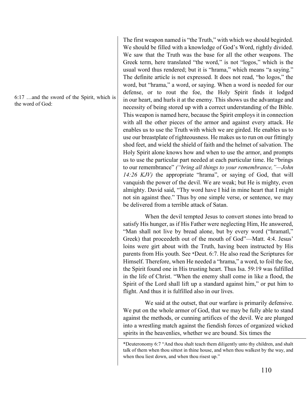6:17 …and the sword of the Spirit, which is the word of God:

The first weapon named is "the Truth," with which we should begirded. We should be filled with a knowledge of God's Word, rightly divided. We saw that the Truth was the base for all the other weapons. The Greek term, here translated "the word," is not "logos," which is the usual word thus rendered; but it is "hrama," which means "a saying." The definite article is not expressed. It does not read, "ho logos," the word, but "hrama," a word, or saying. When a word is needed for our defense, or to rout the foe, the Holy Spirit finds it lodged in our heart, and hurls it at the enemy. This shows us the advantage and necessity of being stored up with a correct understanding of the Bible. This weapon is named here, because the Spirit employs it in connection with all the other pieces of the armor and against every attack. He enables us to use the Truth with which we are girded. He enables us to use our breastplate of righteousness. He makes us to run on our fittingly shod feet, and wield the shield of faith and the helmet of salvation. The Holy Spirit alone knows how and when to use the armor, and prompts us to use the particular part needed at each particular time. He "brings to our remembrance" *("bring all things to your remembrance,"—John 14:26 KJV)* the appropriate "hrama", or saying of God, that will vanquish the power of the devil. We are weak; but He is mighty, even almighty. David said, "Thy word have I hid in mine heart that I might not sin against thee." Thus by one simple verse, or sentence, we may be delivered from a terrible attack of Satan.

When the devil tempted Jesus to convert stones into bread to satisfy His hunger, as if His Father were neglecting Him, He answered, "Man shall not live by bread alone, but by every word ("hramatl," Greek) that proceedeth out of the mouth of God"—Matt. 4:4. Jesus' loins were girt about with the Truth, having been instructed by His parents from His youth. See \*Deut. 6:7. He also read the Scriptures for Himself. Therefore, when He needed a "hrama," a word, to foil the foe, the Spirit found one in His trusting heart. Thus Isa. 59:19 was fulfilled in the life of Christ. "When the enemy shall come in like a flood, the Spirit of the Lord shall lift up a standard against him," or put him to flight. And thus it is fulfilled also in our lives.

We said at the outset, that our warfare is primarily defensive. We put on the whole armor of God, that we may be fully able to stand against the methods, or cunning artifices of the devil. We are plunged into a wrestling match against the fiendish forces of organized wicked spirits in the heavenlies, whether we are bound. Six times the

<sup>\*</sup>Deuteronomy 6:7 "And thou shalt teach them diligently unto thy children, and shalt talk of them when thou sittest in thine house, and when thou walkest by the way, and when thou liest down, and when thou risest up."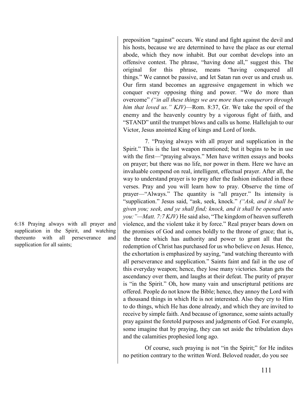6:18 Praying always with all prayer and supplication in the Spirit, and watching thereunto with all perseverance and supplication for all saints;

preposition "against" occurs. We stand and fight against the devil and his hosts, because we are determined to have the place as our eternal abode, which they now inhabit. But our combat develops into an offensive contest. The phrase, "having done all," suggest this. The original for this phrase, means "having conquered all things." We cannot be passive, and let Satan run over us and crush us. Our firm stand becomes an aggressive engagement in which we conquer every opposing thing and power. "We do more than overcome" *("in all these things we are more than conquerors through him that loved us." KJV)*—Rom. 8:37, Gr. We take the spoil of the enemy and the heavenly country by a vigorous fight of faith, and "STAND" until the trumpet blows and calls us home. Hallelujah to our Victor, Jesus anointed King of kings and Lord of lords.

7. "Praying always with all prayer and supplication in the Spirit." This is the last weapon mentioned; but it begins to be in use with the first—"praying always." Men have written essays and books on prayer; but there was no life, nor power in them. Here we have an invaluable compend on real, intelligent, effectual prayer. After all, the way to understand prayer is to pray after the fashion indicated in these verses. Pray and you will learn how to pray. Observe the time of prayer—"Always." The quantity is "all prayer." Its intensity is "supplication." Jesus said, "ask, seek, knock." *("Ask, and it shall be given you; seek, and ye shall find; knock, and it shall be opened unto you:"—Matt. 7:7 KJV)* He said also, "The kingdom of heaven suffereth violence, and the violent take it by force." Real prayer bears down on the promises of God and comes boldly to the throne of grace; that is, the throne which has authority and power to grant all that the redemption of Christ has purchased for us who believe on Jesus. Hence, the exhortation is emphasized by saying, "and watching thereunto with all perseverance and supplication." Saints faint and fail in the use of this everyday weapon; hence, they lose many victories. Satan gets the ascendancy over them, and laughs at their defeat. The purity of prayer is "in the Spirit." Oh, how many vain and unscriptural petitions are offered. People do not know the Bible; hence, they annoy the Lord with a thousand things in which He is not interested. Also they cry to Him to do things, which He has done already, and which they are invited to receive by simple faith. And because of ignorance, some saints actually pray against the foretold purposes and judgments of God. For example, some imagine that by praying, they can set aside the tribulation days and the calamities prophesied long ago.

Of course, such praying is not "in the Spirit;" for He indites no petition contrary to the written Word. Beloved reader, do you see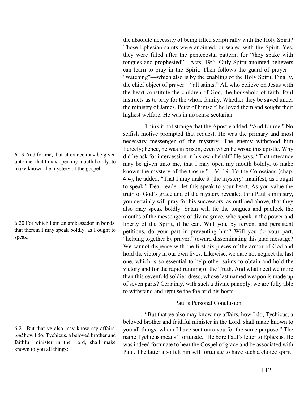6:19 And for me, that utterance may be given unto me, that I may open my mouth boldly, to make known the mystery of the gospel,

6:20 For which I am an ambassador in bonds: that therein I may speak boldly, as I ought to speak.

6:21 But that ye also may know my affairs, *and* how I do, Tychicus, a beloved brother and faithful minister in the Lord, shall make known to you all things:

the absolute necessity of being filled scripturally with the Holy Spirit? Those Ephesian saints were anointed, or sealed with the Spirit. Yes, they were filled after the pentecostal pattern; for "they spake with tongues and prophesied"—Acts. 19:6. Only Spirit-anointed believers can learn to pray in the Spirit. Then follows the guard of prayer— "watching"—which also is by the enabling of the Holy Spirit. Finally, the chief object of prayer—"all saints." All who believe on Jesus with the heart constitute the children of God, the household of faith. Paul instructs us to pray for the whole family. Whether they be saved under the ministry of James, Peter of himself, he loved them and sought their highest welfare. He was in no sense sectarian.

Think it not strange that the Apostle added, "And for me." No selfish motive prompted that request. He was the primary and most necessary messenger of the mystery. The enemy withstood him fiercely; hence, he was in prison, even when he wrote this epistle. Why did he ask for intercession in his own behalf? He says, "That utterance may be given unto me, that I may open my mouth boldly, to make known the mystery of the Gospel"—V. 19. To the Colossians (chap. 4:4), he added, "That I may make it (the mystery) manifest, as I ought to speak." Dear reader, let this speak to your heart. As you value the truth of God's grace and of the mystery revealed thru Paul's ministry, you certainly will pray for his successors, as outlined above, that they also may speak boldly. Satan will tie the tongues and padlock the mouths of the messengers of divine grace, who speak in the power and liberty of the Spirit, if he can. Will you, by fervent and persistent petitions, do your part in preventing him? Will you do your part, "helping together by prayer," toward disseminating this glad message? We cannot dispense with the first six pieces of the armor of God and hold the victory in our own lives. Likewise, we dare not neglect the last one, which is so essential to help other saints to obtain and hold the victory and for the rapid running of the Truth. And what need we more than this sevenfold soldier-dress, whose last named weapon is made up of seven parts? Certainly, with such a divine panoply, we are fully able to withstand and repulse the foe arid his hosts.

## Paul's Personal Conclusion

"But that ye also may know my affairs, how I do, Tychicus, a beloved brother and faithful minister in the Lord, shall make known to you all things, whom I have sent unto you for the same purpose." The name Tychicus means "fortunate." He bore Paul's letter to Ephesus. He was indeed fortunate to hear the Gospel of grace and be associated with Paul. The latter also felt himself fortunate to have such a choice spirit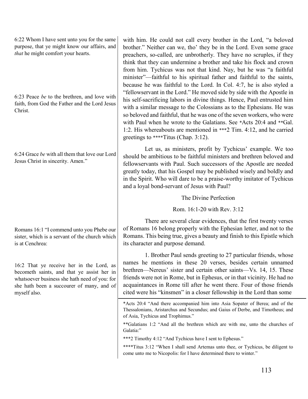6:22 Whom I have sent unto you for the same purpose, that ye might know our affairs, and *that* he might comfort your hearts.

6:23 Peace *be* to the brethren, and love with faith, from God the Father and the Lord Jesus Christ.

6:24 Grace *be* with all them that love our Lord Jesus Christ in sincerity. Amen."

Romans 16:1 "I commend unto you Phebe our sister, which is a servant of the church which is at Cenchrea:

16:2 That ye receive her in the Lord, as becometh saints, and that ye assist her in whatsoever business she hath need of you: for she hath been a succourer of many, and of myself also.

with him. He could not call every brother in the Lord, "a beloved brother." Neither can we, tho' they be in the Lord. Even some grace preachers, so-called, are unbrotherly. They have no scruples, if they think that they can undermine a brother and take his flock and crown from him. Tychicus was not that kind. Nay, but he was "a faithful minister"—faithful to his spiritual father and faithful to the saints, because he was faithful to the Lord. In Col. 4:7, he is also styled a "fellowservant in the Lord." He moved side by side with the Apostle in his self-sacrificing labors in divine things. Hence, Paul entrusted him with a similar message to the Colossians as to the Ephesians. He was so beloved and faithful, that he was one of the seven workers, who were with Paul when he wrote to the Galatians. See \*Acts 20:4 and \*\*Gal. 1:2. His whereabouts are mentioned in \*\*\*2 Tim. 4:12, and he carried greetings to \*\*\*\*Titus (Chap. 3:12).

Let us, as ministers, profit by Tychicus' example. We too should be ambitious to be faithful ministers and brethren beloved and fellowservants with Paul. Such successors of the Apostle are needed greatly today, that his Gospel may be published wisely and boldly and in the Spirit. Who will dare to be a praise-worthy imitator of Tychicus and a loyal bond-servant of Jesus with Paul?

The Divine Perfection

Rom. 16:1-20 with Rev. 3:12

There are several clear evidences, that the first twenty verses of Romans 16 belong properly with the Ephesian letter, and not to the Romans. This being true, gives a beauty and finish to this Epistle which its character and purpose demand.

1. Brother Paul sends greeting to 27 particular friends, whose names he mentions in these 20 verses, besides certain unnamed brethren—Nereus' sister and certain other saints—Vs. 14, 15. These friends were not in Rome, but in Ephesus, or in that vicinity. He had no acquaintances in Rome till after he went there. Four of those friends cited were his "kinsmen" in a closer fellowship in the Lord than some

\*Acts 20:4 "And there accompanied him into Asia Sopater of Berea; and of the Thessalonians, Aristarchus and Secundus; and Gaius of Derbe, and Timotheus; and of Asia, Tychicus and Trophimus."

\*\*Galatians 1:2 "And all the brethren which are with me, unto the churches of Galatia:"

\*\*\*2 Timothy 4:12 "And Tychicus have I sent to Ephesus."

\*\*\*\*Titus 3:12 "When I shall send Artemas unto thee, or Tychicus, be diligent to come unto me to Nicopolis: for I have determined there to winter."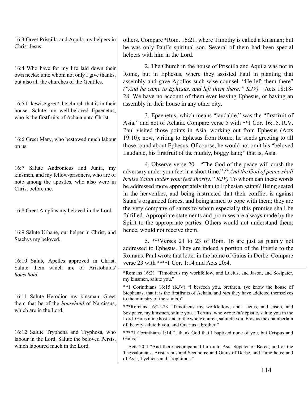16:3 Greet Priscilla and Aquila my helpers in Christ Jesus:

16:4 Who have for my life laid down their own necks: unto whom not only I give thanks, but also all the churches of the Gentiles.

16:5 Likewise *greet* the church that is in their house. Salute my well-beloved Epaenetus, who is the firstfruits of Achaia unto Christ.

16:6 Greet Mary, who bestowed much labour on us.

16:7 Salute Andronicus and Junia, my kinsmen, and my fellow-prisoners, who are of note among the apostles, who also were in Christ before me.

16:8 Greet Amplias my beloved in the Lord.

16:9 Salute Urbane, our helper in Christ, and Stachys my beloved.

16:10 Salute Apelles approved in Christ. Salute them which are of Aristobulus' *household.*

16:11 Salute Herodion my kinsman. Greet them that be of the *household* of Narcissus, which are in the Lord.

16:12 Salute Tryphena and Tryphosa, who labour in the Lord. Salute the beloved Persis, which laboured much in the Lord.

others. Compare \*Rom. 16:21, where Timothy is called a kinsman; but he was only Paul's spiritual son. Several of them had been special helpers with him in the Lord.

2. The Church in the house of Priscilla and Aquila was not in Rome, but in Ephesus, where they assisted Paul in planting that assembly and gave Apollos such wise counsel. "He left them there" *("And he came to Ephesus, and left them there:" KJV)*—Acts 18:18- 28. We have no account of them ever leaving Ephesus, or having an assembly in their house in any other city.

3. Epaenetus, which means "laudable," was the "firstfruit of Asia," and not of Achaia. Compare verse 5 with \*\*1 Cor. 16:15. R.V. Paul visited those points in Asia, working out from Ephesus (Acts 19:10); now, writing to Ephesus from Rome, he sends greeting to all those round about Ephesus. Of course, he would not omit his "beloved Laudable, his firstfruit of the muddy, boggy land;" that is, Asia.

4. Observe verse 20—"The God of the peace will crush the adversary under your feet in a short time." *("And the God of peace shall bruise Satan under your feet shortly." KJV)* To whom can these words be addressed more appropriately than to Ephesian saints? Being seated in the heavenlies, and being instructed that their conflict is against Satan's organized forces, and being armed to cope with them; they are the very company of saints to whom especially this promise shall be fulfilled. Appropriate statements and promises are always made by the Spirit to the appropriate parties. Others would not understand them; hence, would not receive them.

5. \*\*\*Verses 21 to 23 of Rom. 16 are just as plainly not addressed to Ephesus. They are indeed a portion of the Epistle to the Romans. Paul wrote that letter in the home of Gaius in Derbe. Compare verse 23 with \*\*\*\*1 Cor. 1:14 and Acts 20:4.

\*Romans 16:21 "Timotheus my workfellow, and Lucius, and Jason, and Sosipater, my kinsmen, salute you."

\*\*1 Corinthians 16:15 (KJV) "I beseech you, brethren, (ye know the house of Stephanas, that it is the firstfruits of Achaia, and *that* they have addicted themselves to the ministry of the saints,)"

\*\*\*Romans 16:21-23 "Timotheus my workfellow, and Lucius, and Jason, and Sosipater, my kinsmen, salute you. I Tertius, who wrote *this* epistle, salute you in the Lord. Gaius mine host, and of the whole church, saluteth you. Erastus the chamberlain of the city saluteth you, and Quartus a brother."

\*\*\*\*1 Corinthians 1:14 "I thank God that I baptized none of you, but Crispus and Gaius;"

 Acts 20:4 "And there accompanied him into Asia Sopater of Berea; and of the Thessalonians, Aristarchus and Secundus; and Gaius of Derbe, and Timotheus; and of Asia, Tychicus and Trophimus."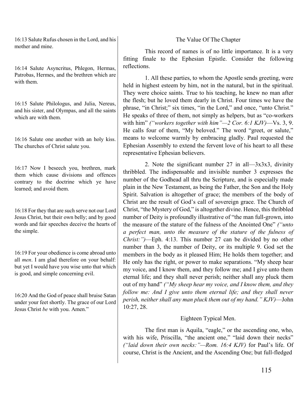16:13 Salute Rufus chosen in the Lord, and his mother and mine.

16:14 Salute Asyncritus, Phlegon, Hermas, Patrobas, Hermes, and the brethren which are with them.

16:15 Salute Philologus, and Julia, Nereus, and his sister, and Olympas, and all the saints which are with them.

16:16 Salute one another with an holy kiss. The churches of Christ salute you.

16:17 Now I beseech you, brethren, mark them which cause divisions and offences contrary to the doctrine which ye have learned; and avoid them.

16:18 For they that are such serve not our Lord Jesus Christ, but their own belly; and by good words and fair speeches deceive the hearts of the simple.

16:19 For your obedience is come abroad unto all *men*. I am glad therefore on your behalf: but yet I would have you wise unto that which is good, and simple concerning evil.

16:20 And the God of peace shall bruise Satan under your feet shortly. The grace of our Lord Jesus Christ *be* with you. Amen."

## The Value Of The Chapter

This record of names is of no little importance. It is a very fitting finale to the Ephesian Epistle. Consider the following reflections.

1. All these parties, to whom the Apostle sends greeting, were held in highest esteem by him, not in the natural, but in the spiritual. They were choice saints. True to his teaching, he knew no man after the flesh; but he loved them dearly in Christ. Four times we have the phrase, "in Christ;" six times, "in the Lord," and once, "unto Christ." He speaks of three of them, not simply as helpers, but as "co-workers with him" *("workers together with him"—2 Cor. 6:1 KJV)*—Vs. 3, 9. He calls four of them, "My beloved." The word "greet, or salute," means to welcome warmly by embracing gladly. Paul requested the Ephesian Assembly to extend the fervent love of his heart to all these representative Ephesian believers.

2. Note the significant number 27 in all— $3x3x3$ , divinity thribbled. The indispensable and invisible number 3 expresses the number of the Godhead all thru the Scripture, and is especially made plain in the New Testament, as being the Father, the Son and the Holy Spirit. Salvation is altogether of grace; the members of the body of Christ are the result of God's call of sovereign grace. The Church of Christ, "the Mystery of God," is altogether divine. Hence, this thribbled number of Deity is profoundly illustrative of "the man full-grown, into the measure of the stature of the fulness of the Anointed One" *("unto a perfect man, unto the measure of the stature of the fulness of Christ:")*—Eph. 4:13. This number 27 can be divided by no other number than 3, the number of Deity, or its multiple 9. God set the members in the body as it pleased Him; He holds them together; and He only has the right, or power to make separations. "My sheep hear my voice, and I know them, and they follow me; and I give unto them eternal life; and they shall never perish; neither shall any pluck them out of my hand" *("My sheep hear my voice, and I know them, and they follow me: And I give unto them eternal life; and they shall never perish, neither shall any man pluck them out of my hand." KJV)*—John 10:27, 28.

## Eighteen Typical Men.

The first man is Aquila, "eagle," or the ascending one, who, with his wife, Priscilla, "the ancient one," "laid down their necks" *("laid down their own necks:"—Rom. 16:4 KJV)* for Paul's life. Of course, Christ is the Ancient, and the Ascending One; but full-fledged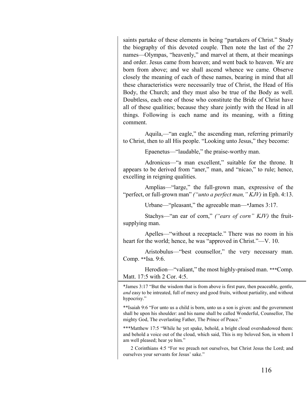saints partake of these elements in being "partakers of Christ." Study the biography of this devoted couple. Then note the last of the 27 names—Olympas, "heavenly," and marvel at them, at their meanings and order. Jesus came from heaven; and went back to heaven. We are born from above; and we shall ascend whence we came. Observe closely the meaning of each of these names, bearing in mind that all these characteristics were necessarily true of Christ, the Head of His Body, the Church; and they must also be true of the Body as well. Doubtless, each one of those who constitute the Bride of Christ have all of these qualities; because they share jointly with the Head in all things. Following is each name and its meaning, with a fitting comment.

Aquila,—"an eagle," the ascending man, referring primarily to Christ, then to all His people. "Looking unto Jesus," they become:

Epaenetus—"laudable," the praise-worthy man.

Adronicus—"a man excellent," suitable for the throne. It appears to be derived from "aner," man, and "nicao," to rule; hence, excelling in reigning qualities.

Amplias—"large," the full-grown man, expressive of the "perfect, or full-grown man" *("unto a perfect man," KJV)* in Eph. 4:13.

Urbane—"pleasant," the agreeable man—\*James 3:17.

Stachys—"an ear of corn," *("ears of corn" KJV)* the fruitsupplying man.

Apelles—"without a receptacle." There was no room in his heart for the world; hence, he was "approved in Christ."—V. 10.

Aristobulus—"best counsellor," the very necessary man. Comp. \*\*Isa. 9:6.

Herodion—"valiant," the most highly-praised man. \*\*\*Comp. Matt. 17:5 with 2 Cor. 4:5.

\*James 3:17 "But the wisdom that is from above is first pure, then peaceable, gentle, *and* easy to be intreated, full of mercy and good fruits, without partiality, and without hypocrisy."

\*\*Isaiah 9:6 "For unto us a child is born, unto us a son is given: and the government shall be upon his shoulder: and his name shall be called Wonderful, Counsellor, The mighty God, The everlasting Father, The Prince of Peace."

\*\*\*Matthew 17:5 "While he yet spake, behold, a bright cloud overshadowed them: and behold a voice out of the cloud, which said, This is my beloved Son, in whom I am well pleased; hear ye him."

 2 Corinthians 4:5 "For we preach not ourselves, but Christ Jesus the Lord; and ourselves your servants for Jesus' sake."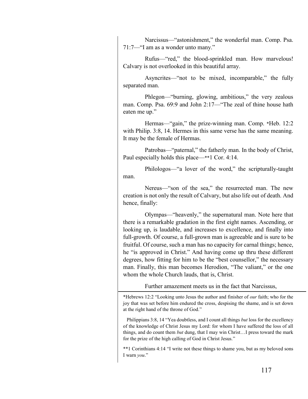Narcissus—"astonishment," the wonderful man. Comp. Psa. 71:7—"I am as a wonder unto many."

Rufus—"red," the blood-sprinkled man. How marvelous! Calvary is not overlooked in this beautiful array.

Asyncrites—"not to be mixed, incomparable," the fully separated man.

Phlegon—"burning, glowing, ambitious," the very zealous man. Comp. Psa. 69:9 and John 2:17—"The zeal of thine house hath eaten me up."

Hermas—"gain," the prize-winning man. Comp. \*Heb. 12:2 with Philip. 3:8, 14. Hermes in this same verse has the same meaning. It may be the female of Hermas.

Patrobas—"paternal," the fatherly man. In the body of Christ, Paul especially holds this place—\*\*1 Cor. 4:14.

Philologos—"a lover of the word," the scripturally-taught man.

Nereus—"son of the sea," the resurrected man. The new creation is not only the result of Calvary, but also life out of death. And hence, finally:

Olympas—"heavenly," the supernatural man. Note here that there is a remarkable gradation in the first eight names. Ascending, or looking up, is laudable, and increases to excellence, and finally into full-growth. Of course, a full-grown man is agreeable and is sure to be fruitful. Of course, such a man has no capacity for carnal things; hence, he "is approved in Christ." And having come up thru these different degrees, how fitting for him to be the "best counsellor," the necessary man. Finally, this man becomes Herodion, "The valiant," or the one whom the whole Church lauds, that is, Christ.

Further amazement meets us in the fact that Narcissus,

\*Hebrews 12:2 "Looking unto Jesus the author and finisher of *our* faith; who for the joy that was set before him endured the cross, despising the shame, and is set down at the right hand of the throne of God."

Philippians 3:8, 14 "Yea doubtless, and I count all things *but* loss for the excellency of the knowledge of Christ Jesus my Lord: for whom I have suffered the loss of all things, and do count them *but* dung, that I may win Christ…I press toward the mark for the prize of the high calling of God in Christ Jesus."

\*\*1 Corinthians 4:14 "I write not these things to shame you, but as my beloved sons I warn *you*."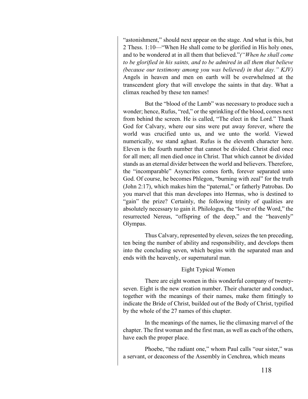"astonishment," should next appear on the stage. And what is this, but 2 Thess. 1:10—"When He shall come to be glorified in His holy ones, and to be wondered at in all them that believed."*("When he shall come to be glorified in his saints, and to be admired in all them that believe (because our testimony among you was believed) in that day." KJV)* Angels in heaven and men on earth will be overwhelmed at the transcendent glory that will envelope the saints in that day. What a climax reached by these ten names!

But the "blood of the Lamb" was necessary to produce such a wonder; hence, Rufus, "red," or the sprinkling of the blood, comes next from behind the screen. He is called, "The elect in the Lord." Thank God for Calvary, where our sins were put away forever, where the world was crucified unto us, and we unto the world. Viewed numerically, we stand aghast. Rufus is the eleventh character here. Eleven is the fourth number that cannot be divided. Christ died once for all men; all men died once in Christ. That which cannot be divided stands as an eternal divider between the world and believers. Therefore, the "incomparable" Asyncrites comes forth, forever separated unto God. Of course, he becomes Phlegon, "burning with zeal" for the truth (John 2:17), which makes him the "paternal," or fatherly Patrobas. Do you marvel that this man developes into Hermas, who is destined to "gain" the prize? Certainly, the following trinity of qualities are absolutely necessary to gain it. Philologus, the "lover of the Word," the resurrected Nereus, "offspring of the deep," and the "heavenly" Olympas.

Thus Calvary, represented by eleven, seizes the ten preceding, ten being the number of ability and responsibility, and develops them into the concluding seven, which begins with the separated man and ends with the heavenly, or supernatural man.

## Eight Typical Women

There are eight women in this wonderful company of twentyseven. Eight is the new creation number. Their character and conduct, together with the meanings of their names, make them fittingly to indicate the Bride of Christ, builded out of the Body of Christ, typified by the whole of the 27 names of this chapter.

In the meanings of the names, lie the climaxing marvel of the chapter. The first woman and the first man, as well as each of the others, have each the proper place.

Phoebe, "the radiant one," whom Paul calls "our sister," was a servant, or deaconess of the Assembly in Cenchrea, which means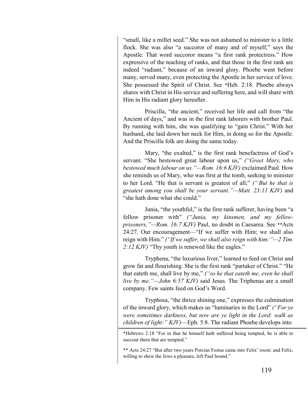"small, like a millet seed." She was not ashamed to minister to a little flock. She was also "a succoror of many and of myself," says the Apostle. That word succoror means "a first rank protectress." How expressive of the teaching of ranks, and that those in the first rank are indeed "radiant," because of an inward glory. Phoebe went before many, served many, even protecting the Apostle in her service of love. She possessed the Spirit of Christ. See \*Heb. 2:18. Phoebe always shares with Christ in His service and suffering here, and will share with Him in His radiant glory hereafter.

Priscilla, "the ancient," received her life and call from "the Ancient of days," and was in the first rank laborers with brother Paul. By running with him, she was qualifying to "gain Christ." With her husband, she laid down her neck for Him, in doing so for the Apostle. And the Priscilla folk are doing the same today.

Mary, "the exalted," is the first rank benefactress of God's servant. "She bestowed great labour upon us," *("Greet Mary, who bestowed much labour on us."—Rom. 16:6 KJV)* exclaimed Paul. How she reminds us of Mary, who was first at the tomb, seeking to minister to her Lord. "He that is servant is greatest of all;" *(" But he that is greatest among you shall be your servant."—Matt. 23:11 KJV)* and "she hath done what she could."

Junia, "the youthful," is the first rank sufferer, having been "a fellow prisoner with" *("Junia, my kinsmen, and my fellowprisoners,"—Rom. 16:7 KJV)* Paul, no doubt in Caesarea. See \*\*Acts 24:27. Our encouragement—"If we suffer with Him; we shall also reign with Him." *("If we suffer, we shall also reign with him:"—2 Tim. 2:12 KJV)* "Thy youth is renewed like the eagles."

Tryphena, "the luxurious liver," learned to feed on Christ and grow fat and flourishing. She is the first rank "partaker of Christ." "He that eateth me, shall live by me," *("so he that eateth me, even he shall live by me."—John 6:57 KJV)* said Jesus. The Triphenas are a small company. Few saints feed on God's Word.

Tryphosa, "the thrice shining one," expresses the culmination of the inward glory, which makes us "luminaries in the Lord" *("For ye were sometimes darkness, but now are ye light in the Lord: walk as children of light:" KJV)*—Eph. 5:8. The radiant Phoebe develops into

<sup>\*</sup>Hebrews 2:18 "For in that he himself hath suffered being tempted, he is able to succour them that are tempted."

<sup>\*\*</sup> Acts 24:27 "But after two years Porcius Festus came into Felix' room: and Felix, willing to shew the Jews a pleasure, left Paul bound."